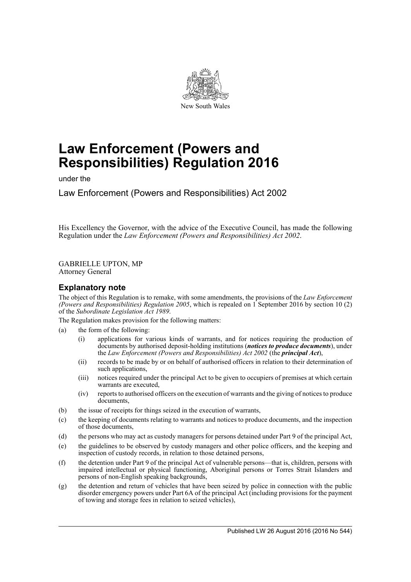

# **Law Enforcement (Powers and Responsibilities) Regulation 2016**

under the

Law Enforcement (Powers and Responsibilities) Act 2002

His Excellency the Governor, with the advice of the Executive Council, has made the following Regulation under the *Law Enforcement (Powers and Responsibilities) Act 2002*.

GABRIELLE UPTON, MP Attorney General

### **Explanatory note**

The object of this Regulation is to remake, with some amendments, the provisions of the *Law Enforcement (Powers and Responsibilities) Regulation 2005*, which is repealed on 1 September 2016 by section 10 (2) of the *Subordinate Legislation Act 1989*.

The Regulation makes provision for the following matters:

- (a) the form of the following:
	- (i) applications for various kinds of warrants, and for notices requiring the production of documents by authorised deposit-holding institutions (*notices to produce documents*), under the *Law Enforcement (Powers and Responsibilities) Act 2002* (the *principal Act*),
	- (ii) records to be made by or on behalf of authorised officers in relation to their determination of such applications,
	- (iii) notices required under the principal Act to be given to occupiers of premises at which certain warrants are executed,
	- (iv) reports to authorised officers on the execution of warrants and the giving of notices to produce documents,
- (b) the issue of receipts for things seized in the execution of warrants,
- (c) the keeping of documents relating to warrants and notices to produce documents, and the inspection of those documents,
- (d) the persons who may act as custody managers for persons detained under Part 9 of the principal Act,
- (e) the guidelines to be observed by custody managers and other police officers, and the keeping and inspection of custody records, in relation to those detained persons,
- (f) the detention under Part 9 of the principal Act of vulnerable persons—that is, children, persons with impaired intellectual or physical functioning, Aboriginal persons or Torres Strait Islanders and persons of non-English speaking backgrounds,
- (g) the detention and return of vehicles that have been seized by police in connection with the public disorder emergency powers under Part 6A of the principal Act (including provisions for the payment of towing and storage fees in relation to seized vehicles),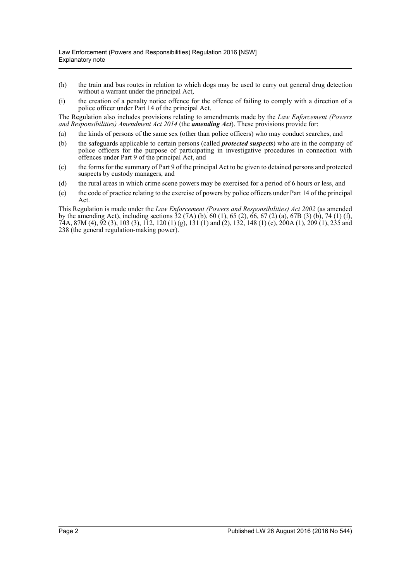- (h) the train and bus routes in relation to which dogs may be used to carry out general drug detection without a warrant under the principal Act,
- (i) the creation of a penalty notice offence for the offence of failing to comply with a direction of a police officer under Part 14 of the principal Act.

The Regulation also includes provisions relating to amendments made by the *Law Enforcement (Powers and Responsibilities) Amendment Act 2014* (the *amending Act*). These provisions provide for:

- (a) the kinds of persons of the same sex (other than police officers) who may conduct searches, and
- (b) the safeguards applicable to certain persons (called *protected suspects*) who are in the company of police officers for the purpose of participating in investigative procedures in connection with offences under Part 9 of the principal Act, and
- (c) the forms for the summary of Part 9 of the principal Act to be given to detained persons and protected suspects by custody managers, and
- (d) the rural areas in which crime scene powers may be exercised for a period of 6 hours or less, and
- (e) the code of practice relating to the exercise of powers by police officers under Part 14 of the principal Act.

This Regulation is made under the *Law Enforcement (Powers and Responsibilities) Act 2002* (as amended by the amending Act), including sections 32 (7A) (b), 60 (1), 65 (2), 66, 67 (2) (a), 67B (3) (b), 74 (1) (f), 74A, 87M (4), 92 (3), 103 (3), 112, 120 (1) (g), 131 (1) and (2), 132, 148 (1) (c), 200A (1), 209 (1), 235 and 238 (the general regulation-making power).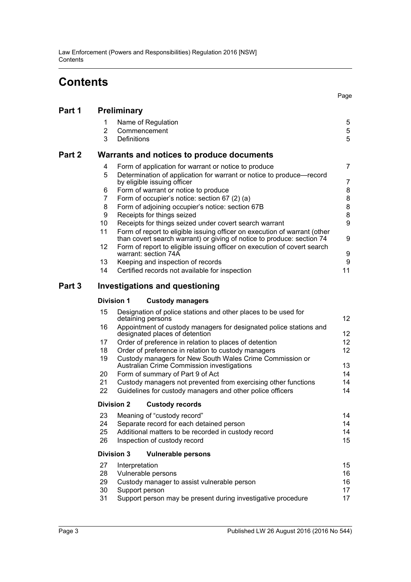# **Contents**

Page

| Part 1 | <b>Preliminary</b>                        |                                                                                                                                                     |                |  |  |  |
|--------|-------------------------------------------|-----------------------------------------------------------------------------------------------------------------------------------------------------|----------------|--|--|--|
|        | 1<br>2<br>3                               | Name of Regulation<br>Commencement<br>Definitions                                                                                                   | 5<br>5<br>5    |  |  |  |
| Part 2 | Warrants and notices to produce documents |                                                                                                                                                     |                |  |  |  |
|        | 4                                         | Form of application for warrant or notice to produce                                                                                                | $\overline{7}$ |  |  |  |
|        | 5                                         | Determination of application for warrant or notice to produce—record<br>by eligible issuing officer                                                 | 7              |  |  |  |
|        | 6                                         | Form of warrant or notice to produce                                                                                                                | 8              |  |  |  |
|        | 7                                         | Form of occupier's notice: section 67 (2) (a)                                                                                                       | 8              |  |  |  |
|        | 8                                         | Form of adjoining occupier's notice: section 67B                                                                                                    | 8              |  |  |  |
|        | 9                                         | Receipts for things seized                                                                                                                          | 8              |  |  |  |
|        | 10                                        | Receipts for things seized under covert search warrant                                                                                              | 9              |  |  |  |
|        | 11                                        | Form of report to eligible issuing officer on execution of warrant (other<br>than covert search warrant) or giving of notice to produce: section 74 | 9              |  |  |  |
|        | 12                                        | Form of report to eligible issuing officer on execution of covert search<br>warrant: section 74A                                                    | 9              |  |  |  |
|        | 13                                        | Keeping and inspection of records                                                                                                                   | 9              |  |  |  |
|        | 14                                        | Certified records not available for inspection                                                                                                      | 11             |  |  |  |
| Part 3 |                                           | <b>Investigations and questioning</b>                                                                                                               |                |  |  |  |

### **[Division 1 Custody managers](#page-11-1)**

| 15 | Designation of police stations and other places to be used for<br>detaining persons                    | 12 <sup>2</sup> |  |  |  |
|----|--------------------------------------------------------------------------------------------------------|-----------------|--|--|--|
| 16 | Appointment of custody managers for designated police stations and<br>designated places of detention   | 12 <sup>2</sup> |  |  |  |
| 17 | Order of preference in relation to places of detention                                                 | 12 <sup>2</sup> |  |  |  |
| 18 | Order of preference in relation to custody managers                                                    |                 |  |  |  |
| 19 | Custody managers for New South Wales Crime Commission or<br>Australian Crime Commission investigations | 13 <sup>°</sup> |  |  |  |
| 20 | Form of summary of Part 9 of Act                                                                       |                 |  |  |  |
| 21 | Custody managers not prevented from exercising other functions                                         | 14              |  |  |  |
| 22 | Guidelines for custody managers and other police officers                                              | 14              |  |  |  |
|    | <b>Division 2</b><br><b>Custody records</b>                                                            |                 |  |  |  |
| 23 | Meaning of "custody record"                                                                            | 14              |  |  |  |
| 24 | Separate record for each detained person                                                               | 14              |  |  |  |
| 25 | Additional matters to be recorded in custody record                                                    |                 |  |  |  |
| 26 | Inspection of custody record                                                                           |                 |  |  |  |
|    | Division 3<br><b>Vulnerable persons</b>                                                                |                 |  |  |  |
| 27 | Interpretation                                                                                         | 15              |  |  |  |
| 28 | Vulnerable persons                                                                                     |                 |  |  |  |
| 29 | Custody manager to assist vulnerable person                                                            |                 |  |  |  |
| 30 | Support person                                                                                         | 17              |  |  |  |
| 31 | Support person may be present during investigative procedure<br>17                                     |                 |  |  |  |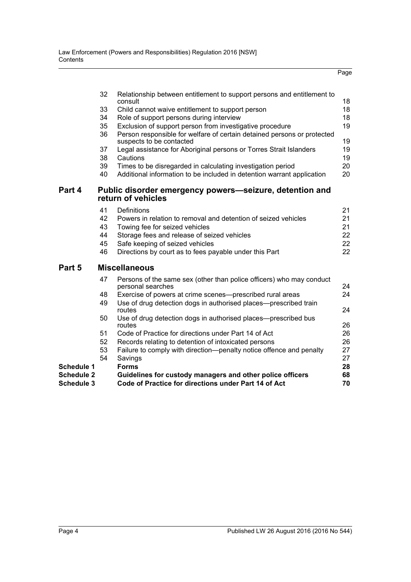|                   |                                                                               |                                                                                                                                     | Page |  |  |  |  |
|-------------------|-------------------------------------------------------------------------------|-------------------------------------------------------------------------------------------------------------------------------------|------|--|--|--|--|
|                   | 32                                                                            | Relationship between entitlement to support persons and entitlement to                                                              |      |  |  |  |  |
|                   |                                                                               | consult                                                                                                                             | 18   |  |  |  |  |
|                   | 33                                                                            | Child cannot waive entitlement to support person                                                                                    | 18   |  |  |  |  |
|                   | 34                                                                            | Role of support persons during interview                                                                                            | 18   |  |  |  |  |
|                   | 35<br>36                                                                      | Exclusion of support person from investigative procedure<br>Person responsible for welfare of certain detained persons or protected | 19   |  |  |  |  |
|                   |                                                                               | suspects to be contacted                                                                                                            | 19   |  |  |  |  |
|                   | 37                                                                            | Legal assistance for Aboriginal persons or Torres Strait Islanders                                                                  | 19   |  |  |  |  |
|                   | 38                                                                            | Cautions                                                                                                                            | 19   |  |  |  |  |
|                   | 39                                                                            | Times to be disregarded in calculating investigation period                                                                         | 20   |  |  |  |  |
|                   | 40                                                                            | Additional information to be included in detention warrant application                                                              | 20   |  |  |  |  |
| Part 4            | Public disorder emergency powers—seizure, detention and<br>return of vehicles |                                                                                                                                     |      |  |  |  |  |
|                   | 41                                                                            | Definitions                                                                                                                         | 21   |  |  |  |  |
|                   | 42                                                                            | Powers in relation to removal and detention of seized vehicles                                                                      | 21   |  |  |  |  |
|                   | 43                                                                            | Towing fee for seized vehicles                                                                                                      | 21   |  |  |  |  |
|                   | 44                                                                            | Storage fees and release of seized vehicles                                                                                         | 22   |  |  |  |  |
|                   | 45                                                                            | Safe keeping of seized vehicles                                                                                                     | 22   |  |  |  |  |
|                   | 46                                                                            | Directions by court as to fees payable under this Part                                                                              | 22   |  |  |  |  |
| Part 5            |                                                                               | <b>Miscellaneous</b>                                                                                                                |      |  |  |  |  |
|                   | 47                                                                            | Persons of the same sex (other than police officers) who may conduct<br>personal searches                                           | 24   |  |  |  |  |
|                   | 48                                                                            | Exercise of powers at crime scenes—prescribed rural areas                                                                           | 24   |  |  |  |  |
|                   | 49                                                                            | Use of drug detection dogs in authorised places—prescribed train<br>routes                                                          | 24   |  |  |  |  |
|                   | 50                                                                            | Use of drug detection dogs in authorised places—prescribed bus<br>routes                                                            | 26   |  |  |  |  |
|                   | 51                                                                            | Code of Practice for directions under Part 14 of Act                                                                                | 26   |  |  |  |  |
|                   | 52                                                                            | Records relating to detention of intoxicated persons                                                                                | 26   |  |  |  |  |
|                   | 53                                                                            | Failure to comply with direction—penalty notice offence and penalty                                                                 | 27   |  |  |  |  |
|                   | 54                                                                            | Savings                                                                                                                             | 27   |  |  |  |  |
| Schedule 1        |                                                                               | <b>Forms</b>                                                                                                                        | 28   |  |  |  |  |
| <b>Schedule 2</b> |                                                                               | Guidelines for custody managers and other police officers                                                                           | 68   |  |  |  |  |
| <b>Schedule 3</b> |                                                                               | Code of Practice for directions under Part 14 of Act                                                                                | 70   |  |  |  |  |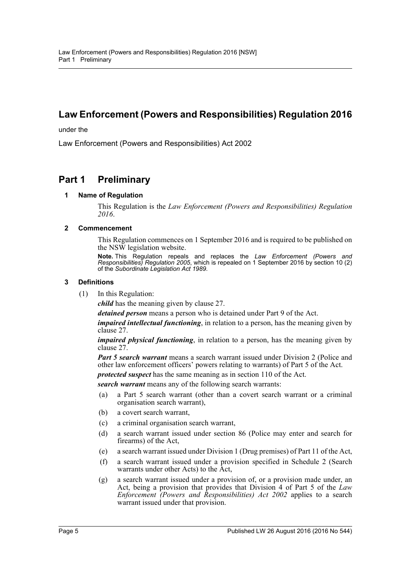# **Law Enforcement (Powers and Responsibilities) Regulation 2016**

under the

Law Enforcement (Powers and Responsibilities) Act 2002

## <span id="page-4-1"></span><span id="page-4-0"></span>**Part 1 Preliminary**

### **1 Name of Regulation**

This Regulation is the *Law Enforcement (Powers and Responsibilities) Regulation 2016*.

### <span id="page-4-2"></span>**2 Commencement**

This Regulation commences on 1 September 2016 and is required to be published on the NSW legislation website.

**Note.** This Regulation repeals and replaces the *Law Enforcement (Powers and Responsibilities) Regulation 2005*, which is repealed on 1 September 2016 by section 10 (2) of the *Subordinate Legislation Act 1989*.

### <span id="page-4-3"></span>**3 Definitions**

(1) In this Regulation:

*child* has the meaning given by clause 27.

*detained person* means a person who is detained under Part 9 of the Act.

*impaired intellectual functioning*, in relation to a person, has the meaning given by clause 27.

*impaired physical functioning*, in relation to a person, has the meaning given by clause 27.

*Part 5 search warrant* means a search warrant issued under Division 2 (Police and other law enforcement officers' powers relating to warrants) of Part 5 of the Act.

*protected suspect* has the same meaning as in section 110 of the Act.

*search warrant* means any of the following search warrants:

- (a) a Part 5 search warrant (other than a covert search warrant or a criminal organisation search warrant),
- (b) a covert search warrant,
- (c) a criminal organisation search warrant,
- (d) a search warrant issued under section 86 (Police may enter and search for firearms) of the Act,
- (e) a search warrant issued under Division 1 (Drug premises) of Part 11 of the Act,
- (f) a search warrant issued under a provision specified in Schedule 2 (Search warrants under other Acts) to the Act,
- (g) a search warrant issued under a provision of, or a provision made under, an Act, being a provision that provides that Division 4 of Part 5 of the *Law Enforcement (Powers and Responsibilities) Act 2002* applies to a search warrant issued under that provision.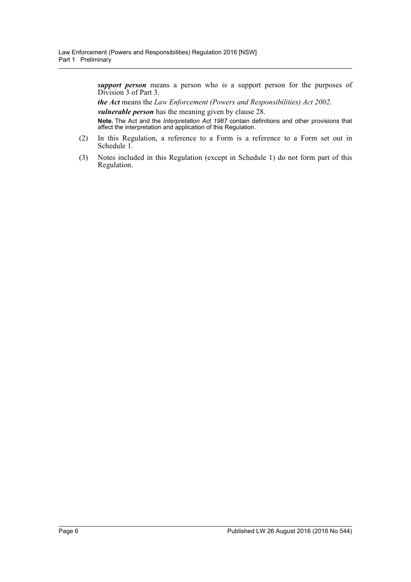*support person* means a person who is a support person for the purposes of Division 3 of Part 3.

*the Act* means the *Law Enforcement (Powers and Responsibilities) Act 2002*.

*vulnerable person* has the meaning given by clause 28.

**Note.** The Act and the *Interpretation Act 1987* contain definitions and other provisions that affect the interpretation and application of this Regulation.

- (2) In this Regulation, a reference to a Form is a reference to a Form set out in Schedule 1.
- (3) Notes included in this Regulation (except in Schedule 1) do not form part of this Regulation.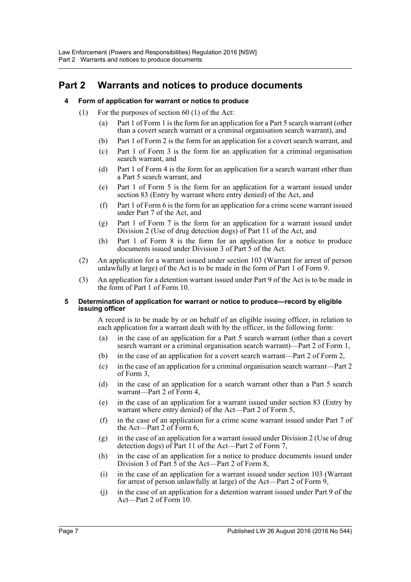## <span id="page-6-1"></span><span id="page-6-0"></span>**Part 2 Warrants and notices to produce documents**

### **4 Form of application for warrant or notice to produce**

- (1) For the purposes of section 60 (1) of the Act:
	- (a) Part 1 of Form 1 is the form for an application for a Part 5 search warrant (other than a covert search warrant or a criminal organisation search warrant), and
	- (b) Part 1 of Form 2 is the form for an application for a covert search warrant, and
	- (c) Part 1 of Form 3 is the form for an application for a criminal organisation search warrant, and
	- (d) Part 1 of Form 4 is the form for an application for a search warrant other than a Part 5 search warrant, and
	- (e) Part 1 of Form 5 is the form for an application for a warrant issued under section 83 (Entry by warrant where entry denied) of the Act, and
	- (f) Part 1 of Form 6 is the form for an application for a crime scene warrant issued under Part 7 of the Act, and
	- (g) Part 1 of Form 7 is the form for an application for a warrant issued under Division 2 (Use of drug detection dogs) of Part 11 of the Act, and
	- (h) Part 1 of Form 8 is the form for an application for a notice to produce documents issued under Division 3 of Part 5 of the Act.
	- (2) An application for a warrant issued under section 103 (Warrant for arrest of person unlawfully at large) of the Act is to be made in the form of Part 1 of Form 9.
- (3) An application for a detention warrant issued under Part 9 of the Act is to be made in the form of Part 1 of Form 10.

### <span id="page-6-2"></span>**5 Determination of application for warrant or notice to produce—record by eligible issuing officer**

A record is to be made by or on behalf of an eligible issuing officer, in relation to each application for a warrant dealt with by the officer, in the following form:

- (a) in the case of an application for a Part 5 search warrant (other than a covert search warrant or a criminal organisation search warrant)—Part 2 of Form 1,
- (b) in the case of an application for a covert search warrant—Part 2 of Form 2,
- (c) in the case of an application for a criminal organisation search warrant—Part 2 of Form 3,
- (d) in the case of an application for a search warrant other than a Part 5 search warrant—Part 2 of Form 4,
- (e) in the case of an application for a warrant issued under section 83 (Entry by warrant where entry denied) of the Act—Part 2 of Form 5,
- (f) in the case of an application for a crime scene warrant issued under Part 7 of the Act—Part 2 of Form 6,
- (g) in the case of an application for a warrant issued under Division 2 (Use of drug detection dogs) of Part 11 of the Act—Part 2 of Form 7,
- (h) in the case of an application for a notice to produce documents issued under Division 3 of Part 5 of the Act—Part 2 of Form 8,
- (i) in the case of an application for a warrant issued under section 103 (Warrant for arrest of person unlawfully at large) of the Act—Part 2 of Form  $\hat{9}$ ,
- (j) in the case of an application for a detention warrant issued under Part 9 of the Act—Part 2 of Form 10.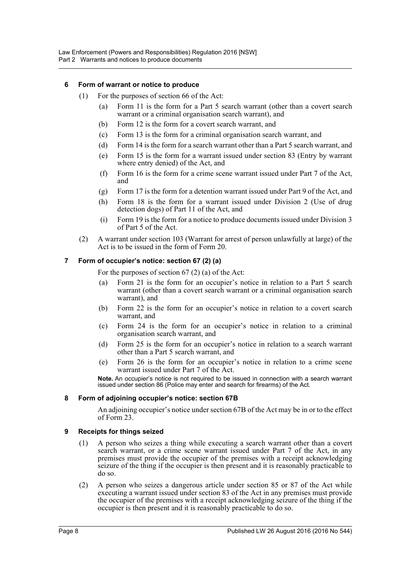### <span id="page-7-0"></span>**6 Form of warrant or notice to produce**

- (1) For the purposes of section 66 of the Act:
	- (a) Form 11 is the form for a Part 5 search warrant (other than a covert search warrant or a criminal organisation search warrant), and
	- (b) Form 12 is the form for a covert search warrant, and
	- (c) Form 13 is the form for a criminal organisation search warrant, and
	- (d) Form 14 is the form for a search warrant other than a Part 5 search warrant, and
	- (e) Form 15 is the form for a warrant issued under section 83 (Entry by warrant where entry denied) of the Act, and
	- (f) Form 16 is the form for a crime scene warrant issued under Part 7 of the Act, and
	- (g) Form 17 is the form for a detention warrant issued under Part 9 of the Act, and
	- (h) Form 18 is the form for a warrant issued under Division 2 (Use of drug detection dogs) of Part 11 of the Act, and
	- (i) Form 19 is the form for a notice to produce documents issued under Division 3 of Part 5 of the Act.
- (2) A warrant under section 103 (Warrant for arrest of person unlawfully at large) of the Act is to be issued in the form of Form 20.

### <span id="page-7-1"></span>**7 Form of occupier's notice: section 67 (2) (a)**

For the purposes of section 67 (2) (a) of the Act:

- (a) Form 21 is the form for an occupier's notice in relation to a Part 5 search warrant (other than a covert search warrant or a criminal organisation search warrant), and
- (b) Form 22 is the form for an occupier's notice in relation to a covert search warrant, and
- (c) Form 24 is the form for an occupier's notice in relation to a criminal organisation search warrant, and
- (d) Form 25 is the form for an occupier's notice in relation to a search warrant other than a Part 5 search warrant, and
- (e) Form 26 is the form for an occupier's notice in relation to a crime scene warrant issued under Part 7 of the Act.

**Note.** An occupier's notice is not required to be issued in connection with a search warrant issued under section 86 (Police may enter and search for firearms) of the Act.

### <span id="page-7-2"></span>**8 Form of adjoining occupier's notice: section 67B**

An adjoining occupier's notice under section 67B of the Act may be in or to the effect of Form 23.

### <span id="page-7-3"></span>**9 Receipts for things seized**

- (1) A person who seizes a thing while executing a search warrant other than a covert search warrant, or a crime scene warrant issued under Part 7 of the Act, in any premises must provide the occupier of the premises with a receipt acknowledging seizure of the thing if the occupier is then present and it is reasonably practicable to do so.
- (2) A person who seizes a dangerous article under section 85 or 87 of the Act while executing a warrant issued under section 83 of the Act in any premises must provide the occupier of the premises with a receipt acknowledging seizure of the thing if the occupier is then present and it is reasonably practicable to do so.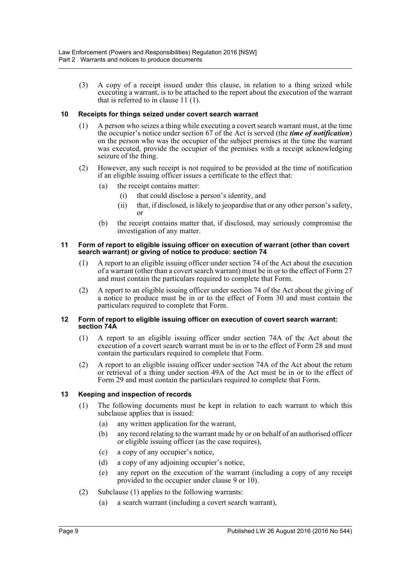(3) A copy of a receipt issued under this clause, in relation to a thing seized while executing a warrant, is to be attached to the report about the execution of the warrant that is referred to in clause 11 (1).

### <span id="page-8-0"></span>**10 Receipts for things seized under covert search warrant**

- (1) A person who seizes a thing while executing a covert search warrant must, at the time the occupier's notice under section 67 of the Act is served (the *time of notification*) on the person who was the occupier of the subject premises at the time the warrant was executed, provide the occupier of the premises with a receipt acknowledging seizure of the thing.
- (2) However, any such receipt is not required to be provided at the time of notification if an eligible issuing officer issues a certificate to the effect that:
	- (a) the receipt contains matter:
		- (i) that could disclose a person's identity, and
		- (ii) that, if disclosed, is likely to jeopardise that or any other person's safety, or
	- (b) the receipt contains matter that, if disclosed, may seriously compromise the investigation of any matter.

### <span id="page-8-1"></span>**11 Form of report to eligible issuing officer on execution of warrant (other than covert search warrant) or giving of notice to produce: section 74**

- (1) A report to an eligible issuing officer under section 74 of the Act about the execution of a warrant (other than a covert search warrant) must be in or to the effect of Form 27 and must contain the particulars required to complete that Form.
- (2) A report to an eligible issuing officer under section 74 of the Act about the giving of a notice to produce must be in or to the effect of Form 30 and must contain the particulars required to complete that Form.

### <span id="page-8-2"></span>**12 Form of report to eligible issuing officer on execution of covert search warrant: section 74A**

- (1) A report to an eligible issuing officer under section 74A of the Act about the execution of a covert search warrant must be in or to the effect of Form 28 and must contain the particulars required to complete that Form.
- (2) A report to an eligible issuing officer under section 74A of the Act about the return or retrieval of a thing under section 49A of the Act must be in or to the effect of Form 29 and must contain the particulars required to complete that Form.

### <span id="page-8-3"></span>**13 Keeping and inspection of records**

- (1) The following documents must be kept in relation to each warrant to which this subclause applies that is issued:
	- (a) any written application for the warrant,
	- (b) any record relating to the warrant made by or on behalf of an authorised officer or eligible issuing officer (as the case requires),
	- (c) a copy of any occupier's notice,
	- (d) a copy of any adjoining occupier's notice,
	- (e) any report on the execution of the warrant (including a copy of any receipt provided to the occupier under clause 9 or 10).
- (2) Subclause (1) applies to the following warrants:
	- (a) a search warrant (including a covert search warrant),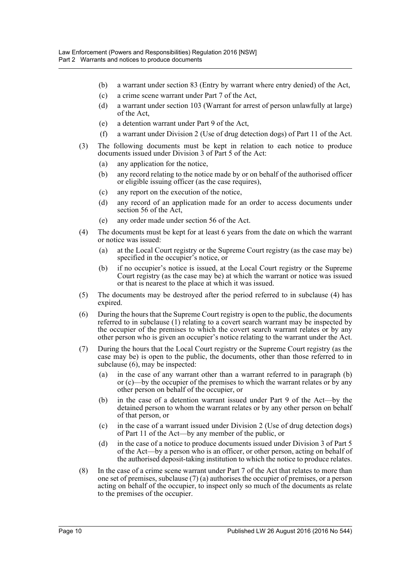- (b) a warrant under section 83 (Entry by warrant where entry denied) of the Act,
- (c) a crime scene warrant under Part 7 of the Act,
- (d) a warrant under section 103 (Warrant for arrest of person unlawfully at large) of the Act,
- (e) a detention warrant under Part 9 of the Act,
- (f) a warrant under Division 2 (Use of drug detection dogs) of Part 11 of the Act.
- (3) The following documents must be kept in relation to each notice to produce documents issued under Division 3 of Part 5 of the Act:
	- (a) any application for the notice,
	- (b) any record relating to the notice made by or on behalf of the authorised officer or eligible issuing officer (as the case requires),
	- (c) any report on the execution of the notice,
	- (d) any record of an application made for an order to access documents under section 56 of the Act,
	- (e) any order made under section 56 of the Act.
- (4) The documents must be kept for at least 6 years from the date on which the warrant or notice was issued:
	- (a) at the Local Court registry or the Supreme Court registry (as the case may be) specified in the occupier's notice, or
	- (b) if no occupier's notice is issued, at the Local Court registry or the Supreme Court registry (as the case may be) at which the warrant or notice was issued or that is nearest to the place at which it was issued.
- (5) The documents may be destroyed after the period referred to in subclause (4) has expired.
- (6) During the hours that the Supreme Court registry is open to the public, the documents referred to in subclause (1) relating to a covert search warrant may be inspected by the occupier of the premises to which the covert search warrant relates or by any other person who is given an occupier's notice relating to the warrant under the Act.
- (7) During the hours that the Local Court registry or the Supreme Court registry (as the case may be) is open to the public, the documents, other than those referred to in subclause (6), may be inspected:
	- (a) in the case of any warrant other than a warrant referred to in paragraph (b) or (c)—by the occupier of the premises to which the warrant relates or by any other person on behalf of the occupier, or
	- (b) in the case of a detention warrant issued under Part 9 of the Act—by the detained person to whom the warrant relates or by any other person on behalf of that person, or
	- (c) in the case of a warrant issued under Division 2 (Use of drug detection dogs) of Part 11 of the Act—by any member of the public, or
	- (d) in the case of a notice to produce documents issued under Division 3 of Part 5 of the Act—by a person who is an officer, or other person, acting on behalf of the authorised deposit-taking institution to which the notice to produce relates.
- (8) In the case of a crime scene warrant under Part 7 of the Act that relates to more than one set of premises, subclause (7) (a) authorises the occupier of premises, or a person acting on behalf of the occupier, to inspect only so much of the documents as relate to the premises of the occupier.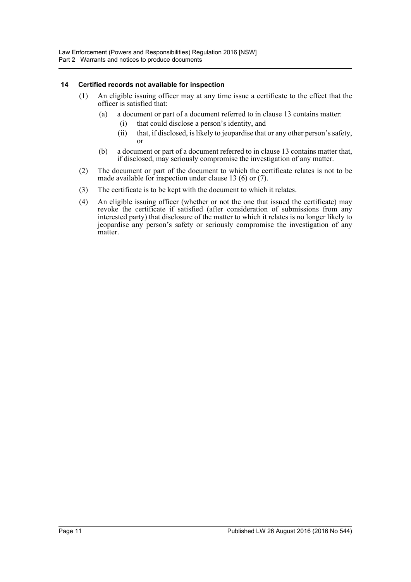### <span id="page-10-0"></span>**14 Certified records not available for inspection**

- (1) An eligible issuing officer may at any time issue a certificate to the effect that the officer is satisfied that:
	- (a) a document or part of a document referred to in clause 13 contains matter:
		- (i) that could disclose a person's identity, and
		- (ii) that, if disclosed, is likely to jeopardise that or any other person's safety, or
	- (b) a document or part of a document referred to in clause 13 contains matter that, if disclosed, may seriously compromise the investigation of any matter.
- (2) The document or part of the document to which the certificate relates is not to be made available for inspection under clause 13 (6) or (7).
- (3) The certificate is to be kept with the document to which it relates.
- (4) An eligible issuing officer (whether or not the one that issued the certificate) may revoke the certificate if satisfied (after consideration of submissions from any interested party) that disclosure of the matter to which it relates is no longer likely to jeopardise any person's safety or seriously compromise the investigation of any matter.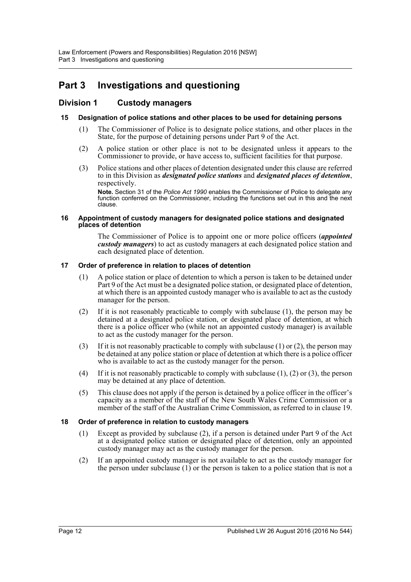# <span id="page-11-0"></span>**Part 3 Investigations and questioning**

### <span id="page-11-1"></span>**Division 1 Custody managers**

### <span id="page-11-2"></span>**15 Designation of police stations and other places to be used for detaining persons**

- (1) The Commissioner of Police is to designate police stations, and other places in the State, for the purpose of detaining persons under Part 9 of the Act.
- (2) A police station or other place is not to be designated unless it appears to the Commissioner to provide, or have access to, sufficient facilities for that purpose.
- (3) Police stations and other places of detention designated under this clause are referred to in this Division as *designated police stations* and *designated places of detention*, respectively.

**Note.** Section 31 of the *Police Act 1990* enables the Commissioner of Police to delegate any function conferred on the Commissioner, including the functions set out in this and the next clause.

#### <span id="page-11-3"></span>**16 Appointment of custody managers for designated police stations and designated places of detention**

The Commissioner of Police is to appoint one or more police officers (*appointed custody managers*) to act as custody managers at each designated police station and each designated place of detention.

### <span id="page-11-4"></span>**17 Order of preference in relation to places of detention**

- (1) A police station or place of detention to which a person is taken to be detained under Part 9 of the Act must be a designated police station, or designated place of detention, at which there is an appointed custody manager who is available to act as the custody manager for the person.
- (2) If it is not reasonably practicable to comply with subclause (1), the person may be detained at a designated police station, or designated place of detention, at which there is a police officer who (while not an appointed custody manager) is available to act as the custody manager for the person.
- (3) If it is not reasonably practicable to comply with subclause (1) or (2), the person may be detained at any police station or place of detention at which there is a police officer who is available to act as the custody manager for the person.
- (4) If it is not reasonably practicable to comply with subclause  $(1)$ ,  $(2)$  or  $(3)$ , the person may be detained at any place of detention.
- (5) This clause does not apply if the person is detained by a police officer in the officer's capacity as a member of the staff of the New South Wales Crime Commission or a member of the staff of the Australian Crime Commission, as referred to in clause 19.

### <span id="page-11-5"></span>**18 Order of preference in relation to custody managers**

- (1) Except as provided by subclause (2), if a person is detained under Part 9 of the Act at a designated police station or designated place of detention, only an appointed custody manager may act as the custody manager for the person.
- (2) If an appointed custody manager is not available to act as the custody manager for the person under subclause (1) or the person is taken to a police station that is not a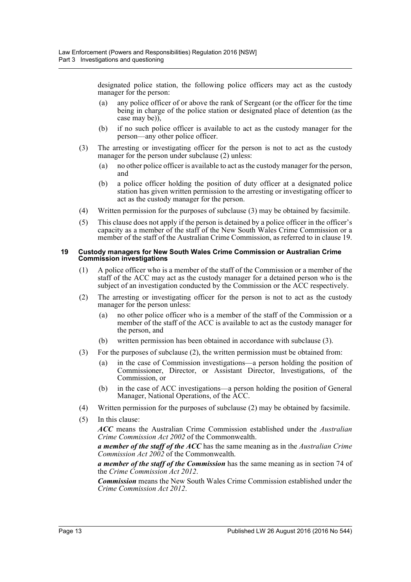designated police station, the following police officers may act as the custody manager for the person:

- (a) any police officer of or above the rank of Sergeant (or the officer for the time being in charge of the police station or designated place of detention (as the case may be)),
- (b) if no such police officer is available to act as the custody manager for the person—any other police officer.
- (3) The arresting or investigating officer for the person is not to act as the custody manager for the person under subclause (2) unless:
	- (a) no other police officer is available to act as the custody manager for the person, and
	- (b) a police officer holding the position of duty officer at a designated police station has given written permission to the arresting or investigating officer to act as the custody manager for the person.
- (4) Written permission for the purposes of subclause (3) may be obtained by facsimile.
- (5) This clause does not apply if the person is detained by a police officer in the officer's capacity as a member of the staff of the New South Wales Crime Commission or a member of the staff of the Australian Crime Commission, as referred to in clause 19.

### <span id="page-12-0"></span>**19 Custody managers for New South Wales Crime Commission or Australian Crime Commission investigations**

- (1) A police officer who is a member of the staff of the Commission or a member of the staff of the ACC may act as the custody manager for a detained person who is the subject of an investigation conducted by the Commission or the ACC respectively.
- (2) The arresting or investigating officer for the person is not to act as the custody manager for the person unless:
	- (a) no other police officer who is a member of the staff of the Commission or a member of the staff of the ACC is available to act as the custody manager for the person, and
	- (b) written permission has been obtained in accordance with subclause (3).
- (3) For the purposes of subclause (2), the written permission must be obtained from:
	- (a) in the case of Commission investigations—a person holding the position of Commissioner, Director, or Assistant Director, Investigations, of the Commission, or
	- (b) in the case of ACC investigations—a person holding the position of General Manager, National Operations, of the ACC.
- (4) Written permission for the purposes of subclause (2) may be obtained by facsimile.
- (5) In this clause:

*ACC* means the Australian Crime Commission established under the *Australian Crime Commission Act 2002* of the Commonwealth.

*a member of the staff of the ACC* has the same meaning as in the *Australian Crime Commission Act 2002* of the Commonwealth.

*a member of the staff of the Commission* has the same meaning as in section 74 of the *Crime Commission Act 2012*.

*Commission* means the New South Wales Crime Commission established under the *Crime Commission Act 2012*.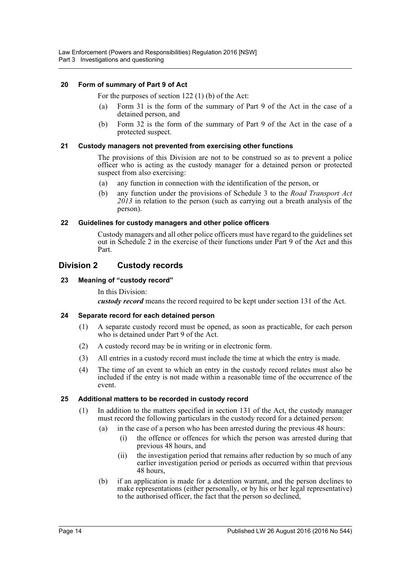### <span id="page-13-0"></span>**20 Form of summary of Part 9 of Act**

For the purposes of section 122 (1) (b) of the Act:

- (a) Form 31 is the form of the summary of Part 9 of the Act in the case of a detained person, and
- (b) Form 32 is the form of the summary of Part 9 of the Act in the case of a protected suspect.

### <span id="page-13-1"></span>**21 Custody managers not prevented from exercising other functions**

The provisions of this Division are not to be construed so as to prevent a police officer who is acting as the custody manager for a detained person or protected suspect from also exercising:

- (a) any function in connection with the identification of the person, or
- (b) any function under the provisions of Schedule 3 to the *Road Transport Act 2013* in relation to the person (such as carrying out a breath analysis of the person).

### <span id="page-13-2"></span>**22 Guidelines for custody managers and other police officers**

Custody managers and all other police officers must have regard to the guidelines set out in Schedule 2 in the exercise of their functions under Part 9 of the Act and this Part.

### <span id="page-13-3"></span>**Division 2 Custody records**

### <span id="page-13-4"></span>**23 Meaning of "custody record"**

In this Division: *custody record* means the record required to be kept under section 131 of the Act.

### <span id="page-13-5"></span>**24 Separate record for each detained person**

- (1) A separate custody record must be opened, as soon as practicable, for each person who is detained under Part 9 of the Act.
- (2) A custody record may be in writing or in electronic form.
- (3) All entries in a custody record must include the time at which the entry is made.
- (4) The time of an event to which an entry in the custody record relates must also be included if the entry is not made within a reasonable time of the occurrence of the event.

### <span id="page-13-6"></span>**25 Additional matters to be recorded in custody record**

- (1) In addition to the matters specified in section 131 of the Act, the custody manager must record the following particulars in the custody record for a detained person:
	- (a) in the case of a person who has been arrested during the previous 48 hours:
		- (i) the offence or offences for which the person was arrested during that previous 48 hours, and
		- (ii) the investigation period that remains after reduction by so much of any earlier investigation period or periods as occurred within that previous 48 hours,
	- (b) if an application is made for a detention warrant, and the person declines to make representations (either personally, or by his or her legal representative) to the authorised officer, the fact that the person so declined,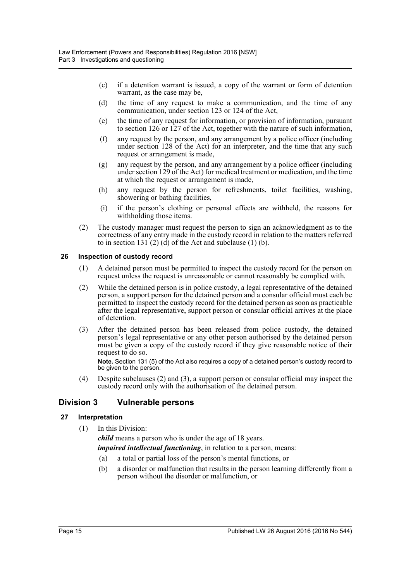- (c) if a detention warrant is issued, a copy of the warrant or form of detention warrant, as the case may be,
- (d) the time of any request to make a communication, and the time of any communication, under section 123 or 124 of the Act,
- (e) the time of any request for information, or provision of information, pursuant to section 126 or 127 of the Act, together with the nature of such information,
- (f) any request by the person, and any arrangement by a police officer (including under section 128 of the Act) for an interpreter, and the time that any such request or arrangement is made,
- (g) any request by the person, and any arrangement by a police officer (including under section 129 of the Act) for medical treatment or medication, and the time at which the request or arrangement is made,
- (h) any request by the person for refreshments, toilet facilities, washing, showering or bathing facilities,
- (i) if the person's clothing or personal effects are withheld, the reasons for withholding those items.
- (2) The custody manager must request the person to sign an acknowledgment as to the correctness of any entry made in the custody record in relation to the matters referred to in section 131 $(2)$  (d) of the Act and subclause  $(1)$  (b).

### <span id="page-14-0"></span>**26 Inspection of custody record**

- (1) A detained person must be permitted to inspect the custody record for the person on request unless the request is unreasonable or cannot reasonably be complied with.
- (2) While the detained person is in police custody, a legal representative of the detained person, a support person for the detained person and a consular official must each be permitted to inspect the custody record for the detained person as soon as practicable after the legal representative, support person or consular official arrives at the place of detention.
- (3) After the detained person has been released from police custody, the detained person's legal representative or any other person authorised by the detained person must be given a copy of the custody record if they give reasonable notice of their request to do so.

**Note.** Section 131 (5) of the Act also requires a copy of a detained person's custody record to be given to the person.

(4) Despite subclauses (2) and (3), a support person or consular official may inspect the custody record only with the authorisation of the detained person.

### <span id="page-14-1"></span>**Division 3 Vulnerable persons**

### <span id="page-14-2"></span>**27 Interpretation**

(1) In this Division:

*child* means a person who is under the age of 18 years.

*impaired intellectual functioning*, in relation to a person, means:

- (a) a total or partial loss of the person's mental functions, or
- (b) a disorder or malfunction that results in the person learning differently from a person without the disorder or malfunction, or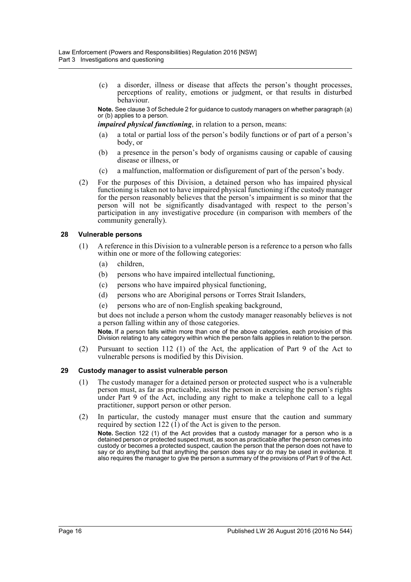(c) a disorder, illness or disease that affects the person's thought processes, perceptions of reality, emotions or judgment, or that results in disturbed behaviour.

**Note.** See clause 3 of Schedule 2 for guidance to custody managers on whether paragraph (a) or (b) applies to a person.

*impaired physical functioning*, in relation to a person, means:

- (a) a total or partial loss of the person's bodily functions or of part of a person's body, or
- (b) a presence in the person's body of organisms causing or capable of causing disease or illness, or
- (c) a malfunction, malformation or disfigurement of part of the person's body.
- (2) For the purposes of this Division, a detained person who has impaired physical functioning is taken not to have impaired physical functioning if the custody manager for the person reasonably believes that the person's impairment is so minor that the person will not be significantly disadvantaged with respect to the person's participation in any investigative procedure (in comparison with members of the community generally).

### <span id="page-15-0"></span>**28 Vulnerable persons**

- (1) A reference in this Division to a vulnerable person is a reference to a person who falls within one or more of the following categories:
	- (a) children,
	- (b) persons who have impaired intellectual functioning,
	- (c) persons who have impaired physical functioning,
	- (d) persons who are Aboriginal persons or Torres Strait Islanders,
	- (e) persons who are of non-English speaking background,

but does not include a person whom the custody manager reasonably believes is not a person falling within any of those categories.

**Note.** If a person falls within more than one of the above categories, each provision of this Division relating to any category within which the person falls applies in relation to the person.

(2) Pursuant to section 112 (1) of the Act, the application of Part 9 of the Act to vulnerable persons is modified by this Division.

#### <span id="page-15-1"></span>**29 Custody manager to assist vulnerable person**

- (1) The custody manager for a detained person or protected suspect who is a vulnerable person must, as far as practicable, assist the person in exercising the person's rights under Part 9 of the Act, including any right to make a telephone call to a legal practitioner, support person or other person.
- (2) In particular, the custody manager must ensure that the caution and summary required by section 122 (1) of the Act is given to the person. **Note.** Section 122 (1) of the Act provides that a custody manager for a person who is a detained person or protected suspect must, as soon as practicable after the person comes into custody or becomes a protected suspect, caution the person that the person does not have to say or do anything but that anything the person does say or do may be used in evidence. It

also requires the manager to give the person a summary of the provisions of Part 9 of the Act.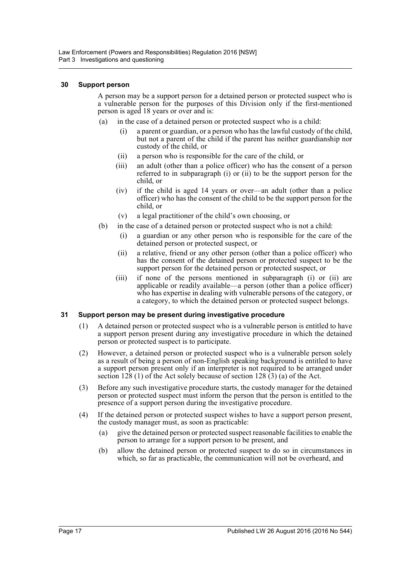### <span id="page-16-0"></span>**30 Support person**

A person may be a support person for a detained person or protected suspect who is a vulnerable person for the purposes of this Division only if the first-mentioned person is aged 18 years or over and is:

- (a) in the case of a detained person or protected suspect who is a child:
	- (i) a parent or guardian, or a person who has the lawful custody of the child, but not a parent of the child if the parent has neither guardianship nor custody of the child, or
	- (ii) a person who is responsible for the care of the child, or
	- (iii) an adult (other than a police officer) who has the consent of a person referred to in subparagraph (i) or (ii) to be the support person for the child, or
	- (iv) if the child is aged 14 years or over—an adult (other than a police officer) who has the consent of the child to be the support person for the child, or
	- (v) a legal practitioner of the child's own choosing, or
- (b) in the case of a detained person or protected suspect who is not a child:
	- (i) a guardian or any other person who is responsible for the care of the detained person or protected suspect, or
	- (ii) a relative, friend or any other person (other than a police officer) who has the consent of the detained person or protected suspect to be the support person for the detained person or protected suspect, or
	- (iii) if none of the persons mentioned in subparagraph (i) or (ii) are applicable or readily available—a person (other than a police officer) who has expertise in dealing with vulnerable persons of the category, or a category, to which the detained person or protected suspect belongs.

### <span id="page-16-1"></span>**31 Support person may be present during investigative procedure**

- (1) A detained person or protected suspect who is a vulnerable person is entitled to have a support person present during any investigative procedure in which the detained person or protected suspect is to participate.
- (2) However, a detained person or protected suspect who is a vulnerable person solely as a result of being a person of non-English speaking background is entitled to have a support person present only if an interpreter is not required to be arranged under section 128 (1) of the Act solely because of section 128  $(3)$  (a) of the Act.
- (3) Before any such investigative procedure starts, the custody manager for the detained person or protected suspect must inform the person that the person is entitled to the presence of a support person during the investigative procedure.
- (4) If the detained person or protected suspect wishes to have a support person present, the custody manager must, as soon as practicable:
	- (a) give the detained person or protected suspect reasonable facilities to enable the person to arrange for a support person to be present, and
	- (b) allow the detained person or protected suspect to do so in circumstances in which, so far as practicable, the communication will not be overheard, and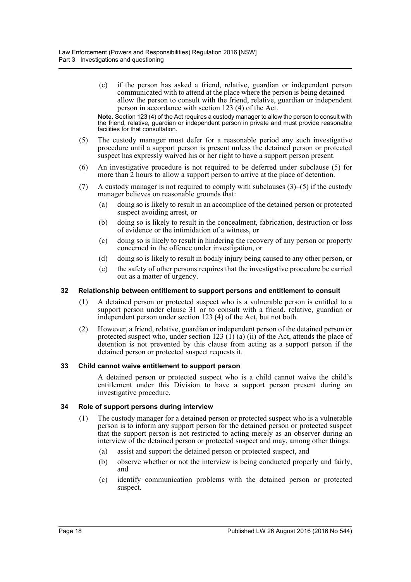(c) if the person has asked a friend, relative, guardian or independent person communicated with to attend at the place where the person is being detained allow the person to consult with the friend, relative, guardian or independent person in accordance with section 123 (4) of the Act.

**Note.** Section 123 (4) of the Act requires a custody manager to allow the person to consult with the friend, relative, guardian or independent person in private and must provide reasonable facilities for that consultation.

- (5) The custody manager must defer for a reasonable period any such investigative procedure until a support person is present unless the detained person or protected suspect has expressly waived his or her right to have a support person present.
- (6) An investigative procedure is not required to be deferred under subclause (5) for more than  $\overline{2}$  hours to allow a support person to arrive at the place of detention.
- (7) A custody manager is not required to comply with subclauses (3)–(5) if the custody manager believes on reasonable grounds that:
	- (a) doing so is likely to result in an accomplice of the detained person or protected suspect avoiding arrest, or
	- (b) doing so is likely to result in the concealment, fabrication, destruction or loss of evidence or the intimidation of a witness, or
	- (c) doing so is likely to result in hindering the recovery of any person or property concerned in the offence under investigation, or
	- (d) doing so is likely to result in bodily injury being caused to any other person, or
	- (e) the safety of other persons requires that the investigative procedure be carried out as a matter of urgency.

### <span id="page-17-0"></span>**32 Relationship between entitlement to support persons and entitlement to consult**

- (1) A detained person or protected suspect who is a vulnerable person is entitled to a support person under clause 31 or to consult with a friend, relative, guardian or independent person under section 123 (4) of the Act, but not both.
- (2) However, a friend, relative, guardian or independent person of the detained person or protected suspect who, under section 123  $(1)$  (a)  $(ii)$  of the Act, attends the place of detention is not prevented by this clause from acting as a support person if the detained person or protected suspect requests it.

### <span id="page-17-1"></span>**33 Child cannot waive entitlement to support person**

A detained person or protected suspect who is a child cannot waive the child's entitlement under this Division to have a support person present during an investigative procedure.

### <span id="page-17-2"></span>**34 Role of support persons during interview**

- (1) The custody manager for a detained person or protected suspect who is a vulnerable person is to inform any support person for the detained person or protected suspect that the support person is not restricted to acting merely as an observer during an interview of the detained person or protected suspect and may, among other things:
	- (a) assist and support the detained person or protected suspect, and
	- (b) observe whether or not the interview is being conducted properly and fairly, and
	- (c) identify communication problems with the detained person or protected suspect.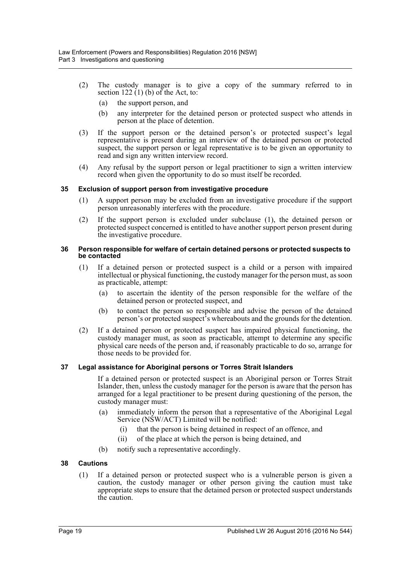- (2) The custody manager is to give a copy of the summary referred to in section  $122 (1)$  (b) of the Act, to:
	- (a) the support person, and
	- (b) any interpreter for the detained person or protected suspect who attends in person at the place of detention.
- (3) If the support person or the detained person's or protected suspect's legal representative is present during an interview of the detained person or protected suspect, the support person or legal representative is to be given an opportunity to read and sign any written interview record.
- (4) Any refusal by the support person or legal practitioner to sign a written interview record when given the opportunity to do so must itself be recorded.

### <span id="page-18-0"></span>**35 Exclusion of support person from investigative procedure**

- (1) A support person may be excluded from an investigative procedure if the support person unreasonably interferes with the procedure.
- (2) If the support person is excluded under subclause (1), the detained person or protected suspect concerned is entitled to have another support person present during the investigative procedure.

### <span id="page-18-1"></span>**36 Person responsible for welfare of certain detained persons or protected suspects to be contacted**

- (1) If a detained person or protected suspect is a child or a person with impaired intellectual or physical functioning, the custody manager for the person must, as soon as practicable, attempt:
	- (a) to ascertain the identity of the person responsible for the welfare of the detained person or protected suspect, and
	- (b) to contact the person so responsible and advise the person of the detained person's or protected suspect's whereabouts and the grounds for the detention.
- (2) If a detained person or protected suspect has impaired physical functioning, the custody manager must, as soon as practicable, attempt to determine any specific physical care needs of the person and, if reasonably practicable to do so, arrange for those needs to be provided for.

### <span id="page-18-2"></span>**37 Legal assistance for Aboriginal persons or Torres Strait Islanders**

If a detained person or protected suspect is an Aboriginal person or Torres Strait Islander, then, unless the custody manager for the person is aware that the person has arranged for a legal practitioner to be present during questioning of the person, the custody manager must:

- (a) immediately inform the person that a representative of the Aboriginal Legal Service (NSW/ACT) Limited will be notified:
	- (i) that the person is being detained in respect of an offence, and
	- (ii) of the place at which the person is being detained, and
- (b) notify such a representative accordingly.

### <span id="page-18-3"></span>**38 Cautions**

(1) If a detained person or protected suspect who is a vulnerable person is given a caution, the custody manager or other person giving the caution must take appropriate steps to ensure that the detained person or protected suspect understands the caution.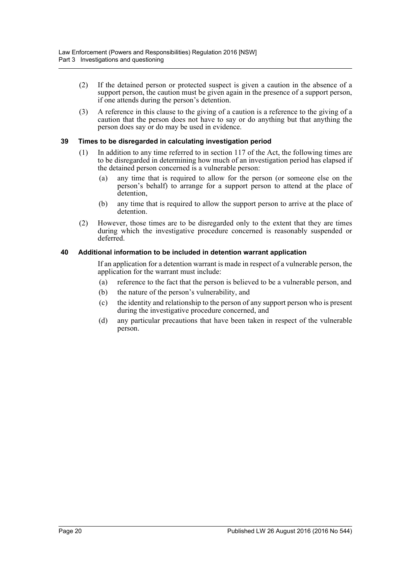- (2) If the detained person or protected suspect is given a caution in the absence of a support person, the caution must be given again in the presence of a support person, if one attends during the person's detention.
- (3) A reference in this clause to the giving of a caution is a reference to the giving of a caution that the person does not have to say or do anything but that anything the person does say or do may be used in evidence.

### <span id="page-19-0"></span>**39 Times to be disregarded in calculating investigation period**

- (1) In addition to any time referred to in section 117 of the Act, the following times are to be disregarded in determining how much of an investigation period has elapsed if the detained person concerned is a vulnerable person:
	- (a) any time that is required to allow for the person (or someone else on the person's behalf) to arrange for a support person to attend at the place of detention,
	- (b) any time that is required to allow the support person to arrive at the place of detention.
- (2) However, those times are to be disregarded only to the extent that they are times during which the investigative procedure concerned is reasonably suspended or deferred.

### <span id="page-19-1"></span>**40 Additional information to be included in detention warrant application**

If an application for a detention warrant is made in respect of a vulnerable person, the application for the warrant must include:

- (a) reference to the fact that the person is believed to be a vulnerable person, and
- (b) the nature of the person's vulnerability, and
- (c) the identity and relationship to the person of any support person who is present during the investigative procedure concerned, and
- (d) any particular precautions that have been taken in respect of the vulnerable person.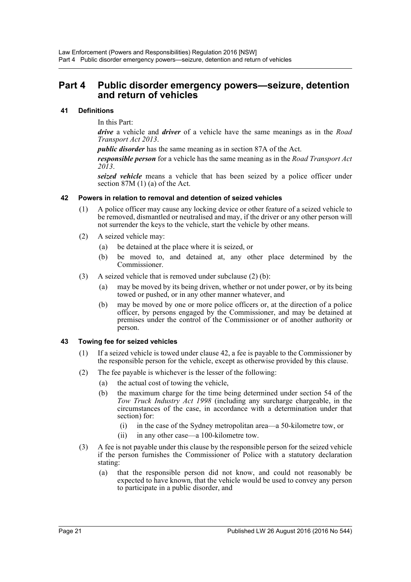### <span id="page-20-0"></span>**Part 4 Public disorder emergency powers—seizure, detention and return of vehicles**

### <span id="page-20-1"></span>**41 Definitions**

In this Part:

*drive* a vehicle and *driver* of a vehicle have the same meanings as in the *Road Transport Act 2013*.

*public disorder* has the same meaning as in section 87A of the Act.

*responsible person* for a vehicle has the same meaning as in the *Road Transport Act 2013*.

*seized vehicle* means a vehicle that has been seized by a police officer under section 87M (1) (a) of the Act.

### <span id="page-20-2"></span>**42 Powers in relation to removal and detention of seized vehicles**

- (1) A police officer may cause any locking device or other feature of a seized vehicle to be removed, dismantled or neutralised and may, if the driver or any other person will not surrender the keys to the vehicle, start the vehicle by other means.
- (2) A seized vehicle may:
	- (a) be detained at the place where it is seized, or
	- (b) be moved to, and detained at, any other place determined by the Commissioner.
- (3) A seized vehicle that is removed under subclause (2) (b):
	- may be moved by its being driven, whether or not under power, or by its being towed or pushed, or in any other manner whatever, and
	- (b) may be moved by one or more police officers or, at the direction of a police officer, by persons engaged by the Commissioner, and may be detained at premises under the control of the Commissioner or of another authority or person.

### <span id="page-20-3"></span>**43 Towing fee for seized vehicles**

- (1) If a seized vehicle is towed under clause 42, a fee is payable to the Commissioner by the responsible person for the vehicle, except as otherwise provided by this clause.
- (2) The fee payable is whichever is the lesser of the following:
	- (a) the actual cost of towing the vehicle,
	- (b) the maximum charge for the time being determined under section 54 of the *Tow Truck Industry Act 1998* (including any surcharge chargeable, in the circumstances of the case, in accordance with a determination under that section) for:
		- (i) in the case of the Sydney metropolitan area—a 50-kilometre tow, or
		- (ii) in any other case—a 100-kilometre tow.
- (3) A fee is not payable under this clause by the responsible person for the seized vehicle if the person furnishes the Commissioner of Police with a statutory declaration stating:
	- (a) that the responsible person did not know, and could not reasonably be expected to have known, that the vehicle would be used to convey any person to participate in a public disorder, and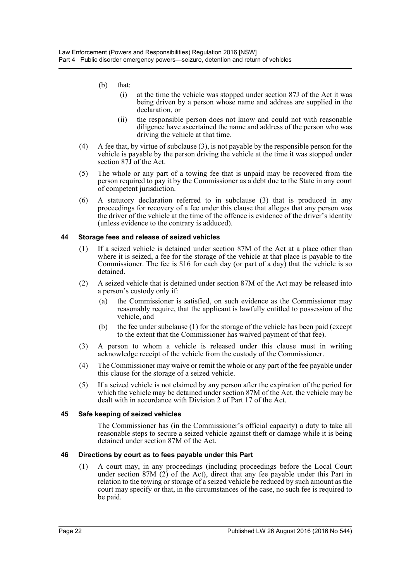- (b) that:
	- (i) at the time the vehicle was stopped under section 87J of the Act it was being driven by a person whose name and address are supplied in the declaration, or
	- (ii) the responsible person does not know and could not with reasonable diligence have ascertained the name and address of the person who was driving the vehicle at that time.
- (4) A fee that, by virtue of subclause (3), is not payable by the responsible person for the vehicle is payable by the person driving the vehicle at the time it was stopped under section 87J of the Act.
- (5) The whole or any part of a towing fee that is unpaid may be recovered from the person required to pay it by the Commissioner as a debt due to the State in any court of competent jurisdiction.
- (6) A statutory declaration referred to in subclause (3) that is produced in any proceedings for recovery of a fee under this clause that alleges that any person was the driver of the vehicle at the time of the offence is evidence of the driver's identity (unless evidence to the contrary is adduced).

### <span id="page-21-0"></span>**44 Storage fees and release of seized vehicles**

- (1) If a seized vehicle is detained under section 87M of the Act at a place other than where it is seized, a fee for the storage of the vehicle at that place is payable to the Commissioner. The fee is \$16 for each day (or part of a day) that the vehicle is so detained.
- (2) A seized vehicle that is detained under section 87M of the Act may be released into a person's custody only if:
	- (a) the Commissioner is satisfied, on such evidence as the Commissioner may reasonably require, that the applicant is lawfully entitled to possession of the vehicle, and
	- (b) the fee under subclause (1) for the storage of the vehicle has been paid (except to the extent that the Commissioner has waived payment of that fee).
- (3) A person to whom a vehicle is released under this clause must in writing acknowledge receipt of the vehicle from the custody of the Commissioner.
- (4) The Commissioner may waive or remit the whole or any part of the fee payable under this clause for the storage of a seized vehicle.
- (5) If a seized vehicle is not claimed by any person after the expiration of the period for which the vehicle may be detained under section 87M of the Act, the vehicle may be dealt with in accordance with Division 2 of Part 17 of the Act.

### <span id="page-21-1"></span>**45 Safe keeping of seized vehicles**

The Commissioner has (in the Commissioner's official capacity) a duty to take all reasonable steps to secure a seized vehicle against theft or damage while it is being detained under section 87M of the Act.

### <span id="page-21-2"></span>**46 Directions by court as to fees payable under this Part**

(1) A court may, in any proceedings (including proceedings before the Local Court under section 87M (2) of the Act), direct that any fee payable under this Part in relation to the towing or storage of a seized vehicle be reduced by such amount as the court may specify or that, in the circumstances of the case, no such fee is required to be paid.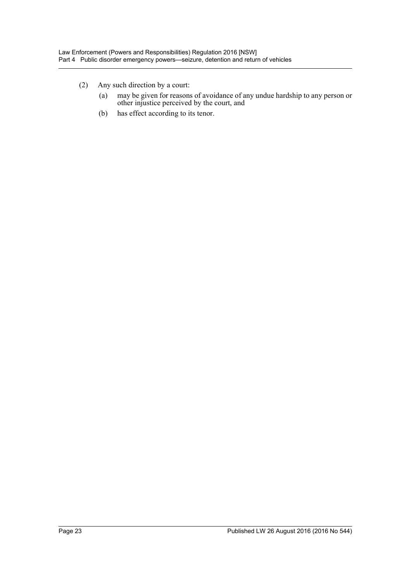- (2) Any such direction by a court:
	- (a) may be given for reasons of avoidance of any undue hardship to any person or other injustice perceived by the court, and
	- (b) has effect according to its tenor.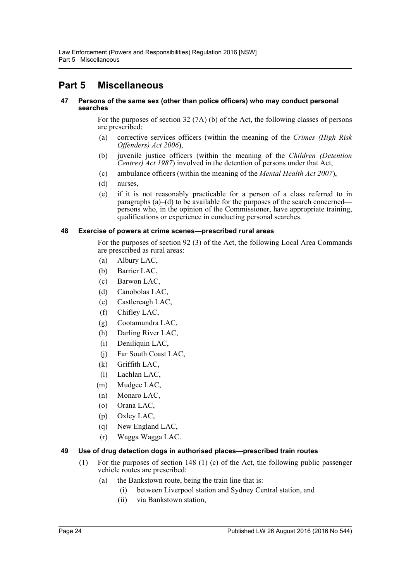# <span id="page-23-0"></span>**Part 5 Miscellaneous**

### <span id="page-23-1"></span>**47 Persons of the same sex (other than police officers) who may conduct personal searches**

For the purposes of section 32 (7A) (b) of the Act, the following classes of persons are prescribed:

- (a) corrective services officers (within the meaning of the *Crimes (High Risk Offenders) Act 2006*),
- (b) juvenile justice officers (within the meaning of the *Children (Detention Centres) Act 1987*) involved in the detention of persons under that Act,
- (c) ambulance officers (within the meaning of the *Mental Health Act 2007*),
- (d) nurses,
- (e) if it is not reasonably practicable for a person of a class referred to in paragraphs (a)–(d) to be available for the purposes of the search concerned persons who, in the opinion of the Commissioner, have appropriate training, qualifications or experience in conducting personal searches.

### <span id="page-23-2"></span>**48 Exercise of powers at crime scenes—prescribed rural areas**

For the purposes of section 92 (3) of the Act, the following Local Area Commands are prescribed as rural areas:

- (a) Albury LAC,
- (b) Barrier LAC,
- (c) Barwon LAC,
- (d) Canobolas LAC,
- (e) Castlereagh LAC,
- (f) Chifley LAC,
- (g) Cootamundra LAC,
- (h) Darling River LAC,
- (i) Deniliquin LAC,
- (j) Far South Coast LAC,
- (k) Griffith LAC,
- (l) Lachlan LAC,
- (m) Mudgee LAC,
- (n) Monaro LAC,
- (o) Orana LAC,
- (p) Oxley LAC,
- (q) New England LAC,
- (r) Wagga Wagga LAC.

### <span id="page-23-3"></span>**49 Use of drug detection dogs in authorised places—prescribed train routes**

- (1) For the purposes of section 148 (1) (c) of the Act, the following public passenger vehicle routes are prescribed:
	- (a) the Bankstown route, being the train line that is:
		- (i) between Liverpool station and Sydney Central station, and
		- (ii) via Bankstown station,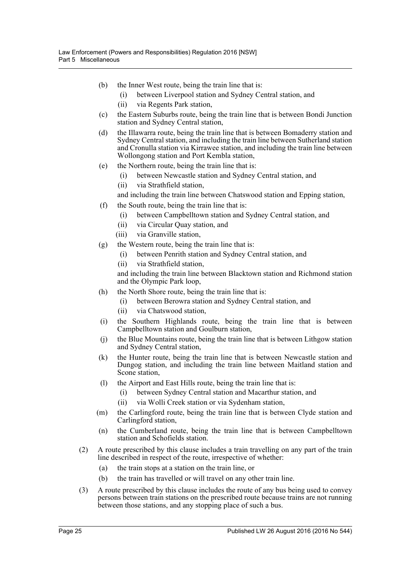- (b) the Inner West route, being the train line that is:
	- (i) between Liverpool station and Sydney Central station, and
	- (ii) via Regents Park station,
- (c) the Eastern Suburbs route, being the train line that is between Bondi Junction station and Sydney Central station,
- (d) the Illawarra route, being the train line that is between Bomaderry station and Sydney Central station, and including the train line between Sutherland station and Cronulla station via Kirrawee station, and including the train line between Wollongong station and Port Kembla station,
- (e) the Northern route, being the train line that is:
	- (i) between Newcastle station and Sydney Central station, and
	- (ii) via Strathfield station,

and including the train line between Chatswood station and Epping station,

- (f) the South route, being the train line that is:
	- (i) between Campbelltown station and Sydney Central station, and
	- (ii) via Circular Quay station, and
	- (iii) via Granville station,
- (g) the Western route, being the train line that is:
	- (i) between Penrith station and Sydney Central station, and
	- (ii) via Strathfield station,

and including the train line between Blacktown station and Richmond station and the Olympic Park loop,

- (h) the North Shore route, being the train line that is:
	- (i) between Berowra station and Sydney Central station, and
	- (ii) via Chatswood station,
- (i) the Southern Highlands route, being the train line that is between Campbelltown station and Goulburn station,
- (j) the Blue Mountains route, being the train line that is between Lithgow station and Sydney Central station,
- (k) the Hunter route, being the train line that is between Newcastle station and Dungog station, and including the train line between Maitland station and Scone station,
- (l) the Airport and East Hills route, being the train line that is:
	- (i) between Sydney Central station and Macarthur station, and
	- (ii) via Wolli Creek station or via Sydenham station,
- (m) the Carlingford route, being the train line that is between Clyde station and Carlingford station,
- (n) the Cumberland route, being the train line that is between Campbelltown station and Schofields station.
- (2) A route prescribed by this clause includes a train travelling on any part of the train line described in respect of the route, irrespective of whether:
	- (a) the train stops at a station on the train line, or
	- (b) the train has travelled or will travel on any other train line.
- (3) A route prescribed by this clause includes the route of any bus being used to convey persons between train stations on the prescribed route because trains are not running between those stations, and any stopping place of such a bus.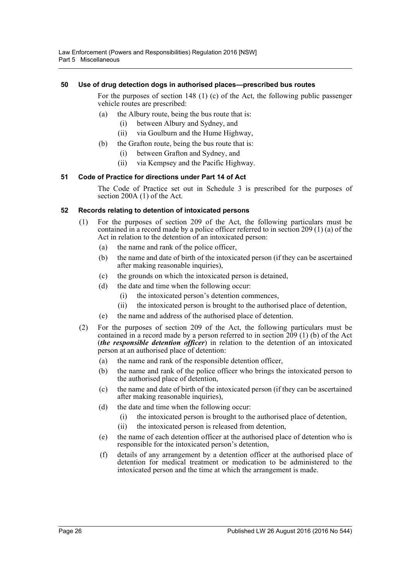### <span id="page-25-0"></span>**50 Use of drug detection dogs in authorised places—prescribed bus routes**

For the purposes of section 148 (1) (c) of the Act, the following public passenger vehicle routes are prescribed:

- (a) the Albury route, being the bus route that is:
	- (i) between Albury and Sydney, and
	- (ii) via Goulburn and the Hume Highway,
- (b) the Grafton route, being the bus route that is:
	- (i) between Grafton and Sydney, and
	- (ii) via Kempsey and the Pacific Highway.

### <span id="page-25-1"></span>**51 Code of Practice for directions under Part 14 of Act**

The Code of Practice set out in Schedule 3 is prescribed for the purposes of section 200A (1) of the Act.

### <span id="page-25-2"></span>**52 Records relating to detention of intoxicated persons**

- (1) For the purposes of section 209 of the Act, the following particulars must be contained in a record made by a police officer referred to in section 209 (1) (a) of the Act in relation to the detention of an intoxicated person:
	- (a) the name and rank of the police officer,
	- (b) the name and date of birth of the intoxicated person (if they can be ascertained after making reasonable inquiries),
	- (c) the grounds on which the intoxicated person is detained,
	- (d) the date and time when the following occur:
		- (i) the intoxicated person's detention commences,
		- (ii) the intoxicated person is brought to the authorised place of detention,
	- (e) the name and address of the authorised place of detention.
- (2) For the purposes of section 209 of the Act, the following particulars must be contained in a record made by a person referred to in section 209 (1) (b) of the Act (*the responsible detention officer*) in relation to the detention of an intoxicated person at an authorised place of detention:
	- (a) the name and rank of the responsible detention officer,
	- (b) the name and rank of the police officer who brings the intoxicated person to the authorised place of detention,
	- (c) the name and date of birth of the intoxicated person (if they can be ascertained after making reasonable inquiries),
	- (d) the date and time when the following occur:
		- (i) the intoxicated person is brought to the authorised place of detention,
		- (ii) the intoxicated person is released from detention,
	- (e) the name of each detention officer at the authorised place of detention who is responsible for the intoxicated person's detention,
	- (f) details of any arrangement by a detention officer at the authorised place of detention for medical treatment or medication to be administered to the intoxicated person and the time at which the arrangement is made.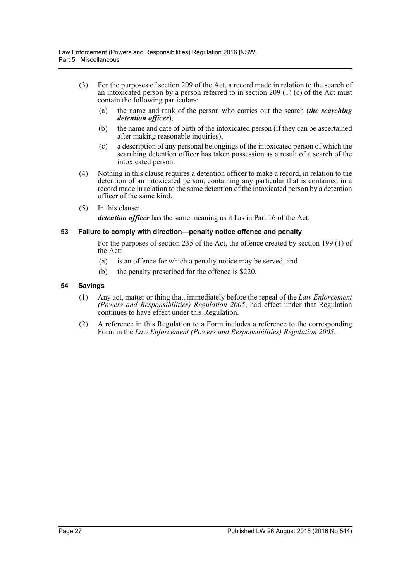- (3) For the purposes of section 209 of the Act, a record made in relation to the search of an intoxicated person by a person referred to in section 209 (1) (c) of the Act must contain the following particulars:
	- (a) the name and rank of the person who carries out the search (*the searching detention officer*),
	- (b) the name and date of birth of the intoxicated person (if they can be ascertained after making reasonable inquiries),
	- (c) a description of any personal belongings of the intoxicated person of which the searching detention officer has taken possession as a result of a search of the intoxicated person.
- (4) Nothing in this clause requires a detention officer to make a record, in relation to the detention of an intoxicated person, containing any particular that is contained in a record made in relation to the same detention of the intoxicated person by a detention officer of the same kind.
- (5) In this clause:

*detention officer* has the same meaning as it has in Part 16 of the Act.

### <span id="page-26-0"></span>**53 Failure to comply with direction—penalty notice offence and penalty**

For the purposes of section 235 of the Act, the offence created by section 199 (1) of the Act:

- (a) is an offence for which a penalty notice may be served, and
- (b) the penalty prescribed for the offence is \$220.

### <span id="page-26-1"></span>**54 Savings**

- (1) Any act, matter or thing that, immediately before the repeal of the *Law Enforcement (Powers and Responsibilities) Regulation 2005*, had effect under that Regulation continues to have effect under this Regulation.
- (2) A reference in this Regulation to a Form includes a reference to the corresponding Form in the *Law Enforcement (Powers and Responsibilities) Regulation 2005*.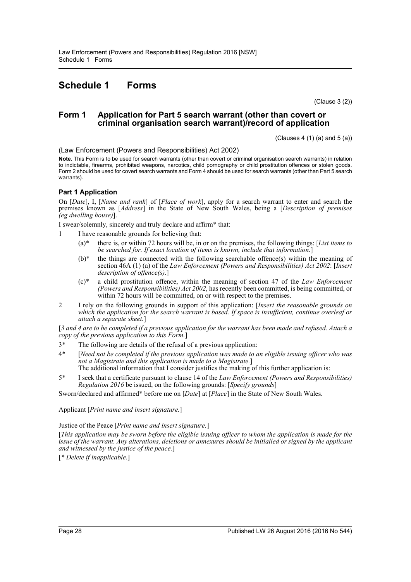# <span id="page-27-0"></span>**Schedule 1 Forms**

(Clause 3 (2))

### **Form 1 Application for Part 5 search warrant (other than covert or criminal organisation search warrant)/record of application**

 $(Clauses 4 (1) (a) and 5 (a))$ 

(Law Enforcement (Powers and Responsibilities) Act 2002)

**Note.** This Form is to be used for search warrants (other than covert or criminal organisation search warrants) in relation to indictable, firearms, prohibited weapons, narcotics, child pornography or child prostitution offences or stolen goods. Form 2 should be used for covert search warrants and Form 4 should be used for search warrants (other than Part 5 search warrants).

### **Part 1 Application**

On [*Date*], I, [*Name and rank*] of [*Place of work*], apply for a search warrant to enter and search the premises known as [*Address*] in the State of New South Wales, being a [*Description of premises (eg dwelling house)*].

I swear/solemnly, sincerely and truly declare and affirm\* that:

- 1 I have reasonable grounds for believing that:
	- (a)\* there is, or within 72 hours will be, in or on the premises, the following things: [*List items to be searched for. If exact location of items is known, include that information.*]
	- $(b)^*$  the things are connected with the following searchable offence(s) within the meaning of section 46A (1) (a) of the *Law Enforcement (Powers and Responsibilities) Act 2002*: [*Insert description of offence(s).*]
	- (c)\* a child prostitution offence, within the meaning of section 47 of the *Law Enforcement (Powers and Responsibilities) Act 2002*, has recently been committed, is being committed, or within 72 hours will be committed, on or with respect to the premises.
- 2 I rely on the following grounds in support of this application: [*Insert the reasonable grounds on which the application for the search warrant is based. If space is insufficient, continue overleaf or attach a separate sheet.*]

[*3 and 4 are to be completed if a previous application for the warrant has been made and refused. Attach a copy of the previous application to this Form.*]

- 3\* The following are details of the refusal of a previous application:
- 4\* [*Need not be completed if the previous application was made to an eligible issuing officer who was not a Magistrate and this application is made to a Magistrate.*] The additional information that I consider justifies the making of this further application is:
- 5\* I seek that a certificate pursuant to clause 14 of the *Law Enforcement (Powers and Responsibilities) Regulation 2016* be issued, on the following grounds: [*Specify grounds*]

Sworn/declared and affirmed\* before me on [*Date*] at [*Place*] in the State of New South Wales.

Applicant [*Print name and insert signature.*]

Justice of the Peace [*Print name and insert signature.*]

[*This application may be sworn before the eligible issuing officer to whom the application is made for the issue of the warrant. Any alterations, deletions or annexures should be initialled or signed by the applicant and witnessed by the justice of the peace.*]

[*\* Delete if inapplicable.*]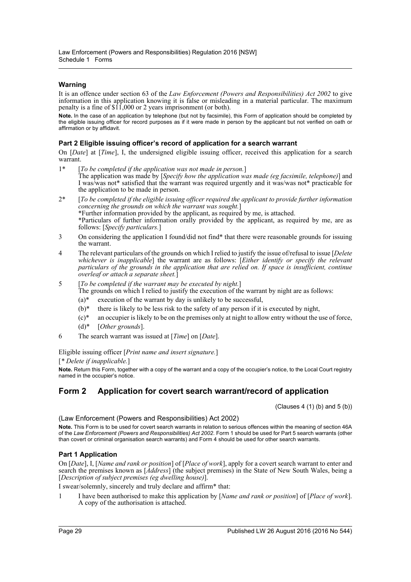### **Warning**

It is an offence under section 63 of the *Law Enforcement (Powers and Responsibilities) Act 2002* to give information in this application knowing it is false or misleading in a material particular. The maximum penalty is a fine of \$11,000 or 2 years imprisonment (or both).

**Note.** In the case of an application by telephone (but not by facsimile), this Form of application should be completed by the eligible issuing officer for record purposes as if it were made in person by the applicant but not verified on oath or affirmation or by affidavit.

### **Part 2 Eligible issuing officer's record of application for a search warrant**

On [*Date*] at [*Time*], I, the undersigned eligible issuing officer, received this application for a search warrant.

- 1\* [*To be completed if the application was not made in person.*] The application was made by [*Specify how the application was made (eg facsimile, telephone)*] and I was/was not\* satisfied that the warrant was required urgently and it was/was not\* practicable for the application to be made in person.
- 2\* [*To be completed if the eligible issuing officer required the applicant to provide further information concerning the grounds on which the warrant was sought.*] \*Further information provided by the applicant, as required by me, is attached. \*Particulars of further information orally provided by the applicant, as required by me, are as follows: [*Specify particulars.*]
- 3 On considering the application I found/did not find\* that there were reasonable grounds for issuing the warrant.
- 4 The relevant particulars of the grounds on which I relied to justify the issue of/refusal to issue [*Delete whichever is inapplicable*] the warrant are as follows: [*Either identify or specify the relevant particulars of the grounds in the application that are relied on. If space is insufficient, continue overleaf or attach a separate sheet.*]
- 5 [*To be completed if the warrant may be executed by night.*]

The grounds on which I relied to justify the execution of the warrant by night are as follows:

- $(a)^*$  execution of the warrant by day is unlikely to be successful,
- $(b)^*$  there is likely to be less risk to the safety of any person if it is executed by night,
- $(c)^*$  an occupier is likely to be on the premises only at night to allow entry without the use of force,
- (d)\* [*Other grounds*].
- 6 The search warrant was issued at [*Time*] on [*Date*].

Eligible issuing officer [*Print name and insert signature.*]

[*\* Delete if inapplicable.*]

**Note.** Return this Form, together with a copy of the warrant and a copy of the occupier's notice, to the Local Court registry named in the occupier's notice.

### **Form 2 Application for covert search warrant/record of application**

 $(Clauses 4 (1) (b) and 5 (b))$ 

(Law Enforcement (Powers and Responsibilities) Act 2002)

**Note.** This Form is to be used for covert search warrants in relation to serious offences within the meaning of section 46A of the *Law Enforcement (Powers and Responsibilities) Act 2002*. Form 1 should be used for Part 5 search warrants (other than covert or criminal organisation search warrants) and Form 4 should be used for other search warrants.

### **Part 1 Application**

On [*Date*], I, [*Name and rank or position*] of [*Place of work*], apply for a covert search warrant to enter and search the premises known as [*Address*] (the subject premises) in the State of New South Wales, being a [*Description of subject premises (eg dwelling house)*].

I swear/solemnly, sincerely and truly declare and affirm\* that:

1 I have been authorised to make this application by [*Name and rank or position*] of [*Place of work*]. A copy of the authorisation is attached.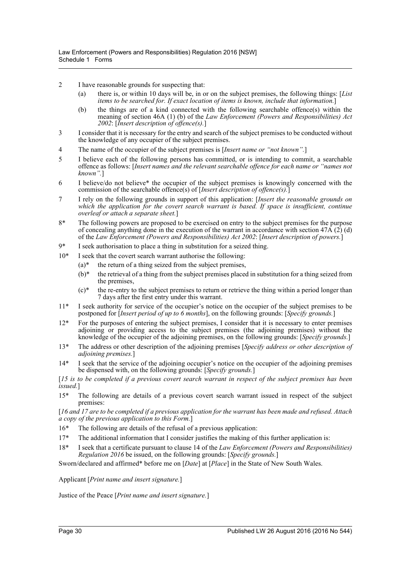- 2 I have reasonable grounds for suspecting that:
	- (a) there is, or within 10 days will be, in or on the subject premises, the following things: [*List items to be searched for. If exact location of items is known, include that information.*]
	- (b) the things are of a kind connected with the following searchable offence(s) within the meaning of section 46A (1) (b) of the *Law Enforcement (Powers and Responsibilities) Act 2002*: [*Insert description of offence(s).*]
- 3 I consider that it is necessary for the entry and search of the subject premises to be conducted without the knowledge of any occupier of the subject premises.
- 4 The name of the occupier of the subject premises is [*Insert name or "not known".*]
- 5 I believe each of the following persons has committed, or is intending to commit, a searchable offence as follows: [*Insert names and the relevant searchable offence for each name or "names not known".*]
- 6 I believe/do not believe\* the occupier of the subject premises is knowingly concerned with the commission of the searchable offence(s) of [*Insert description of offence(s).*]
- 7 I rely on the following grounds in support of this application: [*Insert the reasonable grounds on which the application for the covert search warrant is based. If space is insufficient, continue overleaf or attach a separate sheet.*]
- 8\* The following powers are proposed to be exercised on entry to the subject premises for the purpose of concealing anything done in the execution of the warrant in accordance with section  $47\text{\AA}$  (2) (d) of the *Law Enforcement (Powers and Responsibilities) Act 2002*: [*Insert description of powers.*]
- 9\* I seek authorisation to place a thing in substitution for a seized thing.
- 10\* I seek that the covert search warrant authorise the following:
	- $(a)^*$  the return of a thing seized from the subject premises,
	- $(b)^*$  the retrieval of a thing from the subject premises placed in substitution for a thing seized from the premises,
	- $(c)*$  the re-entry to the subject premises to return or retrieve the thing within a period longer than 7 days after the first entry under this warrant.
- 11\* I seek authority for service of the occupier's notice on the occupier of the subject premises to be postponed for [*Insert period of up to 6 months*], on the following grounds: [*Specify grounds.*]
- 12\* For the purposes of entering the subject premises, I consider that it is necessary to enter premises adjoining or providing access to the subject premises (the adjoining premises) without the knowledge of the occupier of the adjoining premises, on the following grounds: [*Specify grounds.*]
- 13\* The address or other description of the adjoining premises [*Specify address or other description of adjoining premises.*]
- 14\* I seek that the service of the adjoining occupier's notice on the occupier of the adjoining premises be dispensed with, on the following grounds: [*Specify grounds.*]

[*15 is to be completed if a previous covert search warrant in respect of the subject premises has been issued.*]

15\* The following are details of a previous covert search warrant issued in respect of the subject premises:

[*16 and 17 are to be completed if a previous application for the warrant has been made and refused. Attach a copy of the previous application to this Form.*]

- 16\* The following are details of the refusal of a previous application:
- $17*$  The additional information that I consider justifies the making of this further application is:
- 18\* I seek that a certificate pursuant to clause 14 of the *Law Enforcement (Powers and Responsibilities) Regulation 2016* be issued, on the following grounds: [*Specify grounds.*]

Sworn/declared and affirmed\* before me on [*Date*] at [*Place*] in the State of New South Wales.

Applicant [*Print name and insert signature.*]

Justice of the Peace [*Print name and insert signature.*]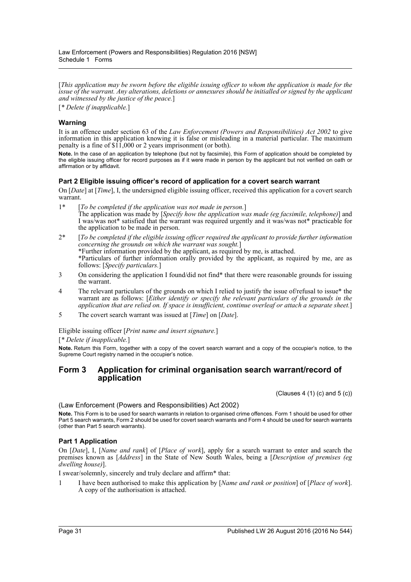[*This application may be sworn before the eligible issuing officer to whom the application is made for the issue of the warrant. Any alterations, deletions or annexures should be initialled or signed by the applicant and witnessed by the justice of the peace.*]

[*\* Delete if inapplicable.*]

### **Warning**

It is an offence under section 63 of the *Law Enforcement (Powers and Responsibilities) Act 2002* to give information in this application knowing it is false or misleading in a material particular. The maximum penalty is a fine of \$11,000 or 2 years imprisonment (or both).

**Note.** In the case of an application by telephone (but not by facsimile), this Form of application should be completed by the eligible issuing officer for record purposes as if it were made in person by the applicant but not verified on oath or affirmation or by affidavit.

### **Part 2 Eligible issuing officer's record of application for a covert search warrant**

On [*Date*] at [*Time*], I, the undersigned eligible issuing officer, received this application for a covert search warrant.

- 1\* [*To be completed if the application was not made in person.*] The application was made by [*Specify how the application was made (eg facsimile, telephone)*] and I was/was not\* satisfied that the warrant was required urgently and it was/was not\* practicable for the application to be made in person.
- 2\* [*To be completed if the eligible issuing officer required the applicant to provide further information concerning the grounds on which the warrant was sought.*] \*Further information provided by the applicant, as required by me, is attached. \*Particulars of further information orally provided by the applicant, as required by me, are as follows: [*Specify particulars.*]
- 3 On considering the application I found/did not find\* that there were reasonable grounds for issuing the warrant.
- 4 The relevant particulars of the grounds on which I relied to justify the issue of/refusal to issue\* the warrant are as follows: [*Either identify or specify the relevant particulars of the grounds in the application that are relied on. If space is insufficient, continue overleaf or attach a separate sheet.*]
- 5 The covert search warrant was issued at [*Time*] on [*Date*].

Eligible issuing officer [*Print name and insert signature.*]

[*\* Delete if inapplicable.*]

**Note.** Return this Form, together with a copy of the covert search warrant and a copy of the occupier's notice, to the Supreme Court registry named in the occupier's notice.

### **Form 3 Application for criminal organisation search warrant/record of application**

(Clauses 4 (1) (c) and 5 (c))

(Law Enforcement (Powers and Responsibilities) Act 2002)

**Note.** This Form is to be used for search warrants in relation to organised crime offences. Form 1 should be used for other Part 5 search warrants, Form 2 should be used for covert search warrants and Form 4 should be used for search warrants (other than Part 5 search warrants).

### **Part 1 Application**

On [*Date*], I, [*Name and rank*] of [*Place of work*], apply for a search warrant to enter and search the premises known as [*Address*] in the State of New South Wales, being a [*Description of premises (eg dwelling house)*].

I swear/solemnly, sincerely and truly declare and affirm\* that:

1 I have been authorised to make this application by [*Name and rank or position*] of [*Place of work*]. A copy of the authorisation is attached.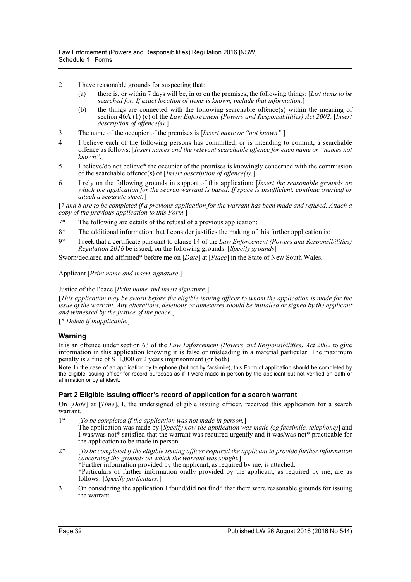- 2 I have reasonable grounds for suspecting that:
	- (a) there is, or within 7 days will be, in or on the premises, the following things: [*List items to be searched for. If exact location of items is known, include that information.*]
	- (b) the things are connected with the following searchable offence(s) within the meaning of section 46A (1) (c) of the *Law Enforcement (Powers and Responsibilities) Act 2002*: [*Insert description of offence(s).*]
- 3 The name of the occupier of the premises is [*Insert name or "not known".*]
- 4 I believe each of the following persons has committed, or is intending to commit, a searchable offence as follows: [*Insert names and the relevant searchable offence for each name or "names not known".*]
- 5 I believe/do not believe\* the occupier of the premises is knowingly concerned with the commission of the searchable offence(s) of [*Insert description of offence(s).*]
- 6 I rely on the following grounds in support of this application: [*Insert the reasonable grounds on which the application for the search warrant is based. If space is insufficient, continue overleaf or attach a separate sheet.*]

[*7 and 8 are to be completed if a previous application for the warrant has been made and refused. Attach a copy of the previous application to this Form.*]

- 7\* The following are details of the refusal of a previous application:
- 8\* The additional information that I consider justifies the making of this further application is:
- 9\* I seek that a certificate pursuant to clause 14 of the *Law Enforcement (Powers and Responsibilities) Regulation 2016* be issued, on the following grounds: [*Specify grounds*]

Sworn/declared and affirmed\* before me on [*Date*] at [*Place*] in the State of New South Wales.

### Applicant [*Print name and insert signature.*]

#### Justice of the Peace [*Print name and insert signature.*]

[*This application may be sworn before the eligible issuing officer to whom the application is made for the issue of the warrant. Any alterations, deletions or annexures should be initialled or signed by the applicant and witnessed by the justice of the peace.*]

[*\* Delete if inapplicable.*]

### **Warning**

It is an offence under section 63 of the *Law Enforcement (Powers and Responsibilities) Act 2002* to give information in this application knowing it is false or misleading in a material particular. The maximum penalty is a fine of \$11,000 or 2 years imprisonment (or both).

**Note.** In the case of an application by telephone (but not by facsimile), this Form of application should be completed by the eligible issuing officer for record purposes as if it were made in person by the applicant but not verified on oath or affirmation or by affidavit.

### **Part 2 Eligible issuing officer's record of application for a search warrant**

On [*Date*] at [*Time*], I, the undersigned eligible issuing officer, received this application for a search warrant.

- 1\* [*To be completed if the application was not made in person.*] The application was made by [*Specify how the application was made (eg facsimile, telephone)*] and I was/was not\* satisfied that the warrant was required urgently and it was/was not\* practicable for the application to be made in person.
- 2\* [*To be completed if the eligible issuing officer required the applicant to provide further information concerning the grounds on which the warrant was sought.*] \*Further information provided by the applicant, as required by me, is attached. \*Particulars of further information orally provided by the applicant, as required by me, are as follows: [*Specify particulars.*]
- 3 On considering the application I found/did not find\* that there were reasonable grounds for issuing the warrant.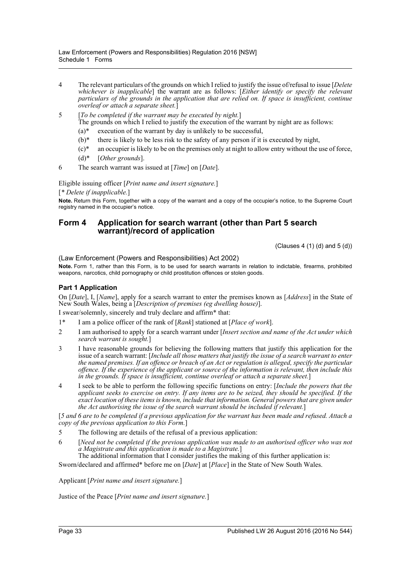- 4 The relevant particulars of the grounds on which I relied to justify the issue of/refusal to issue [*Delete whichever is inapplicable*] the warrant are as follows: [*Either identify or specify the relevant particulars of the grounds in the application that are relied on. If space is insufficient, continue overleaf or attach a separate sheet.*]
- 5 [*To be completed if the warrant may be executed by night.*] The grounds on which I relied to justify the execution of the warrant by night are as follows:
	- $(a)$ <sup>\*</sup> execution of the warrant by day is unlikely to be successful,
	- $(b)^*$  there is likely to be less risk to the safety of any person if it is executed by night,
	- $(c)^*$  an occupier is likely to be on the premises only at night to allow entry without the use of force,
	- (d)\* [*Other grounds*].
- 6 The search warrant was issued at [*Time*] on [*Date*].

Eligible issuing officer [*Print name and insert signature.*]

[*\* Delete if inapplicable.*]

**Note.** Return this Form, together with a copy of the warrant and a copy of the occupier's notice, to the Supreme Court registry named in the occupier's notice.

### **Form 4 Application for search warrant (other than Part 5 search warrant)/record of application**

 $(Clauses 4 (1) (d) and 5 (d))$ 

(Law Enforcement (Powers and Responsibilities) Act 2002)

**Note.** Form 1, rather than this Form, is to be used for search warrants in relation to indictable, firearms, prohibited weapons, narcotics, child pornography or child prostitution offences or stolen goods.

### **Part 1 Application**

On [*Date*], I, [*Name*], apply for a search warrant to enter the premises known as [*Address*] in the State of New South Wales, being a [*Description of premises (eg dwelling house)*].

I swear/solemnly, sincerely and truly declare and affirm\* that:

- 1\* I am a police officer of the rank of [*Rank*] stationed at [*Place of work*].
- 2 I am authorised to apply for a search warrant under [*Insert section and name of the Act under which search warrant is sought.*]
- 3 I have reasonable grounds for believing the following matters that justify this application for the issue of a search warrant: [*Include all those matters that justify the issue of a search warrant to enter the named premises. If an offence or breach of an Act or regulation is alleged, specify the particular offence. If the experience of the applicant or source of the information is relevant, then include this in the grounds. If space is insufficient, continue overleaf or attach a separate sheet.*]
- 4 I seek to be able to perform the following specific functions on entry: [*Include the powers that the applicant seeks to exercise on entry. If any items are to be seized, they should be specified. If the exact location of these items is known, include that information. General powers that are given under the Act authorising the issue of the search warrant should be included if relevant.*]

[*5 and 6 are to be completed if a previous application for the warrant has been made and refused. Attach a copy of the previous application to this Form.*]

- 5 The following are details of the refusal of a previous application:
- 6 [*Need not be completed if the previous application was made to an authorised officer who was not a Magistrate and this application is made to a Magistrate.*]

The additional information that I consider justifies the making of this further application is:

Sworn/declared and affirmed\* before me on [*Date*] at [*Place*] in the State of New South Wales.

Applicant [*Print name and insert signature.*]

Justice of the Peace [*Print name and insert signature.*]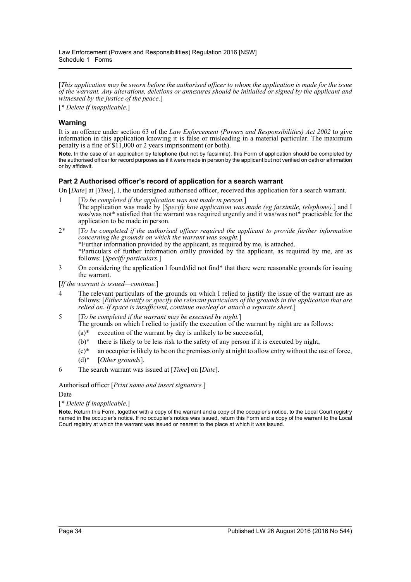[*This application may be sworn before the authorised officer to whom the application is made for the issue of the warrant. Any alterations, deletions or annexures should be initialled or signed by the applicant and witnessed by the justice of the peace.*]

[*\* Delete if inapplicable.*]

### **Warning**

It is an offence under section 63 of the *Law Enforcement (Powers and Responsibilities) Act 2002* to give information in this application knowing it is false or misleading in a material particular. The maximum penalty is a fine of \$11,000 or 2 years imprisonment (or both).

**Note.** In the case of an application by telephone (but not by facsimile), this Form of application should be completed by the authorised officer for record purposes as if it were made in person by the applicant but not verified on oath or affirmation or by affidavit.

### **Part 2 Authorised officer's record of application for a search warrant**

On [*Date*] at [*Time*], I, the undersigned authorised officer, received this application for a search warrant.

- 1 [*To be completed if the application was not made in person.*] The application was made by [*Specify how application was made (eg facsimile, telephone).*] and I was/was not\* satisfied that the warrant was required urgently and it was/was not\* practicable for the application to be made in person.
- 2\* [*To be completed if the authorised officer required the applicant to provide further information concerning the grounds on which the warrant was sought.*] \*Further information provided by the applicant, as required by me, is attached. \*Particulars of further information orally provided by the applicant, as required by me, are as follows: [*Specify particulars.*]
- 3 On considering the application I found/did not find\* that there were reasonable grounds for issuing the warrant.

[*If the warrant is issued—continue.*]

- 4 The relevant particulars of the grounds on which I relied to justify the issue of the warrant are as follows: [*Either identify or specify the relevant particulars of the grounds in the application that are relied on. If space is insufficient, continue overleaf or attach a separate sheet.*]
- 5 [*To be completed if the warrant may be executed by night.*] The grounds on which I relied to justify the execution of the warrant by night are as follows:
	- $(a)^*$  execution of the warrant by day is unlikely to be successful,
	- $(b)^*$  there is likely to be less risk to the safety of any person if it is executed by night,
	- $(c)^*$  an occupier is likely to be on the premises only at night to allow entry without the use of force,
	- (d)\* [*Other grounds*].
- 6 The search warrant was issued at [*Time*] on [*Date*].

Authorised officer [*Print name and insert signature.*]

Date

[*\* Delete if inapplicable.*]

**Note.** Return this Form, together with a copy of the warrant and a copy of the occupier's notice, to the Local Court registry named in the occupier's notice. If no occupier's notice was issued, return this Form and a copy of the warrant to the Local Court registry at which the warrant was issued or nearest to the place at which it was issued.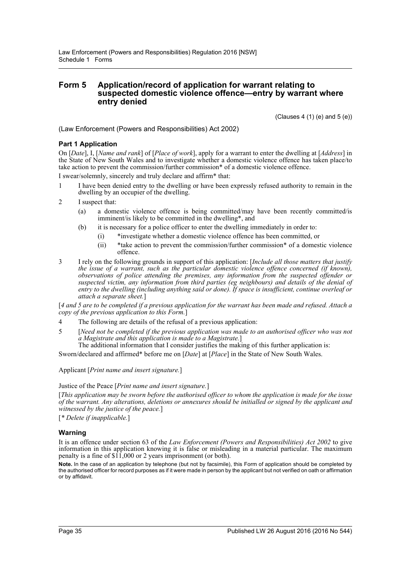### **Form 5 Application/record of application for warrant relating to suspected domestic violence offence—entry by warrant where entry denied**

(Clauses 4 (1) (e) and 5 (e))

(Law Enforcement (Powers and Responsibilities) Act 2002)

### **Part 1 Application**

On [*Date*], I, [*Name and rank*] of [*Place of work*], apply for a warrant to enter the dwelling at [*Address*] in the State of New South Wales and to investigate whether a domestic violence offence has taken place/to take action to prevent the commission/further commission\* of a domestic violence offence.

I swear/solemnly, sincerely and truly declare and affirm\* that:

- 1 I have been denied entry to the dwelling or have been expressly refused authority to remain in the dwelling by an occupier of the dwelling.
- 2 I suspect that:
	- (a) a domestic violence offence is being committed/may have been recently committed/is imminent/is likely to be committed in the dwelling\*, and
	- (b) it is necessary for a police officer to enter the dwelling immediately in order to:
		- (i) \*investigate whether a domestic violence offence has been committed, or
		- (ii) \*take action to prevent the commission/further commission\* of a domestic violence offence.
- 3 I rely on the following grounds in support of this application: [*Include all those matters that justify the issue of a warrant, such as the particular domestic violence offence concerned (if known), observations of police attending the premises, any information from the suspected offender or suspected victim, any information from third parties (eg neighbours) and details of the denial of entry to the dwelling (including anything said or done). If space is insufficient, continue overleaf or attach a separate sheet.*]

[*4 and 5 are to be completed if a previous application for the warrant has been made and refused. Attach a copy of the previous application to this Form.*]

- 4 The following are details of the refusal of a previous application:
- 5 [*Need not be completed if the previous application was made to an authorised officer who was not a Magistrate and this application is made to a Magistrate.*]

The additional information that I consider justifies the making of this further application is:

Sworn/declared and affirmed\* before me on [*Date*] at [*Place*] in the State of New South Wales.

#### Applicant [*Print name and insert signature.*]

#### Justice of the Peace [*Print name and insert signature.*]

[*This application may be sworn before the authorised officer to whom the application is made for the issue of the warrant. Any alterations, deletions or annexures should be initialled or signed by the applicant and witnessed by the justice of the peace.*]

[*\* Delete if inapplicable.*]

### **Warning**

It is an offence under section 63 of the *Law Enforcement (Powers and Responsibilities) Act 2002* to give information in this application knowing it is false or misleading in a material particular. The maximum penalty is a fine of \$11,000 or 2 years imprisonment (or both).

**Note.** In the case of an application by telephone (but not by facsimile), this Form of application should be completed by the authorised officer for record purposes as if it were made in person by the applicant but not verified on oath or affirmation or by affidavit.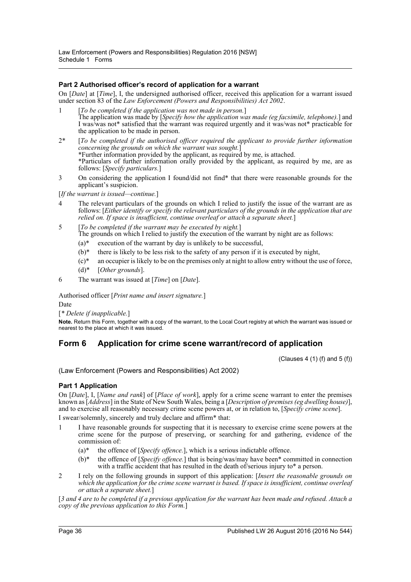### **Part 2 Authorised officer's record of application for a warrant**

On [*Date*] at [*Time*], I, the undersigned authorised officer, received this application for a warrant issued under section 83 of the *Law Enforcement (Powers and Responsibilities) Act 2002*.

- 1 [*To be completed if the application was not made in person.*] The application was made by [*Specify how the application was made (eg facsimile, telephone).*] and I was/was not\* satisfied that the warrant was required urgently and it was/was not\* practicable for the application to be made in person.
- 2\* [*To be completed if the authorised officer required the applicant to provide further information concerning the grounds on which the warrant was sought.*] \*Further information provided by the applicant, as required by me, is attached. \*Particulars of further information orally provided by the applicant, as required by me, are as follows: [*Specify particulars.*]
- 3 On considering the application I found/did not find\* that there were reasonable grounds for the applicant's suspicion.

[*If the warrant is issued—continue.*]

- 4 The relevant particulars of the grounds on which I relied to justify the issue of the warrant are as follows: [*Either identify or specify the relevant particulars of the grounds in the application that are relied on. If space is insufficient, continue overleaf or attach a separate sheet.*]
- 5 [*To be completed if the warrant may be executed by night.*] The grounds on which I relied to justify the execution of the warrant by night are as follows:
	- $(a)^*$  execution of the warrant by day is unlikely to be successful,
	- $(b)*$  there is likely to be less risk to the safety of any person if it is executed by night,
	- $(c)^*$  an occupier is likely to be on the premises only at night to allow entry without the use of force,
	- (d)\* [*Other grounds*].
- 6 The warrant was issued at [*Time*] on [*Date*].

Authorised officer [*Print name and insert signature.*] Date

[*\* Delete if inapplicable.*]

**Note.** Return this Form, together with a copy of the warrant, to the Local Court registry at which the warrant was issued or nearest to the place at which it was issued.

### **Form 6 Application for crime scene warrant/record of application**

(Clauses  $4(1)(f)$  and  $5(f)$ )

(Law Enforcement (Powers and Responsibilities) Act 2002)

### **Part 1 Application**

On [*Date*], I, [*Name and rank*] of [*Place of work*], apply for a crime scene warrant to enter the premises known as [*Address*] in the State of New South Wales, being a [*Description of premises (eg dwelling house)*], and to exercise all reasonably necessary crime scene powers at, or in relation to, [*Specify crime scene*].

I swear/solemnly, sincerely and truly declare and affirm\* that:

- 1 I have reasonable grounds for suspecting that it is necessary to exercise crime scene powers at the crime scene for the purpose of preserving, or searching for and gathering, evidence of the commission of:
	- (a)\* the offence of [*Specify offence.*], which is a serious indictable offence.
	- (b)\* the offence of [*Specify offence.*] that is being/was/may have been\* committed in connection with a traffic accident that has resulted in the death of/serious injury to\* a person.
- 2 I rely on the following grounds in support of this application: [*Insert the reasonable grounds on which the application for the crime scene warrant is based. If space is insufficient, continue overleaf or attach a separate sheet.*]

[*3 and 4 are to be completed if a previous application for the warrant has been made and refused. Attach a copy of the previous application to this Form.*]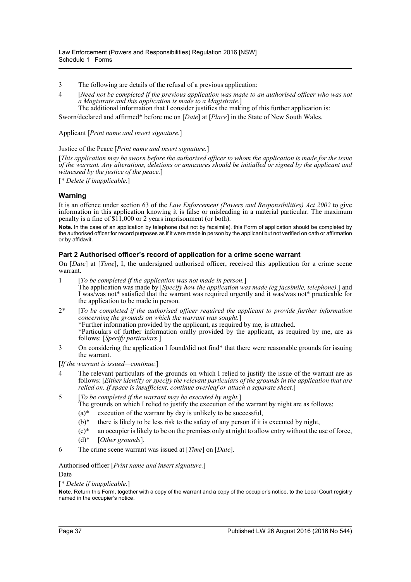- 3 The following are details of the refusal of a previous application:
- 4 [*Need not be completed if the previous application was made to an authorised officer who was not a Magistrate and this application is made to a Magistrate.*]
- The additional information that I consider justifies the making of this further application is:

Sworn/declared and affirmed\* before me on [*Date*] at [*Place*] in the State of New South Wales.

Applicant [*Print name and insert signature.*]

Justice of the Peace [*Print name and insert signature.*]

[*This application may be sworn before the authorised officer to whom the application is made for the issue of the warrant. Any alterations, deletions or annexures should be initialled or signed by the applicant and witnessed by the justice of the peace.*]

[*\* Delete if inapplicable.*]

# **Warning**

It is an offence under section 63 of the *Law Enforcement (Powers and Responsibilities) Act 2002* to give information in this application knowing it is false or misleading in a material particular. The maximum penalty is a fine of \$11,000 or 2 years imprisonment (or both).

**Note.** In the case of an application by telephone (but not by facsimile), this Form of application should be completed by the authorised officer for record purposes as if it were made in person by the applicant but not verified on oath or affirmation or by affidavit.

## **Part 2 Authorised officer's record of application for a crime scene warrant**

On [*Date*] at [*Time*], I, the undersigned authorised officer, received this application for a crime scene warrant.

- 1 [*To be completed if the application was not made in person.*] The application was made by [*Specify how the application was made (eg facsimile, telephone).*] and I was/was not\* satisfied that the warrant was required urgently and it was/was not\* practicable for the application to be made in person.
- 2\* [*To be completed if the authorised officer required the applicant to provide further information concerning the grounds on which the warrant was sought.*] \*Further information provided by the applicant, as required by me, is attached. \*Particulars of further information orally provided by the applicant, as required by me, are as follows: [*Specify particulars.*]
- 3 On considering the application I found/did not find\* that there were reasonable grounds for issuing the warrant.

[*If the warrant is issued—continue.*]

- 4 The relevant particulars of the grounds on which I relied to justify the issue of the warrant are as follows: [*Either identify or specify the relevant particulars of the grounds in the application that are relied on. If space is insufficient, continue overleaf or attach a separate sheet.*]
- 5 [*To be completed if the warrant may be executed by night.*] The grounds on which I relied to justify the execution of the warrant by night are as follows:
	- $(a)^*$  execution of the warrant by day is unlikely to be successful.
	- $(b)^*$  there is likely to be less risk to the safety of any person if it is executed by night,
	- $(c)*$  an occupier is likely to be on the premises only at night to allow entry without the use of force,
	- (d)\* [*Other grounds*].
- 6 The crime scene warrant was issued at [*Time*] on [*Date*].

Authorised officer [*Print name and insert signature.*] Date

[*\* Delete if inapplicable.*]

**Note.** Return this Form, together with a copy of the warrant and a copy of the occupier's notice, to the Local Court registry named in the occupier's notice.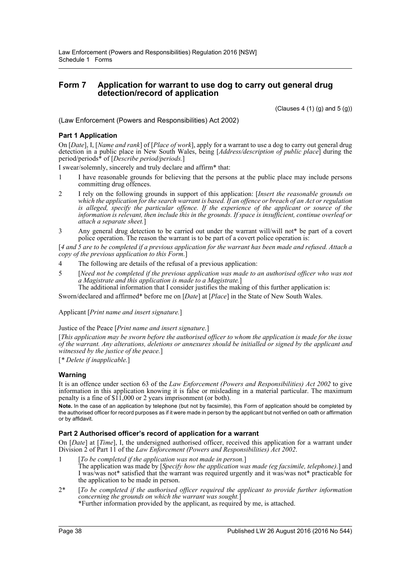# **Form 7 Application for warrant to use dog to carry out general drug detection/record of application**

 $(Clauses 4 (1) (g) and 5 (g))$ 

(Law Enforcement (Powers and Responsibilities) Act 2002)

# **Part 1 Application**

On [*Date*], I, [*Name and rank*] of [*Place of work*], apply for a warrant to use a dog to carry out general drug detection in a public place in New South Wales, being [*Address/description of public place*] during the period/periods\* of [*Describe period/periods.*]

I swear/solemnly, sincerely and truly declare and affirm\* that:

- 1 I have reasonable grounds for believing that the persons at the public place may include persons committing drug offences.
- 2 I rely on the following grounds in support of this application: [*Insert the reasonable grounds on which the application for the search warrant is based. If an offence or breach of an Act or regulation is alleged, specify the particular offence. If the experience of the applicant or source of the information is relevant, then include this in the grounds. If space is insufficient, continue overleaf or attach a separate sheet.*]
- 3 Any general drug detection to be carried out under the warrant will/will not\* be part of a covert police operation. The reason the warrant is to be part of a covert police operation is:

[*4 and 5 are to be completed if a previous application for the warrant has been made and refused. Attach a copy of the previous application to this Form.*]

- 4 The following are details of the refusal of a previous application:
- 5 [*Need not be completed if the previous application was made to an authorised officer who was not a Magistrate and this application is made to a Magistrate.*]

The additional information that I consider justifies the making of this further application is:

Sworn/declared and affirmed\* before me on [*Date*] at [*Place*] in the State of New South Wales.

Applicant [*Print name and insert signature.*]

#### Justice of the Peace [*Print name and insert signature.*]

[*This application may be sworn before the authorised officer to whom the application is made for the issue of the warrant. Any alterations, deletions or annexures should be initialled or signed by the applicant and witnessed by the justice of the peace.*]

[*\* Delete if inapplicable.*]

## **Warning**

It is an offence under section 63 of the *Law Enforcement (Powers and Responsibilities) Act 2002* to give information in this application knowing it is false or misleading in a material particular. The maximum penalty is a fine of \$11,000 or 2 years imprisonment (or both).

**Note.** In the case of an application by telephone (but not by facsimile), this Form of application should be completed by the authorised officer for record purposes as if it were made in person by the applicant but not verified on oath or affirmation or by affidavit.

## **Part 2 Authorised officer's record of application for a warrant**

On [*Date*] at [*Time*], I, the undersigned authorised officer, received this application for a warrant under Division 2 of Part 11 of the *Law Enforcement (Powers and Responsibilities) Act 2002*.

- 1 [*To be completed if the application was not made in person.*] The application was made by [*Specify how the application was made (eg facsimile, telephone).*] and I was/was not\* satisfied that the warrant was required urgently and it was/was not\* practicable for the application to be made in person.
- 2\* [*To be completed if the authorised officer required the applicant to provide further information concerning the grounds on which the warrant was sought.*] \*Further information provided by the applicant, as required by me, is attached.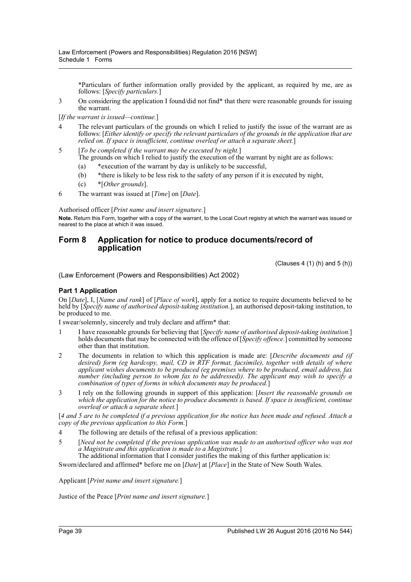\*Particulars of further information orally provided by the applicant, as required by me, are as follows: [*Specify particulars.*]

3 On considering the application I found/did not find\* that there were reasonable grounds for issuing the warrant.

[*If the warrant is issued—continue.*]

- 4 The relevant particulars of the grounds on which I relied to justify the issue of the warrant are as follows: [*Either identify or specify the relevant particulars of the grounds in the application that are relied on. If space is insufficient, continue overleaf or attach a separate sheet.*]
- 5 [*To be completed if the warrant may be executed by night.*] The grounds on which I relied to justify the execution of the warrant by night are as follows:
	- (a) \*execution of the warrant by day is unlikely to be successful,
	- (b) \*there is likely to be less risk to the safety of any person if it is executed by night,
	- (c) \*[*Other grounds*].
- 6 The warrant was issued at [*Time*] on [*Date*].

Authorised officer [*Print name and insert signature.*]

**Note.** Return this Form, together with a copy of the warrant, to the Local Court registry at which the warrant was issued or nearest to the place at which it was issued.

# **Form 8 Application for notice to produce documents/record of application**

 $(Clauses 4 (1) (h) and 5 (h))$ 

(Law Enforcement (Powers and Responsibilities) Act 2002)

## **Part 1 Application**

On [*Date*], I, [*Name and rank*] of [*Place of work*], apply for a notice to require documents believed to be held by [*Specify name of authorised deposit-taking institution.*], an authorised deposit-taking institution, to be produced to me.

I swear/solemnly, sincerely and truly declare and affirm\* that:

- 1 I have reasonable grounds for believing that [*Specify name of authorised deposit-taking institution.*] holds documents that may be connected with the offence of [*Specify offence.*] committed by someone other than that institution.
- 2 The documents in relation to which this application is made are: [*Describe documents and (if desired) form (eg hardcopy, mail, CD in RTF format, facsimile), together with details of where applicant wishes documents to be produced (eg premises where to be produced, email address, fax number (including person to whom fax to be addressed)). The applicant may wish to specify a combination of types of forms in which documents may be produced.*]
- 3 I rely on the following grounds in support of this application: [*Insert the reasonable grounds on which the application for the notice to produce documents is based. If space is insufficient, continue overleaf or attach a separate sheet.*]

[*4 and 5 are to be completed if a previous application for the notice has been made and refused. Attach a copy of the previous application to this Form.*]

- 4 The following are details of the refusal of a previous application:
- 5 [*Need not be completed if the previous application was made to an authorised officer who was not a Magistrate and this application is made to a Magistrate.*]

The additional information that I consider justifies the making of this further application is:

Sworn/declared and affirmed\* before me on [*Date*] at [*Place*] in the State of New South Wales.

Applicant [*Print name and insert signature.*]

Justice of the Peace [*Print name and insert signature.*]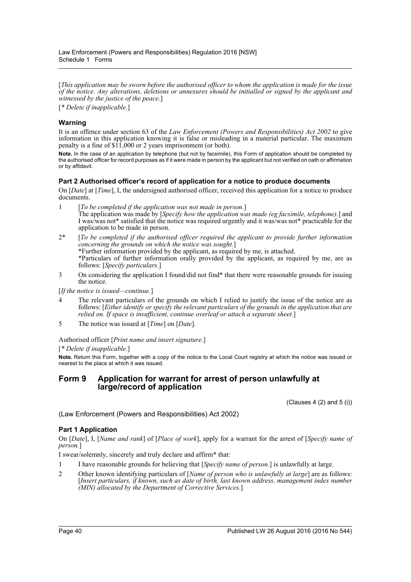[*This application may be sworn before the authorised officer to whom the application is made for the issue of the notice. Any alterations, deletions or annexures should be initialled or signed by the applicant and witnessed by the justice of the peace.*]

[*\* Delete if inapplicable.*]

# **Warning**

It is an offence under section 63 of the *Law Enforcement (Powers and Responsibilities) Act 2002* to give information in this application knowing it is false or misleading in a material particular. The maximum penalty is a fine of \$11,000 or 2 years imprisonment (or both).

**Note.** In the case of an application by telephone (but not by facsimile), this Form of application should be completed by the authorised officer for record purposes as if it were made in person by the applicant but not verified on oath or affirmation or by affidavit.

# **Part 2 Authorised officer's record of application for a notice to produce documents**

On [*Date*] at [*Time*], I, the undersigned authorised officer, received this application for a notice to produce documents.

- 1 [*To be completed if the application was not made in person.*] The application was made by [*Specify how the application was made (eg facsimile, telephone).*] and I was/was not\* satisfied that the notice was required urgently and it was/was not\* practicable for the application to be made in person.
- 2\* [*To be completed if the authorised officer required the applicant to provide further information concerning the grounds on which the notice was sought.*] \*Further information provided by the applicant, as required by me, is attached. \*Particulars of further information orally provided by the applicant, as required by me, are as follows: [*Specify particulars.*]
- 3 On considering the application I found/did not find\* that there were reasonable grounds for issuing the notice.

[*If the notice is issued—continue.*]

- 4 The relevant particulars of the grounds on which I relied to justify the issue of the notice are as follows: [*Either identify or specify the relevant particulars of the grounds in the application that are relied on. If space is insufficient, continue overleaf or attach a separate sheet.*]
- 5 The notice was issued at [*Time*] on [*Date*].

Authorised officer [*Print name and insert signature.*]

[*\* Delete if inapplicable.*]

**Note.** Return this Form, together with a copy of the notice to the Local Court registry at which the notice was issued or nearest to the place at which it was issued.

# **Form 9 Application for warrant for arrest of person unlawfully at large/record of application**

 $(Clauses 4 (2) and 5 (i))$ 

(Law Enforcement (Powers and Responsibilities) Act 2002)

## **Part 1 Application**

On [*Date*], I, [*Name and rank*] of [*Place of work*], apply for a warrant for the arrest of [*Specify name of person.*]

I swear/solemnly, sincerely and truly declare and affirm\* that:

- 1 I have reasonable grounds for believing that [*Specify name of person.*] is unlawfully at large.
- 2 Other known identifying particulars of [*Name of person who is unlawfully at large*] are as follows: [*Insert particulars, if known, such as date of birth, last known address, management index number (MIN) allocated by the Department of Corrective Services.*]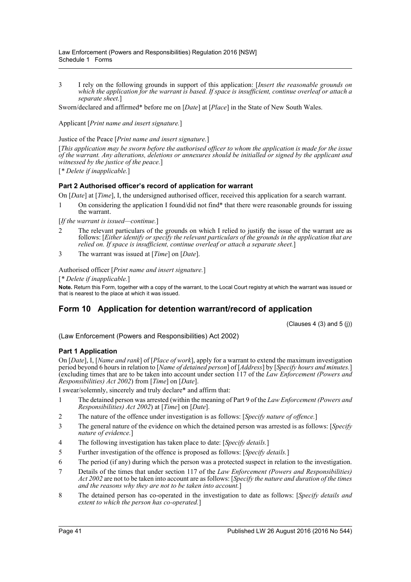3 I rely on the following grounds in support of this application: [*Insert the reasonable grounds on which the application for the warrant is based. If space is insufficient, continue overleaf or attach a separate sheet.*]

Sworn/declared and affirmed\* before me on [*Date*] at [*Place*] in the State of New South Wales.

Applicant [*Print name and insert signature.*]

Justice of the Peace [*Print name and insert signature.*]

[*This application may be sworn before the authorised officer to whom the application is made for the issue of the warrant. Any alterations, deletions or annexures should be initialled or signed by the applicant and witnessed by the justice of the peace.*]

[*\* Delete if inapplicable.*]

# **Part 2 Authorised officer's record of application for warrant**

On [*Date*] at [*Time*], I, the undersigned authorised officer, received this application for a search warrant.

1 On considering the application I found/did not find\* that there were reasonable grounds for issuing the warrant.

[*If the warrant is issued—continue.*]

- 2 The relevant particulars of the grounds on which I relied to justify the issue of the warrant are as follows: [*Either identify or specify the relevant particulars of the grounds in the application that are relied on. If space is insufficient, continue overleaf or attach a separate sheet.*]
- 3 The warrant was issued at [*Time*] on [*Date*].

Authorised officer [*Print name and insert signature.*]

[*\* Delete if inapplicable.*]

**Note.** Return this Form, together with a copy of the warrant, to the Local Court registry at which the warrant was issued or that is nearest to the place at which it was issued.

# **Form 10 Application for detention warrant/record of application**

 $(Clauses 4 (3) and 5 (i))$ 

(Law Enforcement (Powers and Responsibilities) Act 2002)

## **Part 1 Application**

On [*Date*], I, [*Name and rank*] of [*Place of work*], apply for a warrant to extend the maximum investigation period beyond 6 hours in relation to [*Name of detained person*] of [*Address*] by [*Specify hours and minutes.*] (excluding times that are to be taken into account under section 117 of the *Law Enforcement (Powers and Responsibilities) Act 2002*) from [*Time*] on [*Date*].

I swear/solemnly, sincerely and truly declare\* and affirm that:

- 1 The detained person was arrested (within the meaning of Part 9 of the *Law Enforcement (Powers and Responsibilities) Act 2002*) at [*Time*] on [*Date*].
- 2 The nature of the offence under investigation is as follows: [*Specify nature of offence.*]
- 3 The general nature of the evidence on which the detained person was arrested is as follows: [*Specify nature of evidence.*]
- 4 The following investigation has taken place to date: [*Specify details.*]
- 5 Further investigation of the offence is proposed as follows: [*Specify details.*]
- 6 The period (if any) during which the person was a protected suspect in relation to the investigation.
- 7 Details of the times that under section 117 of the *Law Enforcement (Powers and Responsibilities) Act 2002* are not to be taken into account are as follows: [*Specify the nature and duration of the times and the reasons why they are not to be taken into account.*]
- 8 The detained person has co-operated in the investigation to date as follows: [*Specify details and extent to which the person has co-operated.*]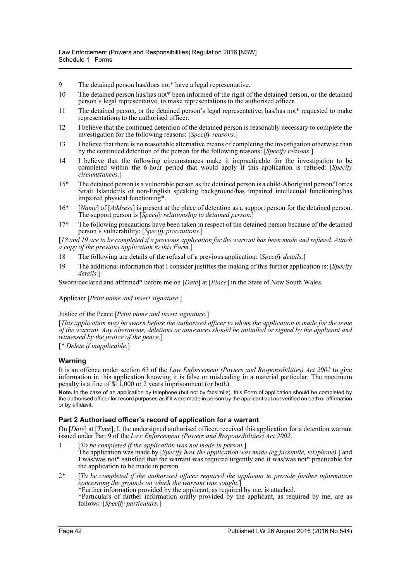- 9 The detained person has/does not\* have a legal representative.
- 10 The detained person has/has not\* been informed of the right of the detained person, or the detained person's legal representative, to make representations to the authorised officer.
- 11 The detained person, or the detained person's legal representative, has/has not\* requested to make representations to the authorised officer.
- 12 I believe that the continued detention of the detained person is reasonably necessary to complete the investigation for the following reasons: [*Specify reasons.*]
- 13 I believe that there is no reasonable alternative means of completing the investigation otherwise than by the continued detention of the person for the following reasons: [*Specify reasons.*]
- 14 I believe that the following circumstances make it impracticable for the investigation to be completed within the 6-hour period that would apply if this application is refused: [*Specify circumstances.*]
- 15\* The detained person is a vulnerable person as the detained person is a child/Aboriginal person/Torres Strait Islander/is of non-English speaking background/has impaired intellectual functioning/has impaired physical functioning\*.
- 16\* [*Name*] of [*Address*] is present at the place of detention as a support person for the detained person. The support person is [*Specify relationship to detained person.*]
- 17\* The following precautions have been taken in respect of the detained person because of the detained person's vulnerability: [*Specify precautions.*]

[*18 and 19 are to be completed if a previous application for the warrant has been made and refused. Attach a copy of the previous application to this Form.*]

- 18 The following are details of the refusal of a previous application: [*Specify details.*]
- 19 The additional information that I consider justifies the making of this further application is: [*Specify details.*]

Sworn/declared and affirmed\* before me on [*Date*] at [*Place*] in the State of New South Wales.

Applicant [*Print name and insert signature.*]

#### Justice of the Peace [*Print name and insert signature.*]

[*This application may be sworn before the authorised officer to whom the application is made for the issue of the warrant. Any alterations, deletions or annexures should be initialled or signed by the applicant and witnessed by the justice of the peace.*]

[*\* Delete if inapplicable.*]

## **Warning**

It is an offence under section 63 of the *Law Enforcement (Powers and Responsibilities) Act 2002* to give information in this application knowing it is false or misleading in a material particular. The maximum penalty is a fine of \$11,000 or 2 years imprisonment (or both).

**Note.** In the case of an application by telephone (but not by facsimile), this Form of application should be completed by the authorised officer for record purposes as if it were made in person by the applicant but not verified on oath or affirmation or by affidavit.

## **Part 2 Authorised officer's record of application for a warrant**

On [*Date*] at [*Time*], I, the undersigned authorised officer, received this application for a detention warrant issued under Part 9 of the *Law Enforcement (Powers and Responsibilities) Act 2002*.

- 1 [*To be completed if the application was not made in person.*] The application was made by [*Specify how the application was made (eg facsimile, telephone).*] and I was/was not\* satisfied that the warrant was required urgently and it was/was not\* practicable for the application to be made in person.
- 2\* [*To be completed if the authorised officer required the applicant to provide further information concerning the grounds on which the warrant was sought.*] \*Further information provided by the applicant, as required by me, is attached. \*Particulars of further information orally provided by the applicant, as required by me, are as follows: [*Specify particulars.*]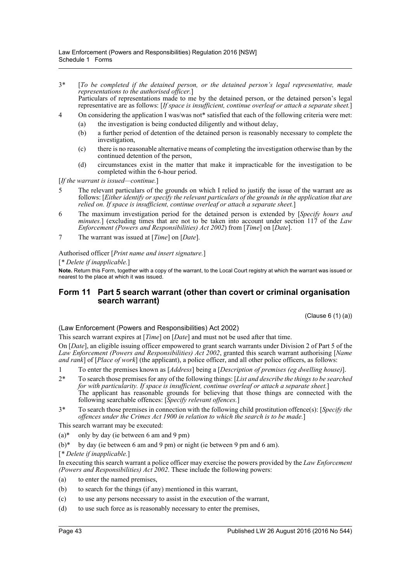- 3\* [*To be completed if the detained person, or the detained person's legal representative, made representations to the authorised officer.*] Particulars of representations made to me by the detained person, or the detained person's legal representative are as follows: [*If space is insufficient, continue overleaf or attach a separate sheet.*]
- 4 On considering the application I was/was not\* satisfied that each of the following criteria were met:
	- (a) the investigation is being conducted diligently and without delay,
	- (b) a further period of detention of the detained person is reasonably necessary to complete the investigation,
	- (c) there is no reasonable alternative means of completing the investigation otherwise than by the continued detention of the person,
	- (d) circumstances exist in the matter that make it impracticable for the investigation to be completed within the 6-hour period.

[*If the warrant is issued—continue.*]

- 5 The relevant particulars of the grounds on which I relied to justify the issue of the warrant are as follows: [*Either identify or specify the relevant particulars of the grounds in the application that are relied on. If space is insufficient, continue overleaf or attach a separate sheet.*]
- 6 The maximum investigation period for the detained person is extended by [*Specify hours and minutes.*] (excluding times that are not to be taken into account under section 117 of the *Law Enforcement (Powers and Responsibilities) Act 2002*) from [*Time*] on [*Date*].
- 7 The warrant was issued at [*Time*] on [*Date*].

#### Authorised officer [*Print name and insert signature.*]

#### [*\* Delete if inapplicable.*]

**Note.** Return this Form, together with a copy of the warrant, to the Local Court registry at which the warrant was issued or nearest to the place at which it was issued.

# **Form 11 Part 5 search warrant (other than covert or criminal organisation search warrant)**

(Clause 6 (1) (a))

## (Law Enforcement (Powers and Responsibilities) Act 2002)

This search warrant expires at [*Time*] on [*Date*] and must not be used after that time.

On [*Date*], an eligible issuing officer empowered to grant search warrants under Division 2 of Part 5 of the *Law Enforcement (Powers and Responsibilities) Act 2002*, granted this search warrant authorising [*Name and rank*] of [*Place of work*] (the applicant), a police officer, and all other police officers, as follows:

- 1 To enter the premises known as [*Address*] being a [*Description of premises (eg dwelling house)*].
- 2\* To search those premises for any of the following things: [*List and describe the things to be searched for with particularity. If space is insufficient, continue overleaf or attach a separate sheet.*] The applicant has reasonable grounds for believing that those things are connected with the following searchable offences: [*Specify relevant offences.*]
- 3\* To search those premises in connection with the following child prostitution offence(s): [*Specify the offences under the Crimes Act 1900 in relation to which the search is to be made.*]

This search warrant may be executed:

- $(a)^*$  only by day (ie between 6 am and 9 pm)
- $(b)*$  by day (ie between 6 am and 9 pm) or night (ie between 9 pm and 6 am).
- [*\* Delete if inapplicable.*]

In executing this search warrant a police officer may exercise the powers provided by the *Law Enforcement (Powers and Responsibilities) Act 2002*. These include the following powers:

- (a) to enter the named premises,
- (b) to search for the things (if any) mentioned in this warrant,
- (c) to use any persons necessary to assist in the execution of the warrant,
- (d) to use such force as is reasonably necessary to enter the premises,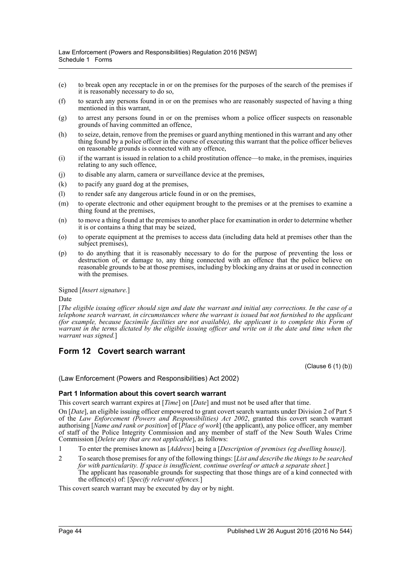- (e) to break open any receptacle in or on the premises for the purposes of the search of the premises if it is reasonably necessary to do so,
- (f) to search any persons found in or on the premises who are reasonably suspected of having a thing mentioned in this warrant,
- (g) to arrest any persons found in or on the premises whom a police officer suspects on reasonable grounds of having committed an offence,
- (h) to seize, detain, remove from the premises or guard anything mentioned in this warrant and any other thing found by a police officer in the course of executing this warrant that the police officer believes on reasonable grounds is connected with any offence,
- (i) if the warrant is issued in relation to a child prostitution offence—to make, in the premises, inquiries relating to any such offence,
- (j) to disable any alarm, camera or surveillance device at the premises,
- (k) to pacify any guard dog at the premises,
- (l) to render safe any dangerous article found in or on the premises,
- (m) to operate electronic and other equipment brought to the premises or at the premises to examine a thing found at the premises,
- (n) to move a thing found at the premises to another place for examination in order to determine whether it is or contains a thing that may be seized,
- (o) to operate equipment at the premises to access data (including data held at premises other than the subject premises),
- (p) to do anything that it is reasonably necessary to do for the purpose of preventing the loss or destruction of, or damage to, any thing connected with an offence that the police believe on reasonable grounds to be at those premises, including by blocking any drains at or used in connection with the premises.

Signed [*Insert signature.*]

Date

[*The eligible issuing officer should sign and date the warrant and initial any corrections. In the case of a telephone search warrant, in circumstances where the warrant is issued but not furnished to the applicant (for example, because facsimile facilities are not available), the applicant is to complete this Form of warrant in the terms dictated by the eligible issuing officer and write on it the date and time when the warrant was signed.*]

# **Form 12 Covert search warrant**

(Clause 6 (1) (b))

(Law Enforcement (Powers and Responsibilities) Act 2002)

## **Part 1 Information about this covert search warrant**

This covert search warrant expires at [*Time*] on [*Date*] and must not be used after that time.

On [*Date*], an eligible issuing officer empowered to grant covert search warrants under Division 2 of Part 5 of the *Law Enforcement (Powers and Responsibilities) Act 2002*, granted this covert search warrant authorising [*Name and rank or position*] of [*Place of work*] (the applicant), any police officer, any member of staff of the Police Integrity Commission and any member of staff of the New South Wales Crime Commission [*Delete any that are not applicable*], as follows:

- 1 To enter the premises known as [*Address*] being a [*Description of premises (eg dwelling house)*].
- 2 To search those premises for any of the following things: [*List and describe the things to be searched for with particularity. If space is insufficient, continue overleaf or attach a separate sheet.*] The applicant has reasonable grounds for suspecting that those things are of a kind connected with the offence(s) of: [*Specify relevant offences.*]

This covert search warrant may be executed by day or by night.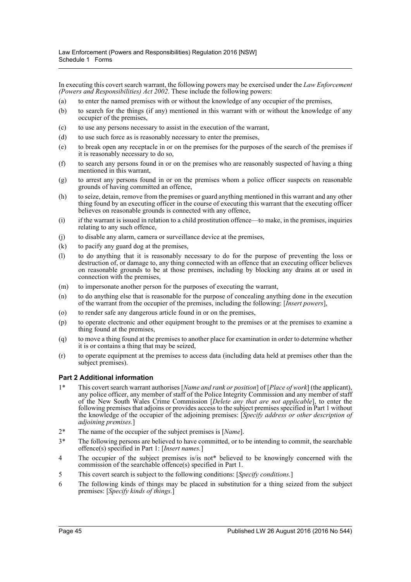In executing this covert search warrant, the following powers may be exercised under the *Law Enforcement (Powers and Responsibilities) Act 2002*. These include the following powers:

- (a) to enter the named premises with or without the knowledge of any occupier of the premises,
- (b) to search for the things (if any) mentioned in this warrant with or without the knowledge of any occupier of the premises,
- (c) to use any persons necessary to assist in the execution of the warrant,
- (d) to use such force as is reasonably necessary to enter the premises,
- (e) to break open any receptacle in or on the premises for the purposes of the search of the premises if it is reasonably necessary to do so,
- (f) to search any persons found in or on the premises who are reasonably suspected of having a thing mentioned in this warrant,
- (g) to arrest any persons found in or on the premises whom a police officer suspects on reasonable grounds of having committed an offence,
- (h) to seize, detain, remove from the premises or guard anything mentioned in this warrant and any other thing found by an executing officer in the course of executing this warrant that the executing officer believes on reasonable grounds is connected with any offence,
- (i) if the warrant is issued in relation to a child prostitution offence—to make, in the premises, inquiries relating to any such offence,
- (j) to disable any alarm, camera or surveillance device at the premises,
- (k) to pacify any guard dog at the premises,
- (l) to do anything that it is reasonably necessary to do for the purpose of preventing the loss or destruction of, or damage to, any thing connected with an offence that an executing officer believes on reasonable grounds to be at those premises, including by blocking any drains at or used in connection with the premises,
- (m) to impersonate another person for the purposes of executing the warrant,
- (n) to do anything else that is reasonable for the purpose of concealing anything done in the execution of the warrant from the occupier of the premises, including the following: [*Insert powers*],
- (o) to render safe any dangerous article found in or on the premises,
- (p) to operate electronic and other equipment brought to the premises or at the premises to examine a thing found at the premises,
- (q) to move a thing found at the premises to another place for examination in order to determine whether it is or contains a thing that may be seized,
- (r) to operate equipment at the premises to access data (including data held at premises other than the subject premises).

#### **Part 2 Additional information**

- 1\* This covert search warrant authorises [*Name and rank or position*] of [*Place of work*] (the applicant), any police officer, any member of staff of the Police Integrity Commission and any member of staff of the New South Wales Crime Commission [*Delete any that are not applicable*], to enter the following premises that adjoins or provides access to the subject premises specified in Part 1 without the knowledge of the occupier of the adjoining premises: [*Specify address or other description of adjoining premises.*]
- 2\* The name of the occupier of the subject premises is [*Name*].
- 3\* The following persons are believed to have committed, or to be intending to commit, the searchable offence(s) specified in Part 1: [*Insert names.*]
- 4 The occupier of the subject premises is/is not\* believed to be knowingly concerned with the commission of the searchable offence(s) specified in Part 1.
- 5 This covert search is subject to the following conditions: [*Specify conditions.*]
- 6 The following kinds of things may be placed in substitution for a thing seized from the subject premises: [*Specify kinds of things.*]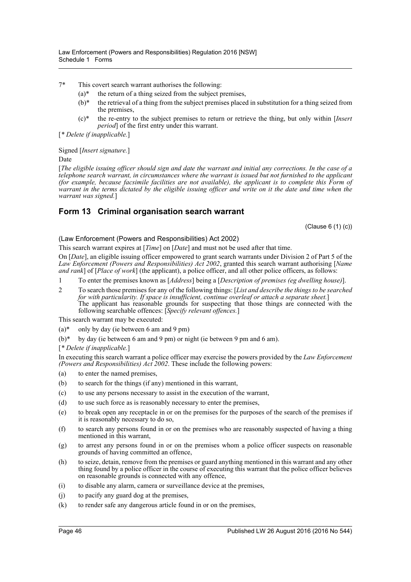7\* This covert search warrant authorises the following:

- $(a)^*$  the return of a thing seized from the subject premises,
- $(b)*$  the retrieval of a thing from the subject premises placed in substitution for a thing seized from the premises,
- (c)\* the re-entry to the subject premises to return or retrieve the thing, but only within [*Insert period* of the first entry under this warrant.

[*\* Delete if inapplicable.*]

Signed [*Insert signature.*]

Date

[*The eligible issuing officer should sign and date the warrant and initial any corrections. In the case of a telephone search warrant, in circumstances where the warrant is issued but not furnished to the applicant (for example, because facsimile facilities are not available), the applicant is to complete this Form of warrant in the terms dictated by the eligible issuing officer and write on it the date and time when the warrant was signed.*]

# **Form 13 Criminal organisation search warrant**

(Clause 6 (1) (c))

(Law Enforcement (Powers and Responsibilities) Act 2002)

This search warrant expires at [*Time*] on [*Date*] and must not be used after that time.

On [*Date*], an eligible issuing officer empowered to grant search warrants under Division 2 of Part 5 of the *Law Enforcement (Powers and Responsibilities) Act 2002*, granted this search warrant authorising [*Name and rank*] of [*Place of work*] (the applicant), a police officer, and all other police officers, as follows:

- 1 To enter the premises known as [*Address*] being a [*Description of premises (eg dwelling house)*].
- 2 To search those premises for any of the following things: [*List and describe the things to be searched for with particularity. If space is insufficient, continue overleaf or attach a separate sheet.*] The applicant has reasonable grounds for suspecting that those things are connected with the following searchable offences: [*Specify relevant offences.*]

This search warrant may be executed:

- $(a)^*$  only by day (ie between 6 am and 9 pm)
- $(b)*$  by day (ie between 6 am and 9 pm) or night (ie between 9 pm and 6 am).

[*\* Delete if inapplicable.*]

In executing this search warrant a police officer may exercise the powers provided by the *Law Enforcement (Powers and Responsibilities) Act 2002*. These include the following powers:

- (a) to enter the named premises,
- (b) to search for the things (if any) mentioned in this warrant,
- (c) to use any persons necessary to assist in the execution of the warrant,
- (d) to use such force as is reasonably necessary to enter the premises,
- (e) to break open any receptacle in or on the premises for the purposes of the search of the premises if it is reasonably necessary to do so,
- (f) to search any persons found in or on the premises who are reasonably suspected of having a thing mentioned in this warrant,
- (g) to arrest any persons found in or on the premises whom a police officer suspects on reasonable grounds of having committed an offence,
- (h) to seize, detain, remove from the premises or guard anything mentioned in this warrant and any other thing found by a police officer in the course of executing this warrant that the police officer believes on reasonable grounds is connected with any offence,
- (i) to disable any alarm, camera or surveillance device at the premises,
- (j) to pacify any guard dog at the premises,
- (k) to render safe any dangerous article found in or on the premises,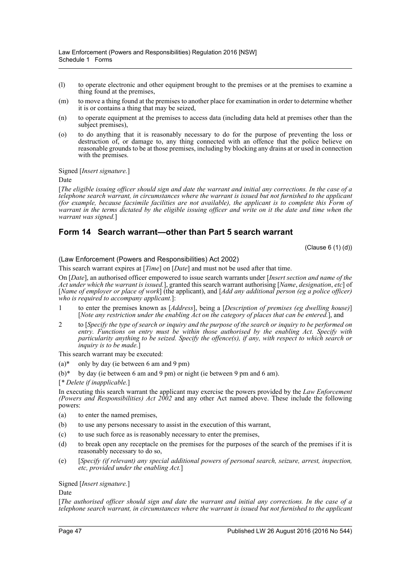- (l) to operate electronic and other equipment brought to the premises or at the premises to examine a thing found at the premises,
- (m) to move a thing found at the premises to another place for examination in order to determine whether it is or contains a thing that may be seized,
- (n) to operate equipment at the premises to access data (including data held at premises other than the subject premises),
- (o) to do anything that it is reasonably necessary to do for the purpose of preventing the loss or destruction of, or damage to, any thing connected with an offence that the police believe on reasonable grounds to be at those premises, including by blocking any drains at or used in connection with the premises.

Signed [*Insert signature.*]

Date

[*The eligible issuing officer should sign and date the warrant and initial any corrections. In the case of a telephone search warrant, in circumstances where the warrant is issued but not furnished to the applicant (for example, because facsimile facilities are not available), the applicant is to complete this Form of warrant in the terms dictated by the eligible issuing officer and write on it the date and time when the warrant was signed.*]

# **Form 14 Search warrant—other than Part 5 search warrant**

(Clause 6 (1) (d))

(Law Enforcement (Powers and Responsibilities) Act 2002)

This search warrant expires at [*Time*] on [*Date*] and must not be used after that time.

On [*Date*], an authorised officer empowered to issue search warrants under [*Insert section and name of the Act under which the warrant is issued.*], granted this search warrant authorising [*Name*, *designation*, *etc*] of [*Name of employer or place of work*] (the applicant), and [*Add any additional person (eg a police officer) who is required to accompany applicant.*]:

- 1 to enter the premises known as [*Address*], being a [*Description of premises (eg dwelling house)*] [*Note any restriction under the enabling Act on the category of places that can be entered.*], and
- 2 to [*Specify the type of search or inquiry and the purpose of the search or inquiry to be performed on entry. Functions on entry must be within those authorised by the enabling Act. Specify with particularity anything to be seized. Specify the offence(s), if any, with respect to which search or inquiry is to be made.*]

This search warrant may be executed:

- (a)\* only by day (ie between 6 am and 9 pm)
- $(b)^*$  by day (ie between 6 am and 9 pm) or night (ie between 9 pm and 6 am).

[*\* Delete if inapplicable.*]

In executing this search warrant the applicant may exercise the powers provided by the *Law Enforcement (Powers and Responsibilities) Act 2002* and any other Act named above. These include the following powers:

- (a) to enter the named premises,
- (b) to use any persons necessary to assist in the execution of this warrant,
- (c) to use such force as is reasonably necessary to enter the premises,
- (d) to break open any receptacle on the premises for the purposes of the search of the premises if it is reasonably necessary to do so,
- (e) [*Specify (if relevant) any special additional powers of personal search, seizure, arrest, inspection, etc, provided under the enabling Act.*]

Signed [*Insert signature.*]

Date

[*The authorised officer should sign and date the warrant and initial any corrections. In the case of a telephone search warrant, in circumstances where the warrant is issued but not furnished to the applicant*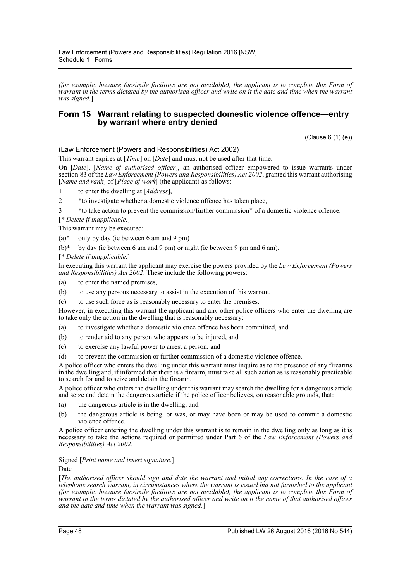*(for example, because facsimile facilities are not available), the applicant is to complete this Form of warrant in the terms dictated by the authorised officer and write on it the date and time when the warrant was signed.*]

# **Form 15 Warrant relating to suspected domestic violence offence—entry by warrant where entry denied**

(Clause 6 (1) (e))

(Law Enforcement (Powers and Responsibilities) Act 2002)

This warrant expires at [*Time*] on [*Date*] and must not be used after that time.

On [*Date*], [*Name of authorised officer*], an authorised officer empowered to issue warrants under section 83 of the *Law Enforcement (Powers and Responsibilities) Act 2002*, granted this warrant authorising [*Name and rank*] of [*Place of work*] (the applicant) as follows:

1 to enter the dwelling at [*Address*],

2 \*to investigate whether a domestic violence offence has taken place,

3 \*to take action to prevent the commission/further commission\* of a domestic violence offence.

[*\* Delete if inapplicable.*]

This warrant may be executed:

 $(a)^*$  only by day (ie between 6 am and 9 pm)

 $(b)^*$  by day (ie between 6 am and 9 pm) or night (ie between 9 pm and 6 am).

[*\* Delete if inapplicable.*]

In executing this warrant the applicant may exercise the powers provided by the *Law Enforcement (Powers and Responsibilities) Act 2002*. These include the following powers:

- (a) to enter the named premises,
- (b) to use any persons necessary to assist in the execution of this warrant,
- (c) to use such force as is reasonably necessary to enter the premises.

However, in executing this warrant the applicant and any other police officers who enter the dwelling are to take only the action in the dwelling that is reasonably necessary:

- (a) to investigate whether a domestic violence offence has been committed, and
- (b) to render aid to any person who appears to be injured, and
- (c) to exercise any lawful power to arrest a person, and
- (d) to prevent the commission or further commission of a domestic violence offence.

A police officer who enters the dwelling under this warrant must inquire as to the presence of any firearms in the dwelling and, if informed that there is a firearm, must take all such action as is reasonably practicable to search for and to seize and detain the firearm.

A police officer who enters the dwelling under this warrant may search the dwelling for a dangerous article and seize and detain the dangerous article if the police officer believes, on reasonable grounds, that:

- (a) the dangerous article is in the dwelling, and
- (b) the dangerous article is being, or was, or may have been or may be used to commit a domestic violence offence.

A police officer entering the dwelling under this warrant is to remain in the dwelling only as long as it is necessary to take the actions required or permitted under Part 6 of the *Law Enforcement (Powers and Responsibilities) Act 2002*.

Signed [*Print name and insert signature.*]

Date

[*The authorised officer should sign and date the warrant and initial any corrections. In the case of a telephone search warrant, in circumstances where the warrant is issued but not furnished to the applicant (for example, because facsimile facilities are not available), the applicant is to complete this Form of warrant in the terms dictated by the authorised officer and write on it the name of that authorised officer and the date and time when the warrant was signed.*]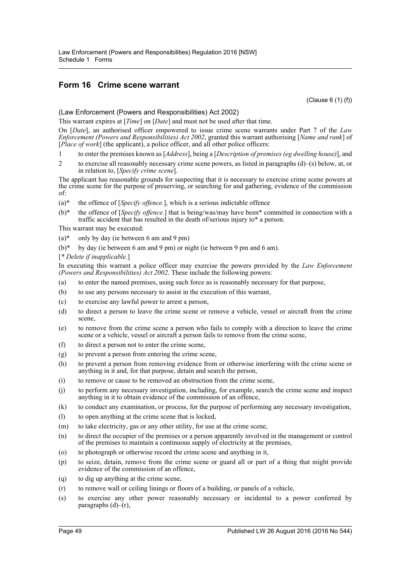# **Form 16 Crime scene warrant**

(Clause 6 (1) (f))

(Law Enforcement (Powers and Responsibilities) Act 2002)

This warrant expires at [*Time*] on [*Date*] and must not be used after that time.

On [*Date*], an authorised officer empowered to issue crime scene warrants under Part 7 of the *Law Enforcement (Powers and Responsibilities) Act 2002*, granted this warrant authorising [*Name and rank*] of [*Place of work*] (the applicant), a police officer, and all other police officers:

- 1 to enter the premises known as [*Address*], being a [*Description of premises (eg dwelling house)*], and
- 2 to exercise all reasonably necessary crime scene powers, as listed in paragraphs (d)–(s) below, at, or in relation to, [*Specify crime scene*].

The applicant has reasonable grounds for suspecting that it is necessary to exercise crime scene powers at the crime scene for the purpose of preserving, or searching for and gathering, evidence of the commission of:

- (a)\* the offence of [*Specify offence.*], which is a serious indictable offence
- (b)\* the offence of [*Specify offence.*] that is being/was/may have been\* committed in connection with a traffic accident that has resulted in the death of/serious injury to\* a person.

This warrant may be executed:

- $(a)^*$  only by day (ie between 6 am and 9 pm)
- $(b)^*$  by day (ie between 6 am and 9 pm) or night (ie between 9 pm and 6 am).

### [*\* Delete if inapplicable.*]

In executing this warrant a police officer may exercise the powers provided by the *Law Enforcement (Powers and Responsibilities) Act 2002*. These include the following powers:

- (a) to enter the named premises, using such force as is reasonably necessary for that purpose,
- (b) to use any persons necessary to assist in the execution of this warrant,
- (c) to exercise any lawful power to arrest a person,
- (d) to direct a person to leave the crime scene or remove a vehicle, vessel or aircraft from the crime scene,
- (e) to remove from the crime scene a person who fails to comply with a direction to leave the crime scene or a vehicle, vessel or aircraft a person fails to remove from the crime scene,
- (f) to direct a person not to enter the crime scene,
- (g) to prevent a person from entering the crime scene,
- (h) to prevent a person from removing evidence from or otherwise interfering with the crime scene or anything in it and, for that purpose, detain and search the person,
- (i) to remove or cause to be removed an obstruction from the crime scene,
- (j) to perform any necessary investigation, including, for example, search the crime scene and inspect anything in it to obtain evidence of the commission of an offence,
- (k) to conduct any examination, or process, for the purpose of performing any necessary investigation,
- (l) to open anything at the crime scene that is locked,
- (m) to take electricity, gas or any other utility, for use at the crime scene,
- (n) to direct the occupier of the premises or a person apparently involved in the management or control of the premises to maintain a continuous supply of electricity at the premises,
- (o) to photograph or otherwise record the crime scene and anything in it,
- (p) to seize, detain, remove from the crime scene or guard all or part of a thing that might provide evidence of the commission of an offence,
- (q) to dig up anything at the crime scene,
- (r) to remove wall or ceiling linings or floors of a building, or panels of a vehicle,
- (s) to exercise any other power reasonably necessary or incidental to a power conferred by paragraphs  $(d)$ – $(r)$ ,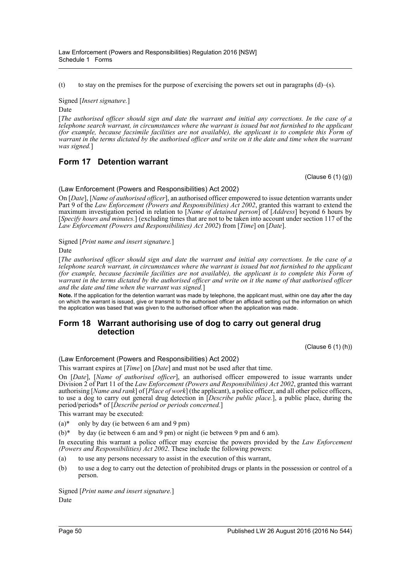(t) to stay on the premises for the purpose of exercising the powers set out in paragraphs  $(d)$ –(s).

Signed [*Insert signature.*]

Date

[*The authorised officer should sign and date the warrant and initial any corrections. In the case of a telephone search warrant, in circumstances where the warrant is issued but not furnished to the applicant (for example, because facsimile facilities are not available), the applicant is to complete this Form of warrant in the terms dictated by the authorised officer and write on it the date and time when the warrant was signed.*]

# **Form 17 Detention warrant**

(Clause 6 (1) (g))

### (Law Enforcement (Powers and Responsibilities) Act 2002)

On [*Date*], [*Name of authorised officer*], an authorised officer empowered to issue detention warrants under Part 9 of the *Law Enforcement (Powers and Responsibilities) Act 2002*, granted this warrant to extend the maximum investigation period in relation to [*Name of detained person*] of [*Address*] beyond 6 hours by [*Specify hours and minutes.*] (excluding times that are not to be taken into account under section 117 of the *Law Enforcement (Powers and Responsibilities) Act 2002*) from [*Time*] on [*Date*].

Signed [*Print name and insert signature.*]

Date

[*The authorised officer should sign and date the warrant and initial any corrections. In the case of a telephone search warrant, in circumstances where the warrant is issued but not furnished to the applicant (for example, because facsimile facilities are not available), the applicant is to complete this Form of warrant in the terms dictated by the authorised officer and write on it the name of that authorised officer and the date and time when the warrant was signed.*]

**Note.** If the application for the detention warrant was made by telephone, the applicant must, within one day after the day on which the warrant is issued, give or transmit to the authorised officer an affidavit setting out the information on which the application was based that was given to the authorised officer when the application was made.

# **Form 18 Warrant authorising use of dog to carry out general drug detection**

(Clause 6 (1) (h))

(Law Enforcement (Powers and Responsibilities) Act 2002)

This warrant expires at [*Time*] on [*Date*] and must not be used after that time.

On [*Date*], [*Name of authorised officer*], an authorised officer empowered to issue warrants under Division 2 of Part 11 of the *Law Enforcement (Powers and Responsibilities) Act 2002*, granted this warrant authorising [*Name and rank*] of [*Place of work*] (the applicant), a police officer, and all other police officers, to use a dog to carry out general drug detection in [*Describe public place.*], a public place, during the period/periods\* of [*Describe period or periods concerned.*]

This warrant may be executed:

 $(a)^*$  only by day (ie between 6 am and 9 pm)

 $(b)^*$  by day (ie between 6 am and 9 pm) or night (ie between 9 pm and 6 am).

In executing this warrant a police officer may exercise the powers provided by the *Law Enforcement (Powers and Responsibilities) Act 2002*. These include the following powers:

- (a) to use any persons necessary to assist in the execution of this warrant,
- (b) to use a dog to carry out the detection of prohibited drugs or plants in the possession or control of a person.

Signed [*Print name and insert signature.*] Date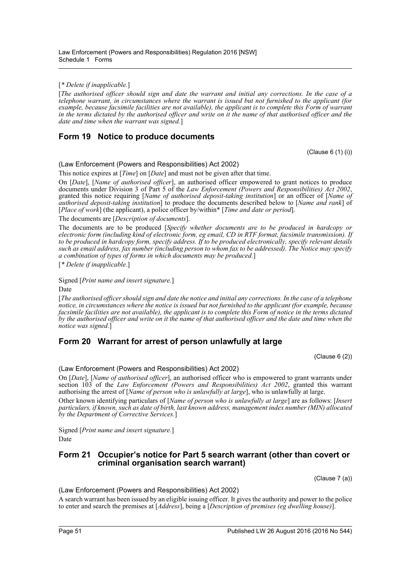### [*\* Delete if inapplicable.*]

[*The authorised officer should sign and date the warrant and initial any corrections. In the case of a telephone warrant, in circumstances where the warrant is issued but not furnished to the applicant (for example, because facsimile facilities are not available), the applicant is to complete this Form of warrant in the terms dictated by the authorised officer and write on it the name of that authorised officer and the date and time when the warrant was signed.*]

# **Form 19 Notice to produce documents**

(Clause 6 (1) (i))

(Law Enforcement (Powers and Responsibilities) Act 2002)

This notice expires at [*Time*] on [*Date*] and must not be given after that time.

On [*Date*], [*Name of authorised officer*], an authorised officer empowered to grant notices to produce documents under Division 3 of Part 5 of the *Law Enforcement (Powers and Responsibilities) Act 2002*, granted this notice requiring [*Name of authorised deposit-taking institution*] or an officer of [*Name of authorised deposit-taking institution*] to produce the documents described below to [*Name and rank*] of [*Place of work*] (the applicant), a police officer by/within\* [*Time and date or period*].

The documents are [*Description of documents*].

The documents are to be produced [*Specify whether documents are to be produced in hardcopy or electronic form (including kind of electronic form, eg email, CD in RTF format, facsimile transmission). If to be produced in hardcopy form, specify address. If to be produced electronically, specify relevant details such as email address, fax number (including person to whom fax to be addressed). The Notice may specify a combination of types of forms in which documents may be produced.*]

[*\* Delete if inapplicable.*]

Signed [*Print name and insert signature.*]

Date

[*The authorised officer should sign and date the notice and initial any corrections. In the case of a telephone notice, in circumstances where the notice is issued but not furnished to the applicant (for example, because facsimile facilities are not available), the applicant is to complete this Form of notice in the terms dictated by the authorised officer and write on it the name of that authorised officer and the date and time when the notice was signed.*]

# **Form 20 Warrant for arrest of person unlawfully at large**

(Clause 6 (2))

## (Law Enforcement (Powers and Responsibilities) Act 2002)

On [*Date*], [*Name of authorised officer*], an authorised officer who is empowered to grant warrants under section 103 of the *Law Enforcement (Powers and Responsibilities) Act 2002*, granted this warrant authorising the arrest of [*Name of person who is unlawfully at large*], who is unlawfully at large.

Other known identifying particulars of [*Name of person who is unlawfully at large*] are as follows: [*Insert particulars, if known, such as date of birth, last known address, management index number (MIN) allocated by the Department of Corrective Services.*]

Signed [*Print name and insert signature.*] Date

# **Form 21 Occupier's notice for Part 5 search warrant (other than covert or criminal organisation search warrant)**

(Clause 7 (a))

(Law Enforcement (Powers and Responsibilities) Act 2002)

A search warrant has been issued by an eligible issuing officer. It gives the authority and power to the police to enter and search the premises at [*Address*], being a [*Description of premises (eg dwelling house)*].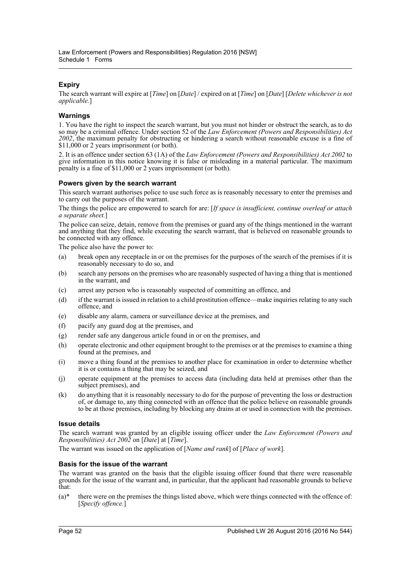# **Expiry**

The search warrant will expire at [*Time*] on [*Date*] / expired on at [*Time*] on [*Date*] [*Delete whichever is not applicable.*]

# **Warnings**

1. You have the right to inspect the search warrant, but you must not hinder or obstruct the search, as to do so may be a criminal offence. Under section 52 of the *Law Enforcement (Powers and Responsibilities) Act 2002*, the maximum penalty for obstructing or hindering a search without reasonable excuse is a fine of \$11,000 or 2 years imprisonment (or both).

2. It is an offence under section 63 (1A) of the *Law Enforcement (Powers and Responsibilities) Act 2002* to give information in this notice knowing it is false or misleading in a material particular. The maximum penalty is a fine of \$11,000 or 2 years imprisonment (or both).

## **Powers given by the search warrant**

This search warrant authorises police to use such force as is reasonably necessary to enter the premises and to carry out the purposes of the warrant.

The things the police are empowered to search for are: [*If space is insufficient, continue overleaf or attach a separate sheet.*]

The police can seize, detain, remove from the premises or guard any of the things mentioned in the warrant and anything that they find, while executing the search warrant, that is believed on reasonable grounds to be connected with any offence.

The police also have the power to:

- (a) break open any receptacle in or on the premises for the purposes of the search of the premises if it is reasonably necessary to do so, and
- (b) search any persons on the premises who are reasonably suspected of having a thing that is mentioned in the warrant, and
- (c) arrest any person who is reasonably suspected of committing an offence, and
- (d) if the warrant is issued in relation to a child prostitution offence—make inquiries relating to any such offence, and
- (e) disable any alarm, camera or surveillance device at the premises, and
- (f) pacify any guard dog at the premises, and
- (g) render safe any dangerous article found in or on the premises, and
- (h) operate electronic and other equipment brought to the premises or at the premises to examine a thing found at the premises, and
- (i) move a thing found at the premises to another place for examination in order to determine whether it is or contains a thing that may be seized, and
- (j) operate equipment at the premises to access data (including data held at premises other than the subject premises), and
- (k) do anything that it is reasonably necessary to do for the purpose of preventing the loss or destruction of, or damage to, any thing connected with an offence that the police believe on reasonable grounds to be at those premises, including by blocking any drains at or used in connection with the premises.

## **Issue details**

The search warrant was granted by an eligible issuing officer under the *Law Enforcement (Powers and Responsibilities) Act 2002* on [*Date*] at [*Time*].

The warrant was issued on the application of [*Name and rank*] of [*Place of work*].

## **Basis for the issue of the warrant**

The warrant was granted on the basis that the eligible issuing officer found that there were reasonable grounds for the issue of the warrant and, in particular, that the applicant had reasonable grounds to believe that:

 $(a)^*$  there were on the premises the things listed above, which were things connected with the offence of: [*Specify offence.*]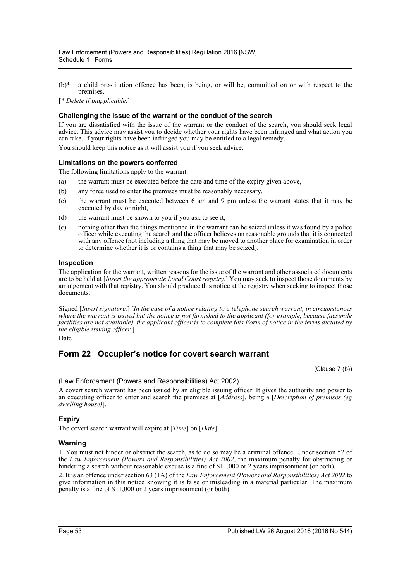(b)\* a child prostitution offence has been, is being, or will be, committed on or with respect to the premises.

[*\* Delete if inapplicable.*]

## **Challenging the issue of the warrant or the conduct of the search**

If you are dissatisfied with the issue of the warrant or the conduct of the search, you should seek legal advice. This advice may assist you to decide whether your rights have been infringed and what action you can take. If your rights have been infringed you may be entitled to a legal remedy.

You should keep this notice as it will assist you if you seek advice.

### **Limitations on the powers conferred**

The following limitations apply to the warrant:

- (a) the warrant must be executed before the date and time of the expiry given above,
- (b) any force used to enter the premises must be reasonably necessary,
- (c) the warrant must be executed between 6 am and 9 pm unless the warrant states that it may be executed by day or night,
- (d) the warrant must be shown to you if you ask to see it,
- (e) nothing other than the things mentioned in the warrant can be seized unless it was found by a police officer while executing the search and the officer believes on reasonable grounds that it is connected with any offence (not including a thing that may be moved to another place for examination in order to determine whether it is or contains a thing that may be seized).

#### **Inspection**

The application for the warrant, written reasons for the issue of the warrant and other associated documents are to be held at [*Insert the appropriate Local Court registry.*] You may seek to inspect those documents by arrangement with that registry. You should produce this notice at the registry when seeking to inspect those documents.

Signed [*Insert signature.*] [*In the case of a notice relating to a telephone search warrant, in circumstances where the warrant is issued but the notice is not furnished to the applicant (for example, because facsimile facilities are not available), the applicant officer is to complete this Form of notice in the terms dictated by the eligible issuing officer.*]

Date

# **Form 22 Occupier's notice for covert search warrant**

(Clause 7 (b))

(Law Enforcement (Powers and Responsibilities) Act 2002)

A covert search warrant has been issued by an eligible issuing officer. It gives the authority and power to an executing officer to enter and search the premises at [*Address*], being a [*Description of premises (eg dwelling house)*].

#### **Expiry**

The covert search warrant will expire at [*Time*] on [*Date*].

#### **Warning**

1. You must not hinder or obstruct the search, as to do so may be a criminal offence. Under section 52 of the *Law Enforcement (Powers and Responsibilities) Act 2002*, the maximum penalty for obstructing or hindering a search without reasonable excuse is a fine of \$11,000 or 2 years imprisonment (or both).

2. It is an offence under section 63 (1A) of the *Law Enforcement (Powers and Responsibilities) Act 2002* to give information in this notice knowing it is false or misleading in a material particular. The maximum penalty is a fine of \$11,000 or 2 years imprisonment (or both).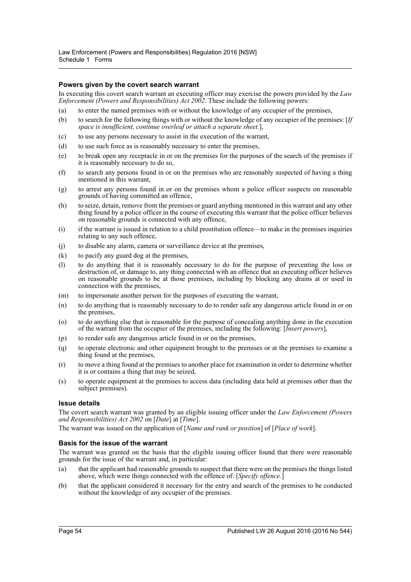### **Powers given by the covert search warrant**

In executing this covert search warrant an executing officer may exercise the powers provided by the *Law Enforcement (Powers and Responsibilities) Act 2002*. These include the following powers:

- (a) to enter the named premises with or without the knowledge of any occupier of the premises,
- (b) to search for the following things with or without the knowledge of any occupier of the premises: [*If space is insufficient, continue overleaf or attach a separate sheet.*],
- (c) to use any persons necessary to assist in the execution of the warrant,
- (d) to use such force as is reasonably necessary to enter the premises,
- (e) to break open any receptacle in or on the premises for the purposes of the search of the premises if it is reasonably necessary to do so,
- (f) to search any persons found in or on the premises who are reasonably suspected of having a thing mentioned in this warrant,
- (g) to arrest any persons found in or on the premises whom a police officer suspects on reasonable grounds of having committed an offence,
- (h) to seize, detain, remove from the premises or guard anything mentioned in this warrant and any other thing found by a police officer in the course of executing this warrant that the police officer believes on reasonable grounds is connected with any offence,
- (i) if the warrant is issued in relation to a child prostitution offence—to make in the premises inquiries relating to any such offence,
- (j) to disable any alarm, camera or surveillance device at the premises,
- (k) to pacify any guard dog at the premises,
- (l) to do anything that it is reasonably necessary to do for the purpose of preventing the loss or destruction of, or damage to, any thing connected with an offence that an executing officer believes on reasonable grounds to be at those premises, including by blocking any drains at or used in connection with the premises,
- (m) to impersonate another person for the purposes of executing the warrant,
- (n) to do anything that is reasonably necessary to do to render safe any dangerous article found in or on the premises,
- (o) to do anything else that is reasonable for the purpose of concealing anything done in the execution of the warrant from the occupier of the premises, including the following: [*Insert powers*],
- (p) to render safe any dangerous article found in or on the premises,
- (q) to operate electronic and other equipment brought to the premises or at the premises to examine a thing found at the premises,
- (r) to move a thing found at the premises to another place for examination in order to determine whether it is or contains a thing that may be seized,
- (s) to operate equipment at the premises to access data (including data held at premises other than the subject premises).

#### **Issue details**

The covert search warrant was granted by an eligible issuing officer under the *Law Enforcement (Powers and Responsibilities) Act 2002* on [*Date*] at [*Time*].

The warrant was issued on the application of [*Name and rank or position*] of [*Place of work*].

#### **Basis for the issue of the warrant**

The warrant was granted on the basis that the eligible issuing officer found that there were reasonable grounds for the issue of the warrant and, in particular:

- (a) that the applicant had reasonable grounds to suspect that there were on the premises the things listed above, which were things connected with the offence of: [*Specify offence.*]
- (b) that the applicant considered it necessary for the entry and search of the premises to be conducted without the knowledge of any occupier of the premises.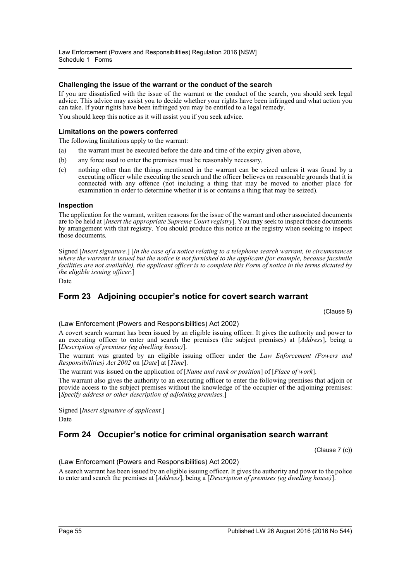### **Challenging the issue of the warrant or the conduct of the search**

If you are dissatisfied with the issue of the warrant or the conduct of the search, you should seek legal advice. This advice may assist you to decide whether your rights have been infringed and what action you can take. If your rights have been infringed you may be entitled to a legal remedy. You should keep this notice as it will assist you if you seek advice.

# **Limitations on the powers conferred**

The following limitations apply to the warrant:

- (a) the warrant must be executed before the date and time of the expiry given above,
- (b) any force used to enter the premises must be reasonably necessary,
- (c) nothing other than the things mentioned in the warrant can be seized unless it was found by a executing officer while executing the search and the officer believes on reasonable grounds that it is connected with any offence (not including a thing that may be moved to another place for examination in order to determine whether it is or contains a thing that may be seized).

#### **Inspection**

The application for the warrant, written reasons for the issue of the warrant and other associated documents are to be held at [*Insert the appropriate Supreme Court registry*]. You may seek to inspect those documents by arrangement with that registry. You should produce this notice at the registry when seeking to inspect those documents.

Signed [*Insert signature.*] [*In the case of a notice relating to a telephone search warrant, in circumstances where the warrant is issued but the notice is not furnished to the applicant (for example, because facsimile facilities are not available), the applicant officer is to complete this Form of notice in the terms dictated by the eligible issuing officer.*]

Date

# **Form 23 Adjoining occupier's notice for covert search warrant**

(Clause 8)

(Law Enforcement (Powers and Responsibilities) Act 2002)

A covert search warrant has been issued by an eligible issuing officer. It gives the authority and power to an executing officer to enter and search the premises (the subject premises) at [*Address*], being a [*Description of premises (eg dwelling house)*].

The warrant was granted by an eligible issuing officer under the *Law Enforcement (Powers and Responsibilities) Act 2002* on [*Date*] at [*Time*].

The warrant was issued on the application of [*Name and rank or position*] of [*Place of work*].

The warrant also gives the authority to an executing officer to enter the following premises that adjoin or provide access to the subject premises without the knowledge of the occupier of the adjoining premises: [*Specify address or other description of adjoining premises.*]

Signed [*Insert signature of applicant.*] Date

# **Form 24 Occupier's notice for criminal organisation search warrant**

(Clause 7 (c))

(Law Enforcement (Powers and Responsibilities) Act 2002)

A search warrant has been issued by an eligible issuing officer. It gives the authority and power to the police to enter and search the premises at [*Address*], being a [*Description of premises (eg dwelling house)*].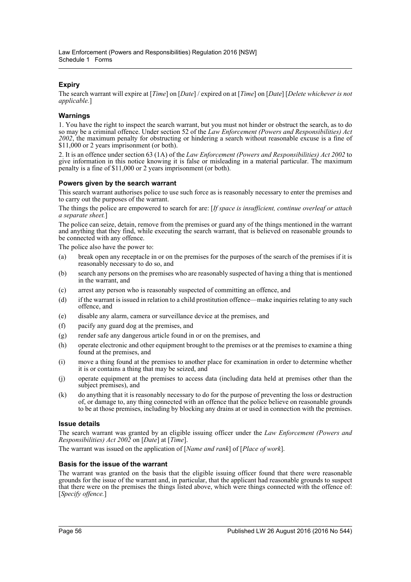# **Expiry**

The search warrant will expire at [*Time*] on [*Date*] / expired on at [*Time*] on [*Date*] [*Delete whichever is not applicable.*]

# **Warnings**

1. You have the right to inspect the search warrant, but you must not hinder or obstruct the search, as to do so may be a criminal offence. Under section 52 of the *Law Enforcement (Powers and Responsibilities) Act 2002*, the maximum penalty for obstructing or hindering a search without reasonable excuse is a fine of \$11,000 or 2 years imprisonment (or both).

2. It is an offence under section 63 (1A) of the *Law Enforcement (Powers and Responsibilities) Act 2002* to give information in this notice knowing it is false or misleading in a material particular. The maximum penalty is a fine of \$11,000 or 2 years imprisonment (or both).

## **Powers given by the search warrant**

This search warrant authorises police to use such force as is reasonably necessary to enter the premises and to carry out the purposes of the warrant.

The things the police are empowered to search for are: [*If space is insufficient, continue overleaf or attach a separate sheet.*]

The police can seize, detain, remove from the premises or guard any of the things mentioned in the warrant and anything that they find, while executing the search warrant, that is believed on reasonable grounds to be connected with any offence.

The police also have the power to:

- (a) break open any receptacle in or on the premises for the purposes of the search of the premises if it is reasonably necessary to do so, and
- (b) search any persons on the premises who are reasonably suspected of having a thing that is mentioned in the warrant, and
- (c) arrest any person who is reasonably suspected of committing an offence, and
- (d) if the warrant is issued in relation to a child prostitution offence—make inquiries relating to any such offence, and
- (e) disable any alarm, camera or surveillance device at the premises, and
- (f) pacify any guard dog at the premises, and
- (g) render safe any dangerous article found in or on the premises, and
- (h) operate electronic and other equipment brought to the premises or at the premises to examine a thing found at the premises, and
- (i) move a thing found at the premises to another place for examination in order to determine whether it is or contains a thing that may be seized, and
- (j) operate equipment at the premises to access data (including data held at premises other than the subject premises), and
- (k) do anything that it is reasonably necessary to do for the purpose of preventing the loss or destruction of, or damage to, any thing connected with an offence that the police believe on reasonable grounds to be at those premises, including by blocking any drains at or used in connection with the premises.

## **Issue details**

The search warrant was granted by an eligible issuing officer under the *Law Enforcement (Powers and Responsibilities) Act 2002* on [*Date*] at [*Time*].

The warrant was issued on the application of [*Name and rank*] of [*Place of work*].

## **Basis for the issue of the warrant**

The warrant was granted on the basis that the eligible issuing officer found that there were reasonable grounds for the issue of the warrant and, in particular, that the applicant had reasonable grounds to suspect that there were on the premises the things listed above, which were things connected with the offence of: [*Specify offence.*]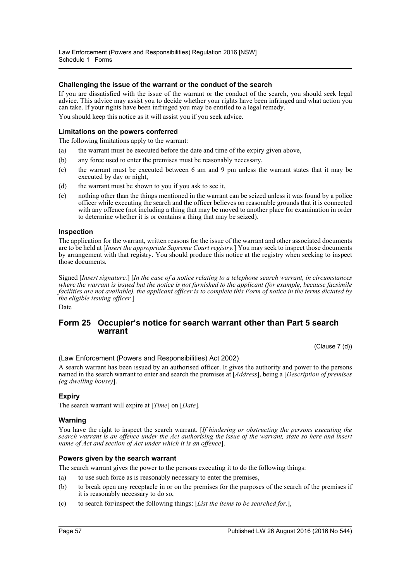### **Challenging the issue of the warrant or the conduct of the search**

If you are dissatisfied with the issue of the warrant or the conduct of the search, you should seek legal advice. This advice may assist you to decide whether your rights have been infringed and what action you can take. If your rights have been infringed you may be entitled to a legal remedy. You should keep this notice as it will assist you if you seek advice.

### **Limitations on the powers conferred**

The following limitations apply to the warrant:

- (a) the warrant must be executed before the date and time of the expiry given above,
- (b) any force used to enter the premises must be reasonably necessary,
- (c) the warrant must be executed between 6 am and 9 pm unless the warrant states that it may be executed by day or night,
- (d) the warrant must be shown to you if you ask to see it,
- (e) nothing other than the things mentioned in the warrant can be seized unless it was found by a police officer while executing the search and the officer believes on reasonable grounds that it is connected with any offence (not including a thing that may be moved to another place for examination in order to determine whether it is or contains a thing that may be seized).

#### **Inspection**

The application for the warrant, written reasons for the issue of the warrant and other associated documents are to be held at [*Insert the appropriate Supreme Court registry.*] You may seek to inspect those documents by arrangement with that registry. You should produce this notice at the registry when seeking to inspect those documents.

Signed [*Insert signature.*] [*In the case of a notice relating to a telephone search warrant, in circumstances where the warrant is issued but the notice is not furnished to the applicant (for example, because facsimile facilities are not available), the applicant officer is to complete this Form of notice in the terms dictated by the eligible issuing officer.*]

Date

# **Form 25 Occupier's notice for search warrant other than Part 5 search warrant**

(Clause 7 (d))

(Law Enforcement (Powers and Responsibilities) Act 2002)

A search warrant has been issued by an authorised officer. It gives the authority and power to the persons named in the search warrant to enter and search the premises at [*Address*], being a [*Description of premises (eg dwelling house)*].

#### **Expiry**

The search warrant will expire at [*Time*] on [*Date*].

#### **Warning**

You have the right to inspect the search warrant. [*If hindering or obstructing the persons executing the search warrant is an offence under the Act authorising the issue of the warrant, state so here and insert name of Act and section of Act under which it is an offence*].

#### **Powers given by the search warrant**

The search warrant gives the power to the persons executing it to do the following things:

- (a) to use such force as is reasonably necessary to enter the premises,
- (b) to break open any receptacle in or on the premises for the purposes of the search of the premises if it is reasonably necessary to do so,
- (c) to search for/inspect the following things: [*List the items to be searched for.*],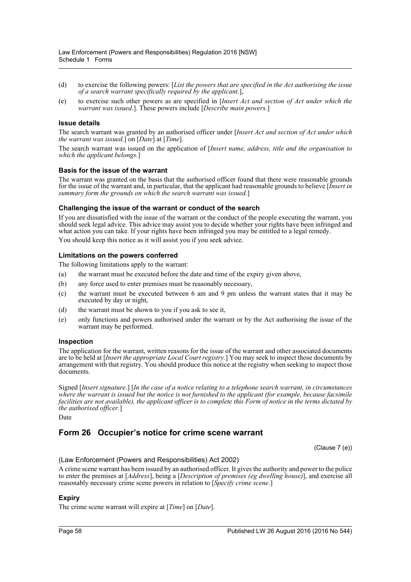- (d) to exercise the following powers: [*List the powers that are specified in the Act authorising the issue of a search warrant specifically required by the applicant.*],
- (e) to exercise such other powers as are specified in [*Insert Act and section of Act under which the warrant was issued.*]. These powers include [*Describe main powers.*]

#### **Issue details**

The search warrant was granted by an authorised officer under [*Insert Act and section of Act under which the warrant was issued.*] on [*Date*] at [*Time*].

The search warrant was issued on the application of [*Insert name, address, title and the organisation to which the applicant belongs.*]

#### **Basis for the issue of the warrant**

The warrant was granted on the basis that the authorised officer found that there were reasonable grounds for the issue of the warrant and, in particular, that the applicant had reasonable grounds to believe [*Insert in summary form the grounds on which the search warrant was issued.*]

#### **Challenging the issue of the warrant or conduct of the search**

If you are dissatisfied with the issue of the warrant or the conduct of the people executing the warrant, you should seek legal advice. This advice may assist you to decide whether your rights have been infringed and what action you can take. If your rights have been infringed you may be entitled to a legal remedy. You should keep this notice as it will assist you if you seek advice.

#### **Limitations on the powers conferred**

The following limitations apply to the warrant:

- (a) the warrant must be executed before the date and time of the expiry given above,
- (b) any force used to enter premises must be reasonably necessary,
- (c) the warrant must be executed between 6 am and 9 pm unless the warrant states that it may be executed by day or night,
- (d) the warrant must be shown to you if you ask to see it,
- (e) only functions and powers authorised under the warrant or by the Act authorising the issue of the warrant may be performed.

#### **Inspection**

The application for the warrant, written reasons for the issue of the warrant and other associated documents are to be held at [*Insert the appropriate Local Court registry.*] You may seek to inspect those documents by arrangement with that registry. You should produce this notice at the registry when seeking to inspect those documents.

Signed [*Insert signature.*] [*In the case of a notice relating to a telephone search warrant, in circumstances where the warrant is issued but the notice is not furnished to the applicant (for example, because facsimile facilities are not available), the applicant officer is to complete this Form of notice in the terms dictated by the authorised officer.*]

Date

# **Form 26 Occupier's notice for crime scene warrant**

(Clause 7 (e))

#### (Law Enforcement (Powers and Responsibilities) Act 2002)

A crime scene warrant has been issued by an authorised officer. It gives the authority and power to the police to enter the premises at [*Address*], being a [*Description of premises (eg dwelling house)*], and exercise all reasonably necessary crime scene powers in relation to [*Specify crime scene.*]

#### **Expiry**

The crime scene warrant will expire at [*Time*] on [*Date*].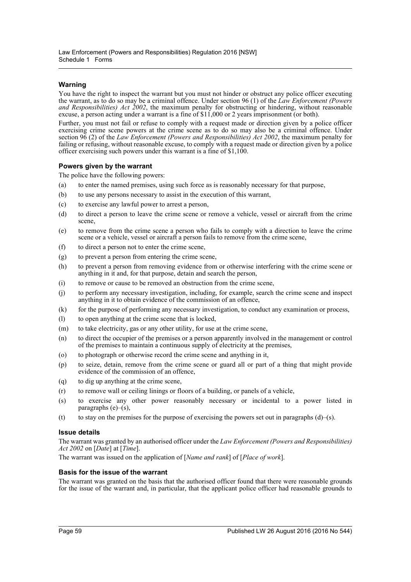# **Warning**

You have the right to inspect the warrant but you must not hinder or obstruct any police officer executing the warrant, as to do so may be a criminal offence. Under section 96 (1) of the *Law Enforcement (Powers and Responsibilities) Act 2002*, the maximum penalty for obstructing or hindering, without reasonable excuse, a person acting under a warrant is a fine of \$11,000 or 2 years imprisonment (or both).

Further, you must not fail or refuse to comply with a request made or direction given by a police officer exercising crime scene powers at the crime scene as to do so may also be a criminal offence. Under section 96 (2) of the *Law Enforcement (Powers and Responsibilities) Act 2002*, the maximum penalty for failing or refusing, without reasonable excuse, to comply with a request made or direction given by a police officer exercising such powers under this warrant is a fine of \$1,100.

## **Powers given by the warrant**

The police have the following powers:

- (a) to enter the named premises, using such force as is reasonably necessary for that purpose,
- (b) to use any persons necessary to assist in the execution of this warrant,
- (c) to exercise any lawful power to arrest a person,
- (d) to direct a person to leave the crime scene or remove a vehicle, vessel or aircraft from the crime scene,
- (e) to remove from the crime scene a person who fails to comply with a direction to leave the crime scene or a vehicle, vessel or aircraft a person fails to remove from the crime scene,
- (f) to direct a person not to enter the crime scene,
- (g) to prevent a person from entering the crime scene,
- (h) to prevent a person from removing evidence from or otherwise interfering with the crime scene or anything in it and, for that purpose, detain and search the person,
- (i) to remove or cause to be removed an obstruction from the crime scene,
- (j) to perform any necessary investigation, including, for example, search the crime scene and inspect anything in it to obtain evidence of the commission of an offence,
- (k) for the purpose of performing any necessary investigation, to conduct any examination or process,
- (l) to open anything at the crime scene that is locked,
- (m) to take electricity, gas or any other utility, for use at the crime scene,
- (n) to direct the occupier of the premises or a person apparently involved in the management or control of the premises to maintain a continuous supply of electricity at the premises,
- (o) to photograph or otherwise record the crime scene and anything in it,
- (p) to seize, detain, remove from the crime scene or guard all or part of a thing that might provide evidence of the commission of an offence,
- (q) to dig up anything at the crime scene,
- (r) to remove wall or ceiling linings or floors of a building, or panels of a vehicle,
- (s) to exercise any other power reasonably necessary or incidental to a power listed in paragraphs  $(e)$ – $(s)$ ,
- (t) to stay on the premises for the purpose of exercising the powers set out in paragraphs  $(d)$ –(s).

## **Issue details**

The warrant was granted by an authorised officer under the *Law Enforcement (Powers and Responsibilities) Act 2002* on [*Date*] at [*Time*].

The warrant was issued on the application of [*Name and rank*] of [*Place of work*].

## **Basis for the issue of the warrant**

The warrant was granted on the basis that the authorised officer found that there were reasonable grounds for the issue of the warrant and, in particular, that the applicant police officer had reasonable grounds to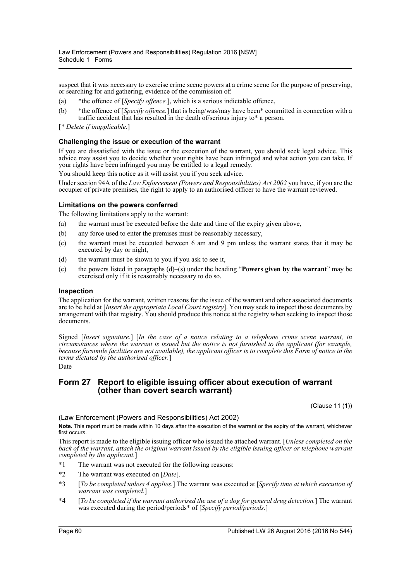suspect that it was necessary to exercise crime scene powers at a crime scene for the purpose of preserving, or searching for and gathering, evidence of the commission of:

- (a) \*the offence of [*Specify offence.*], which is a serious indictable offence,
- (b) \*the offence of [*Specify offence.*] that is being/was/may have been\* committed in connection with a traffic accident that has resulted in the death of/serious injury to\* a person.
- [*\* Delete if inapplicable.*]

#### **Challenging the issue or execution of the warrant**

If you are dissatisfied with the issue or the execution of the warrant, you should seek legal advice. This advice may assist you to decide whether your rights have been infringed and what action you can take. If your rights have been infringed you may be entitled to a legal remedy.

You should keep this notice as it will assist you if you seek advice.

Under section 94A of the *Law Enforcement (Powers and Responsibilities) Act 2002* you have, if you are the occupier of private premises, the right to apply to an authorised officer to have the warrant reviewed.

#### **Limitations on the powers conferred**

The following limitations apply to the warrant:

- (a) the warrant must be executed before the date and time of the expiry given above,
- (b) any force used to enter the premises must be reasonably necessary,
- (c) the warrant must be executed between 6 am and 9 pm unless the warrant states that it may be executed by day or night,
- (d) the warrant must be shown to you if you ask to see it,
- (e) the powers listed in paragraphs (d)–(s) under the heading "**Powers given by the warrant**" may be exercised only if it is reasonably necessary to do so.

#### **Inspection**

The application for the warrant, written reasons for the issue of the warrant and other associated documents are to be held at [*Insert the appropriate Local Court registry*]. You may seek to inspect those documents by arrangement with that registry. You should produce this notice at the registry when seeking to inspect those documents.

Signed [*Insert signature.*] [*In the case of a notice relating to a telephone crime scene warrant, in circumstances where the warrant is issued but the notice is not furnished to the applicant (for example, because facsimile facilities are not available), the applicant officer is to complete this Form of notice in the terms dictated by the authorised officer.*]

#### Date

# **Form 27 Report to eligible issuing officer about execution of warrant (other than covert search warrant)**

(Clause 11 (1))

(Law Enforcement (Powers and Responsibilities) Act 2002) **Note.** This report must be made within 10 days after the execution of the warrant or the expiry of the warrant, whichever first occurs.

This report is made to the eligible issuing officer who issued the attached warrant. [*Unless completed on the back of the warrant, attach the original warrant issued by the eligible issuing officer or telephone warrant completed by the applicant.*]

- \*1 The warrant was not executed for the following reasons:
- \*2 The warrant was executed on [*Date*].
- \*3 [*To be completed unless 4 applies.*] The warrant was executed at [*Specify time at which execution of warrant was completed.*]
- \*4 [*To be completed if the warrant authorised the use of a dog for general drug detection.*] The warrant was executed during the period/periods\* of [*Specify period/periods.*]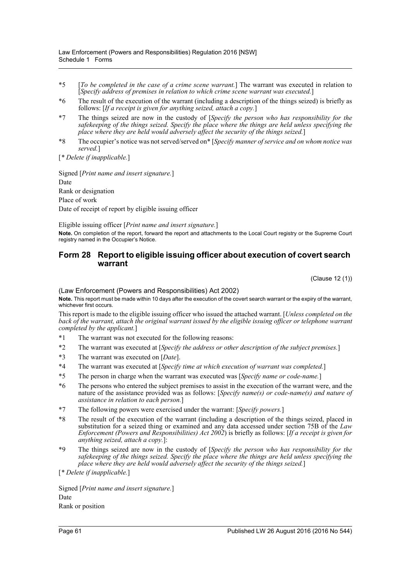- \*5 [*To be completed in the case of a crime scene warrant.*] The warrant was executed in relation to [*Specify address of premises in relation to which crime scene warrant was executed.*]
- \*6 The result of the execution of the warrant (including a description of the things seized) is briefly as follows: [*If a receipt is given for anything seized, attach a copy.*]
- \*7 The things seized are now in the custody of [*Specify the person who has responsibility for the safekeeping of the things seized. Specify the place where the things are held unless specifying the place where they are held would adversely affect the security of the things seized.*]
- \*8 The occupier's notice was not served/served on\* [*Specify manner of service and on whom notice was served.*]

[*\* Delete if inapplicable.*]

Signed [*Print name and insert signature.*] Date Rank or designation Place of work

Date of receipt of report by eligible issuing officer

Eligible issuing officer [*Print name and insert signature.*]

**Note.** On completion of the report, forward the report and attachments to the Local Court registry or the Supreme Court registry named in the Occupier's Notice.

# **Form 28 Report to eligible issuing officer about execution of covert search warrant**

(Clause 12 (1))

(Law Enforcement (Powers and Responsibilities) Act 2002)

**Note.** This report must be made within 10 days after the execution of the covert search warrant or the expiry of the warrant, whichever first occurs.

This report is made to the eligible issuing officer who issued the attached warrant. [*Unless completed on the back of the warrant, attach the original warrant issued by the eligible issuing officer or telephone warrant completed by the applicant.*]

- \*1 The warrant was not executed for the following reasons:
- \*2 The warrant was executed at [*Specify the address or other description of the subject premises.*]
- \*3 The warrant was executed on [*Date*].
- \*4 The warrant was executed at [*Specify time at which execution of warrant was completed.*]
- \*5 The person in charge when the warrant was executed was [*Specify name or code-name.*]
- \*6 The persons who entered the subject premises to assist in the execution of the warrant were, and the nature of the assistance provided was as follows: [*Specify name(s) or code-name(s) and nature of assistance in relation to each person.*]
- \*7 The following powers were exercised under the warrant: [*Specify powers.*]
- \*8 The result of the execution of the warrant (including a description of the things seized, placed in substitution for a seized thing or examined and any data accessed under section 75B of the *Law Enforcement (Powers and Responsibilities) Act 2002*) is briefly as follows: [*If a receipt is given for anything seized, attach a copy.*]:
- \*9 The things seized are now in the custody of [*Specify the person who has responsibility for the safekeeping of the things seized. Specify the place where the things are held unless specifying the place where they are held would adversely affect the security of the things seized.*]

[*\* Delete if inapplicable.*]

Signed [*Print name and insert signature.*] Date Rank or position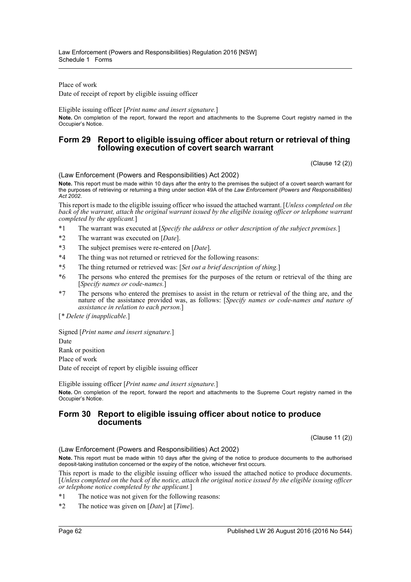Place of work

Date of receipt of report by eligible issuing officer

Eligible issuing officer [*Print name and insert signature.*]

**Note.** On completion of the report, forward the report and attachments to the Supreme Court registry named in the Occupier's Notice.

# **Form 29 Report to eligible issuing officer about return or retrieval of thing following execution of covert search warrant**

(Clause 12 (2))

(Law Enforcement (Powers and Responsibilities) Act 2002)

**Note.** This report must be made within 10 days after the entry to the premises the subject of a covert search warrant for the purposes of retrieving or returning a thing under section 49A of the *Law Enforcement (Powers and Responsibilities) Act 2002*.

This report is made to the eligible issuing officer who issued the attached warrant. [*Unless completed on the back of the warrant, attach the original warrant issued by the eligible issuing officer or telephone warrant completed by the applicant.*]

- \*1 The warrant was executed at [*Specify the address or other description of the subject premises.*]
- \*2 The warrant was executed on [*Date*].
- \*3 The subject premises were re-entered on [*Date*].
- \*4 The thing was not returned or retrieved for the following reasons:
- \*5 The thing returned or retrieved was: [*Set out a brief description of thing.*]
- \*6 The persons who entered the premises for the purposes of the return or retrieval of the thing are [*Specify names or code-names.*]
- \*7 The persons who entered the premises to assist in the return or retrieval of the thing are, and the nature of the assistance provided was, as follows: [*Specify names or code-names and nature of assistance in relation to each person.*]

[*\* Delete if inapplicable.*]

Signed [*Print name and insert signature.*] Date Rank or position Place of work

Date of receipt of report by eligible issuing officer

Eligible issuing officer [*Print name and insert signature.*]

**Note.** On completion of the report, forward the report and attachments to the Supreme Court registry named in the Occupier's Notice.

# **Form 30 Report to eligible issuing officer about notice to produce documents**

(Clause 11 (2))

(Law Enforcement (Powers and Responsibilities) Act 2002)

**Note.** This report must be made within 10 days after the giving of the notice to produce documents to the authorised deposit-taking institution concerned or the expiry of the notice, whichever first occurs.

This report is made to the eligible issuing officer who issued the attached notice to produce documents. [*Unless completed on the back of the notice, attach the original notice issued by the eligible issuing officer or telephone notice completed by the applicant.*]

- \*1 The notice was not given for the following reasons:
- \*2 The notice was given on [*Date*] at [*Time*].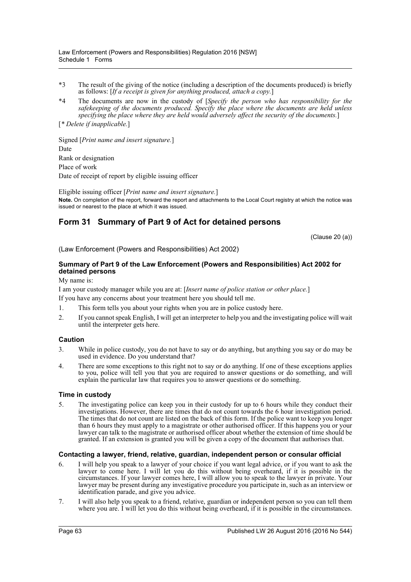- \*3 The result of the giving of the notice (including a description of the documents produced) is briefly as follows: [*If a receipt is given for anything produced, attach a copy.*]
- \*4 The documents are now in the custody of [*Specify the person who has responsibility for the safekeeping of the documents produced. Specify the place where the documents are held unless specifying the place where they are held would adversely affect the security of the documents.*]

[*\* Delete if inapplicable.*]

Signed [*Print name and insert signature.*] Date Rank or designation Place of work Date of receipt of report by eligible issuing officer

Eligible issuing officer [*Print name and insert signature.*] **Note.** On completion of the report, forward the report and attachments to the Local Court registry at which the notice was issued or nearest to the place at which it was issued.

# **Form 31 Summary of Part 9 of Act for detained persons**

(Clause 20 (a))

(Law Enforcement (Powers and Responsibilities) Act 2002)

# **Summary of Part 9 of the Law Enforcement (Powers and Responsibilities) Act 2002 for detained persons**

My name is:

I am your custody manager while you are at: [*Insert name of police station or other place.*] If you have any concerns about your treatment here you should tell me.

- 1. This form tells you about your rights when you are in police custody here.
- 2. If you cannot speak English, I will get an interpreter to help you and the investigating police will wait until the interpreter gets here.

## **Caution**

- 3. While in police custody, you do not have to say or do anything, but anything you say or do may be used in evidence. Do you understand that?
- 4. There are some exceptions to this right not to say or do anything. If one of these exceptions applies to you, police will tell you that you are required to answer questions or do something, and will explain the particular law that requires you to answer questions or do something.

## **Time in custody**

5. The investigating police can keep you in their custody for up to 6 hours while they conduct their investigations. However, there are times that do not count towards the 6 hour investigation period. The times that do not count are listed on the back of this form. If the police want to keep you longer than 6 hours they must apply to a magistrate or other authorised officer. If this happens you or your lawyer can talk to the magistrate or authorised officer about whether the extension of time should be granted. If an extension is granted you will be given a copy of the document that authorises that.

## **Contacting a lawyer, friend, relative, guardian, independent person or consular official**

- 6. I will help you speak to a lawyer of your choice if you want legal advice, or if you want to ask the lawyer to come here. I will let you do this without being overheard, if it is possible in the circumstances. If your lawyer comes here, I will allow you to speak to the lawyer in private. Your lawyer may be present during any investigative procedure you participate in, such as an interview or identification parade, and give you advice.
- 7. I will also help you speak to a friend, relative, guardian or independent person so you can tell them where you are. I will let you do this without being overheard, if it is possible in the circumstances.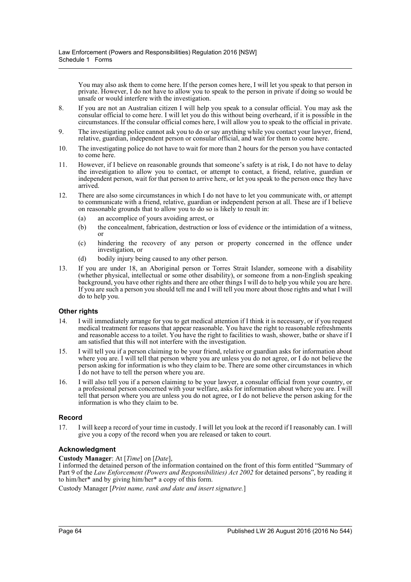You may also ask them to come here. If the person comes here, I will let you speak to that person in private. However, I do not have to allow you to speak to the person in private if doing so would be unsafe or would interfere with the investigation.

- 8. If you are not an Australian citizen I will help you speak to a consular official. You may ask the consular official to come here. I will let you do this without being overheard, if it is possible in the circumstances. If the consular official comes here, I will allow you to speak to the official in private.
- 9. The investigating police cannot ask you to do or say anything while you contact your lawyer, friend, relative, guardian, independent person or consular official, and wait for them to come here.
- 10. The investigating police do not have to wait for more than 2 hours for the person you have contacted to come here.
- 11. However, if I believe on reasonable grounds that someone's safety is at risk, I do not have to delay the investigation to allow you to contact, or attempt to contact, a friend, relative, guardian or independent person, wait for that person to arrive here, or let you speak to the person once they have arrived.
- 12. There are also some circumstances in which I do not have to let you communicate with, or attempt to communicate with a friend, relative, guardian or independent person at all. These are if I believe on reasonable grounds that to allow you to do so is likely to result in:
	- (a) an accomplice of yours avoiding arrest, or
	- (b) the concealment, fabrication, destruction or loss of evidence or the intimidation of a witness, or
	- (c) hindering the recovery of any person or property concerned in the offence under investigation, or
	- (d) bodily injury being caused to any other person.
- 13. If you are under 18, an Aboriginal person or Torres Strait Islander, someone with a disability (whether physical, intellectual or some other disability), or someone from a non-English speaking background, you have other rights and there are other things I will do to help you while you are here. If you are such a person you should tell me and I will tell you more about those rights and what I will do to help you.

## **Other rights**

- 14. I will immediately arrange for you to get medical attention if I think it is necessary, or if you request medical treatment for reasons that appear reasonable. You have the right to reasonable refreshments and reasonable access to a toilet. You have the right to facilities to wash, shower, bathe or shave if I am satisfied that this will not interfere with the investigation.
- 15. I will tell you if a person claiming to be your friend, relative or guardian asks for information about where you are. I will tell that person where you are unless you do not agree, or I do not believe the person asking for information is who they claim to be. There are some other circumstances in which I do not have to tell the person where you are.
- 16. I will also tell you if a person claiming to be your lawyer, a consular official from your country, or a professional person concerned with your welfare, asks for information about where you are. I will tell that person where you are unless you do not agree, or I do not believe the person asking for the information is who they claim to be.

## **Record**

17. I will keep a record of your time in custody. I will let you look at the record if I reasonably can. I will give you a copy of the record when you are released or taken to court.

# **Acknowledgment**

**Custody Manager**: At [*Time*] on [*Date*],

I informed the detained person of the information contained on the front of this form entitled "Summary of Part 9 of the *Law Enforcement (Powers and Responsibilities) Act 2002* for detained persons", by reading it to him/her\* and by giving him/her\* a copy of this form.

Custody Manager [*Print name, rank and date and insert signature.*]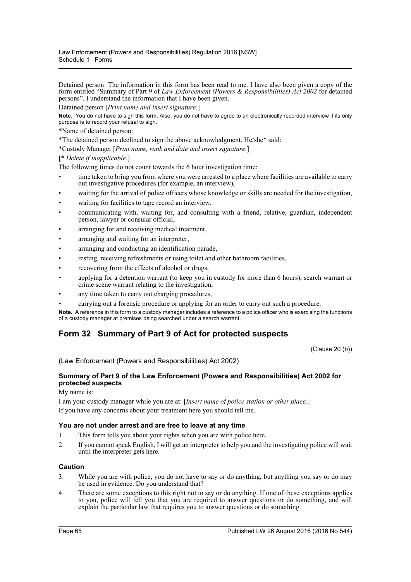Detained person: The information in this form has been read to me. I have also been given a copy of the form entitled "Summary of Part 9 of *Law Enforcement (Powers & Responsibilities) Act 2002* for detained persons". I understand the information that I have been given.

Detained person [*Print name and insert signature.*]

**Note.** You do not have to sign this form. Also, you do not have to agree to an electronically recorded interview if its only purpose is to record your refusal to sign.

\*Name of detained person:

\*The detained person declined to sign the above acknowledgment. He/she\* said:

\*Custody Manager [*Print name, rank and date and insert signature.*]

[\* *Delete if inapplicable.*]

The following times do not count towards the 6 hour investigation time:

- time taken to bring you from where you were arrested to a place where facilities are available to carry out investigative procedures (for example, an interview),
- waiting for the arrival of police officers whose knowledge or skills are needed for the investigation,
- waiting for facilities to tape record an interview,
- communicating with, waiting for, and consulting with a friend, relative, guardian, independent person, lawyer or consular official,
- arranging for and receiving medical treatment,
- arranging and waiting for an interpreter.
- arranging and conducting an identification parade,
- resting, receiving refreshments or using toilet and other bathroom facilities,
- recovering from the effects of alcohol or drugs,
- applying for a detention warrant (to keep you in custody for more than 6 hours), search warrant or crime scene warrant relating to the investigation,
- any time taken to carry out charging procedures,
- carrying out a forensic procedure or applying for an order to carry out such a procedure.

**Note.** A reference in this form to a custody manager includes a reference to a police officer who is exercising the functions of a custody manager at premises being searched under a search warrant.

# **Form 32 Summary of Part 9 of Act for protected suspects**

(Clause 20 (b))

(Law Enforcement (Powers and Responsibilities) Act 2002)

# **Summary of Part 9 of the Law Enforcement (Powers and Responsibilities) Act 2002 for protected suspects**

My name is:

I am your custody manager while you are at: [*Insert name of police station or other place.*] If you have any concerns about your treatment here you should tell me.

## **You are not under arrest and are free to leave at any time**

- 1. This form tells you about your rights when you are with police here.
- 2. If you cannot speak English, I will get an interpreter to help you and the investigating police will wait until the interpreter gets here.

# **Caution**

- 3. While you are with police, you do not have to say or do anything, but anything you say or do may be used in evidence. Do you understand that?
- 4. There are some exceptions to this right not to say or do anything. If one of these exceptions applies to you, police will tell you that you are required to answer questions or do something, and will explain the particular law that requires you to answer questions or do something.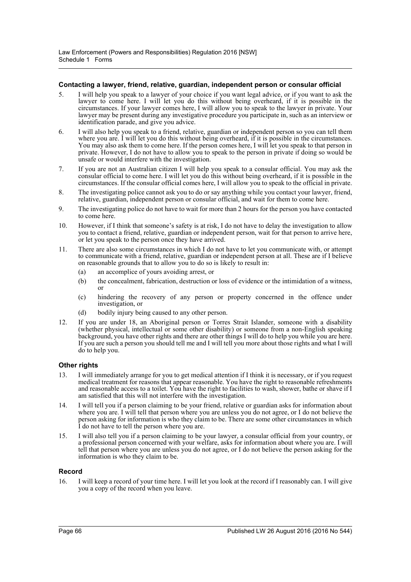### **Contacting a lawyer, friend, relative, guardian, independent person or consular official**

- 5. I will help you speak to a lawyer of your choice if you want legal advice, or if you want to ask the lawyer to come here. I will let you do this without being overheard, if it is possible in the circumstances. If your lawyer comes here, I will allow you to speak to the lawyer in private. Your lawyer may be present during any investigative procedure you participate in, such as an interview or identification parade, and give you advice.
- 6. I will also help you speak to a friend, relative, guardian or independent person so you can tell them where you are. I will let you do this without being overheard, if it is possible in the circumstances. You may also ask them to come here. If the person comes here, I will let you speak to that person in private. However, I do not have to allow you to speak to the person in private if doing so would be unsafe or would interfere with the investigation.
- 7. If you are not an Australian citizen I will help you speak to a consular official. You may ask the consular official to come here. I will let you do this without being overheard, if it is possible in the circumstances. If the consular official comes here, I will allow you to speak to the official in private.
- 8. The investigating police cannot ask you to do or say anything while you contact your lawyer, friend, relative, guardian, independent person or consular official, and wait for them to come here.
- 9. The investigating police do not have to wait for more than 2 hours for the person you have contacted to come here.
- 10. However, if I think that someone's safety is at risk, I do not have to delay the investigation to allow you to contact a friend, relative, guardian or independent person, wait for that person to arrive here, or let you speak to the person once they have arrived.
- 11. There are also some circumstances in which I do not have to let you communicate with, or attempt to communicate with a friend, relative, guardian or independent person at all. These are if I believe on reasonable grounds that to allow you to do so is likely to result in:
	- (a) an accomplice of yours avoiding arrest, or
	- (b) the concealment, fabrication, destruction or loss of evidence or the intimidation of a witness, or
	- (c) hindering the recovery of any person or property concerned in the offence under investigation, or
	- (d) bodily injury being caused to any other person.
- 12. If you are under 18, an Aboriginal person or Torres Strait Islander, someone with a disability (whether physical, intellectual or some other disability) or someone from a non-English speaking background, you have other rights and there are other things I will do to help you while you are here. If you are such a person you should tell me and I will tell you more about those rights and what I will do to help you.

#### **Other rights**

- 13. I will immediately arrange for you to get medical attention if I think it is necessary, or if you request medical treatment for reasons that appear reasonable. You have the right to reasonable refreshments and reasonable access to a toilet. You have the right to facilities to wash, shower, bathe or shave if I am satisfied that this will not interfere with the investigation.
- 14. I will tell you if a person claiming to be your friend, relative or guardian asks for information about where you are. I will tell that person where you are unless you do not agree, or I do not believe the person asking for information is who they claim to be. There are some other circumstances in which I do not have to tell the person where you are.
- 15. I will also tell you if a person claiming to be your lawyer, a consular official from your country, or a professional person concerned with your welfare, asks for information about where you are. I will tell that person where you are unless you do not agree, or I do not believe the person asking for the information is who they claim to be.

## **Record**

16. I will keep a record of your time here. I will let you look at the record if I reasonably can. I will give you a copy of the record when you leave.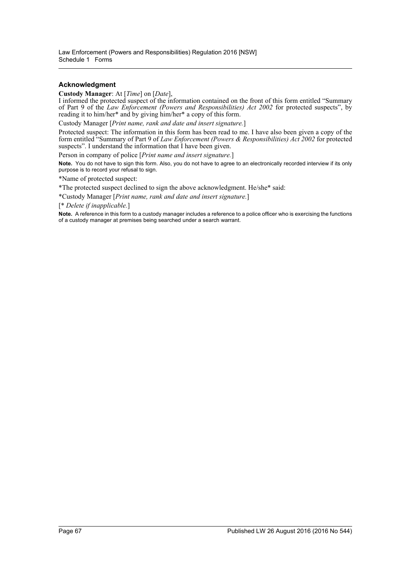## **Acknowledgment**

**Custody Manager**: At [*Time*] on [*Date*],

I informed the protected suspect of the information contained on the front of this form entitled "Summary of Part 9 of the *Law Enforcement (Powers and Responsibilities) Act 2002* for protected suspects", by reading it to him/her\* and by giving him/her\* a copy of this form.

Custody Manager [*Print name, rank and date and insert signature.*]

Protected suspect: The information in this form has been read to me. I have also been given a copy of the form entitled "Summary of Part 9 of *Law Enforcement (Powers & Responsibilities) Act 2002* for protected suspects". I understand the information that I have been given.

Person in company of police [*Print name and insert signature.*]

**Note.** You do not have to sign this form. Also, you do not have to agree to an electronically recorded interview if its only purpose is to record your refusal to sign.

\*Name of protected suspect:

\*The protected suspect declined to sign the above acknowledgment. He/she\* said:

\*Custody Manager [*Print name, rank and date and insert signature.*]

[\* *Delete if inapplicable.*]

**Note.** A reference in this form to a custody manager includes a reference to a police officer who is exercising the functions of a custody manager at premises being searched under a search warrant.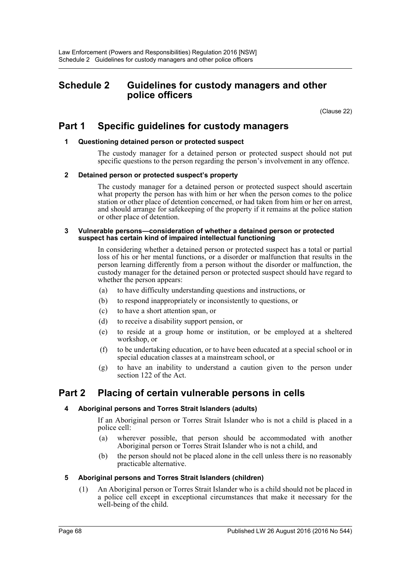# **Schedule 2 Guidelines for custody managers and other police officers**

(Clause 22)

# **Part 1 Specific guidelines for custody managers**

# **1 Questioning detained person or protected suspect**

The custody manager for a detained person or protected suspect should not put specific questions to the person regarding the person's involvement in any offence.

# **2 Detained person or protected suspect's property**

The custody manager for a detained person or protected suspect should ascertain what property the person has with him or her when the person comes to the police station or other place of detention concerned, or had taken from him or her on arrest, and should arrange for safekeeping of the property if it remains at the police station or other place of detention.

#### **3 Vulnerable persons—consideration of whether a detained person or protected suspect has certain kind of impaired intellectual functioning**

In considering whether a detained person or protected suspect has a total or partial loss of his or her mental functions, or a disorder or malfunction that results in the person learning differently from a person without the disorder or malfunction, the custody manager for the detained person or protected suspect should have regard to whether the person appears:

- (a) to have difficulty understanding questions and instructions, or
- (b) to respond inappropriately or inconsistently to questions, or
- (c) to have a short attention span, or
- (d) to receive a disability support pension, or
- (e) to reside at a group home or institution, or be employed at a sheltered workshop, or
- (f) to be undertaking education, or to have been educated at a special school or in special education classes at a mainstream school, or
- (g) to have an inability to understand a caution given to the person under section 122 of the Act.

# **Part 2 Placing of certain vulnerable persons in cells**

# **4 Aboriginal persons and Torres Strait Islanders (adults)**

If an Aboriginal person or Torres Strait Islander who is not a child is placed in a police cell:

- (a) wherever possible, that person should be accommodated with another Aboriginal person or Torres Strait Islander who is not a child, and
- (b) the person should not be placed alone in the cell unless there is no reasonably practicable alternative.

# **5 Aboriginal persons and Torres Strait Islanders (children)**

(1) An Aboriginal person or Torres Strait Islander who is a child should not be placed in a police cell except in exceptional circumstances that make it necessary for the well-being of the child.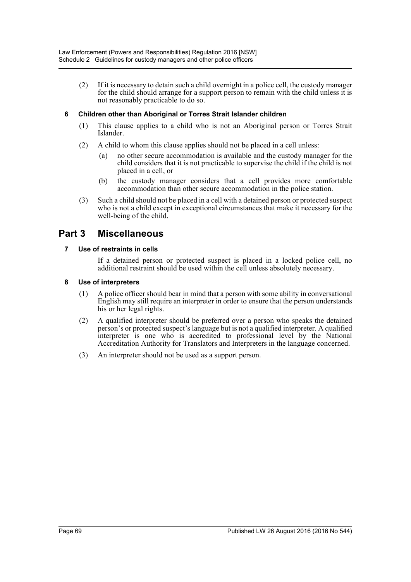(2) If it is necessary to detain such a child overnight in a police cell, the custody manager for the child should arrange for a support person to remain with the child unless it is not reasonably practicable to do so.

# **6 Children other than Aboriginal or Torres Strait Islander children**

- (1) This clause applies to a child who is not an Aboriginal person or Torres Strait Islander.
- (2) A child to whom this clause applies should not be placed in a cell unless:
	- (a) no other secure accommodation is available and the custody manager for the child considers that it is not practicable to supervise the child if the child is not placed in a cell, or
	- (b) the custody manager considers that a cell provides more comfortable accommodation than other secure accommodation in the police station.
- (3) Such a child should not be placed in a cell with a detained person or protected suspect who is not a child except in exceptional circumstances that make it necessary for the well-being of the child.

# **Part 3 Miscellaneous**

# **7 Use of restraints in cells**

If a detained person or protected suspect is placed in a locked police cell, no additional restraint should be used within the cell unless absolutely necessary.

# **8 Use of interpreters**

- (1) A police officer should bear in mind that a person with some ability in conversational English may still require an interpreter in order to ensure that the person understands his or her legal rights.
- (2) A qualified interpreter should be preferred over a person who speaks the detained person's or protected suspect's language but is not a qualified interpreter. A qualified interpreter is one who is accredited to professional level by the National Accreditation Authority for Translators and Interpreters in the language concerned.
- (3) An interpreter should not be used as a support person.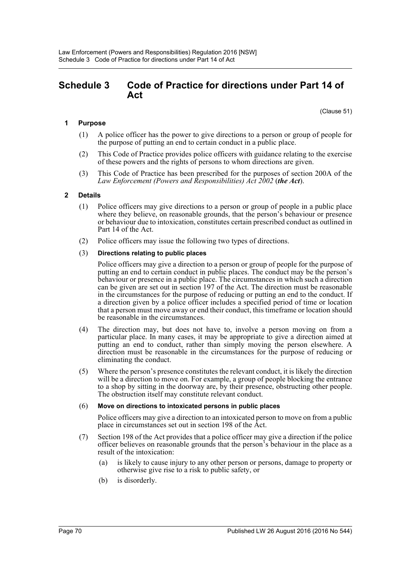# **Schedule 3 Code of Practice for directions under Part 14 of Act**

(Clause 51)

# **1 Purpose**

- (1) A police officer has the power to give directions to a person or group of people for the purpose of putting an end to certain conduct in a public place.
- (2) This Code of Practice provides police officers with guidance relating to the exercise of these powers and the rights of persons to whom directions are given.
- (3) This Code of Practice has been prescribed for the purposes of section 200A of the *Law Enforcement (Powers and Responsibilities) Act 2002* (*the Act*).

# **2 Details**

- (1) Police officers may give directions to a person or group of people in a public place where they believe, on reasonable grounds, that the person's behaviour or presence or behaviour due to intoxication, constitutes certain prescribed conduct as outlined in Part 14 of the Act.
- (2) Police officers may issue the following two types of directions.

### (3) **Directions relating to public places**

Police officers may give a direction to a person or group of people for the purpose of putting an end to certain conduct in public places. The conduct may be the person's behaviour or presence in a public place. The circumstances in which such a direction can be given are set out in section 197 of the Act. The direction must be reasonable in the circumstances for the purpose of reducing or putting an end to the conduct. If a direction given by a police officer includes a specified period of time or location that a person must move away or end their conduct, this timeframe or location should be reasonable in the circumstances.

- (4) The direction may, but does not have to, involve a person moving on from a particular place. In many cases, it may be appropriate to give a direction aimed at putting an end to conduct, rather than simply moving the person elsewhere. A direction must be reasonable in the circumstances for the purpose of reducing or eliminating the conduct.
- (5) Where the person's presence constitutes the relevant conduct, it is likely the direction will be a direction to move on. For example, a group of people blocking the entrance to a shop by sitting in the doorway are, by their presence, obstructing other people. The obstruction itself may constitute relevant conduct.

### (6) **Move on directions to intoxicated persons in public places**

Police officers may give a direction to an intoxicated person to move on from a public place in circumstances set out in section 198 of the Act.

- (7) Section 198 of the Act provides that a police officer may give a direction if the police officer believes on reasonable grounds that the person's behaviour in the place as a result of the intoxication:
	- (a) is likely to cause injury to any other person or persons, damage to property or otherwise give rise to a risk to public safety, or
	- (b) is disorderly.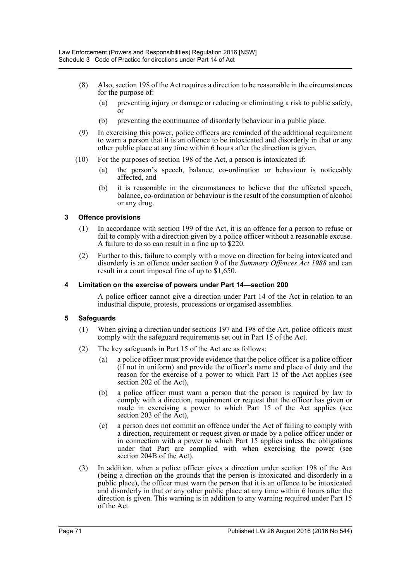- (8) Also, section 198 of the Act requires a direction to be reasonable in the circumstances for the purpose of:
	- (a) preventing injury or damage or reducing or eliminating a risk to public safety,  $\overline{or}$
	- (b) preventing the continuance of disorderly behaviour in a public place.
- (9) In exercising this power, police officers are reminded of the additional requirement to warn a person that it is an offence to be intoxicated and disorderly in that or any other public place at any time within 6 hours after the direction is given.
- (10) For the purposes of section 198 of the Act, a person is intoxicated if:
	- (a) the person's speech, balance, co-ordination or behaviour is noticeably affected, and
	- (b) it is reasonable in the circumstances to believe that the affected speech, balance, co-ordination or behaviour is the result of the consumption of alcohol or any drug.

# **3 Offence provisions**

- (1) In accordance with section 199 of the Act, it is an offence for a person to refuse or fail to comply with a direction given by a police officer without a reasonable excuse. A failure to do so can result in a fine up to \$220.
- (2) Further to this, failure to comply with a move on direction for being intoxicated and disorderly is an offence under section 9 of the *Summary Offences Act 1988* and can result in a court imposed fine of up to \$1,650.

# **4 Limitation on the exercise of powers under Part 14—section 200**

A police officer cannot give a direction under Part 14 of the Act in relation to an industrial dispute, protests, processions or organised assemblies.

# **5 Safeguards**

- (1) When giving a direction under sections 197 and 198 of the Act, police officers must comply with the safeguard requirements set out in Part 15 of the Act.
- (2) The key safeguards in Part 15 of the Act are as follows:
	- (a) a police officer must provide evidence that the police officer is a police officer (if not in uniform) and provide the officer's name and place of duty and the reason for the exercise of a power to which Part 15 of the Act applies (see section 202 of the Act),
	- (b) a police officer must warn a person that the person is required by law to comply with a direction, requirement or request that the officer has given or made in exercising a power to which Part 15 of the Act applies (see section 203 of the Act).
	- (c) a person does not commit an offence under the Act of failing to comply with a direction, requirement or request given or made by a police officer under or in connection with a power to which Part 15 applies unless the obligations under that Part are complied with when exercising the power (see section 204B of the Act).
- (3) In addition, when a police officer gives a direction under section 198 of the Act (being a direction on the grounds that the person is intoxicated and disorderly in a public place), the officer must warn the person that it is an offence to be intoxicated and disorderly in that or any other public place at any time within 6 hours after the direction is given. This warning is in addition to any warning required under Part 15 of the Act.